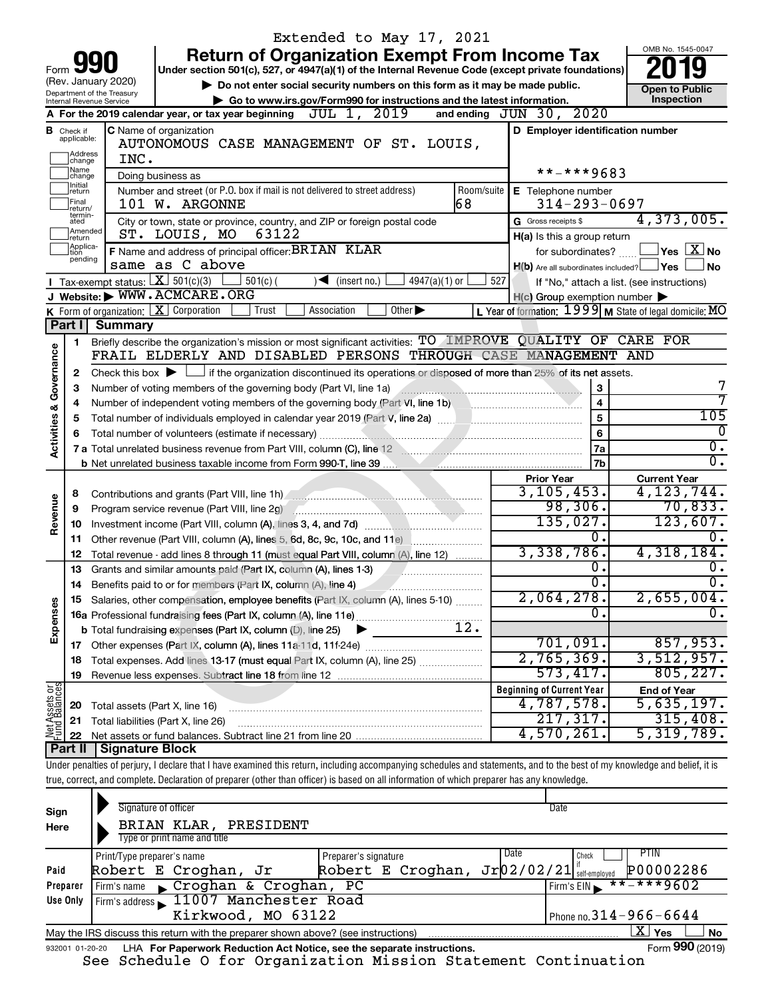|                                |                                  |                                                   | Extended to May 17, 2021                                                                                                                                                   |                         |                                                     |                                                           |
|--------------------------------|----------------------------------|---------------------------------------------------|----------------------------------------------------------------------------------------------------------------------------------------------------------------------------|-------------------------|-----------------------------------------------------|-----------------------------------------------------------|
|                                |                                  |                                                   | <b>Return of Organization Exempt From Income Tax</b>                                                                                                                       |                         |                                                     | OMB No. 1545-0047                                         |
| Form                           |                                  |                                                   | Under section 501(c), 527, or 4947(a)(1) of the Internal Revenue Code (except private foundations)                                                                         |                         |                                                     |                                                           |
|                                |                                  | (Rev. January 2020)<br>Department of the Treasury | Do not enter social security numbers on this form as it may be made public.                                                                                                |                         |                                                     | <b>Open to Public</b>                                     |
|                                |                                  | Internal Revenue Service                          | Go to www.irs.gov/Form990 for instructions and the latest information.                                                                                                     |                         |                                                     | Inspection                                                |
|                                |                                  |                                                   | A For the 2019 calendar year, or tax year beginning $JUL$ 1, $2019$                                                                                                        |                         | and ending $JUN 30, 2020$                           |                                                           |
|                                | <b>B</b> Check if<br>applicable: |                                                   | C Name of organization<br>AUTONOMOUS CASE MANAGEMENT OF ST. LOUIS,                                                                                                         |                         | D Employer identification number                    |                                                           |
|                                | Address                          | INC.                                              |                                                                                                                                                                            |                         |                                                     |                                                           |
|                                | change<br>1Name<br>change        |                                                   | Doing business as                                                                                                                                                          |                         | **-***9683                                          |                                                           |
|                                | Initial<br>return                |                                                   | Number and street (or P.O. box if mail is not delivered to street address)                                                                                                 | Room/suite              | E Telephone number                                  |                                                           |
|                                | Final<br>return/                 |                                                   | 168<br>101 W. ARGONNE                                                                                                                                                      |                         | $314 - 293 - 0697$                                  |                                                           |
|                                | termin-<br>ated                  |                                                   | City or town, state or province, country, and ZIP or foreign postal code                                                                                                   |                         | G Gross receipts \$                                 | 4,373,005.                                                |
|                                | Amended<br>return                |                                                   | 63122<br>ST. LOUIS, MO                                                                                                                                                     |                         | H(a) Is this a group return                         |                                                           |
|                                | Applica-<br>tion                 |                                                   | F Name and address of principal officer: BRIAN KLAR                                                                                                                        |                         | for subordinates?                                   | $\,$ Yes $\,$ $\rm X$ $\,$ No $\,$                        |
|                                | pending                          |                                                   | same as C above                                                                                                                                                            |                         | $H(b)$ Are all subordinates included? $\Box$ Yes    | No                                                        |
|                                |                                  | Tax-exempt status: $X \over 301(c)(3)$            | $501(c)$ (<br>$\sqrt{\frac{1}{1}}$ (insert no.)<br>$4947(a)(1)$ or                                                                                                         | 527                     |                                                     | If "No," attach a list. (see instructions)                |
|                                |                                  |                                                   | J Website: WWW.ACMCARE.ORG                                                                                                                                                 |                         | $H(c)$ Group exemption number $\blacktriangleright$ |                                                           |
|                                |                                  |                                                   | <b>K</b> Form of organization: $\boxed{\textbf{X}}$ Corporation<br>Other $\blacktriangleright$<br>Association<br>Trust                                                     |                         |                                                     | L Year of formation: $1999$ M State of legal domicile: MO |
|                                | Part I                           | <b>Summary</b>                                    |                                                                                                                                                                            |                         |                                                     |                                                           |
|                                | 1.                               |                                                   | Briefly describe the organization's mission or most significant activities: TO IMPROVE QUALITY OF CARE FOR                                                                 |                         |                                                     |                                                           |
| Governance                     |                                  |                                                   | FRAIL ELDERLY AND DISABLED PERSONS THROUGH CASE MANAGEMENT AND                                                                                                             |                         |                                                     |                                                           |
|                                | 2                                |                                                   | Check this box $\blacktriangleright$ $\Box$ if the organization discontinued its operations or disposed of more than 25% of its net assets.                                |                         |                                                     |                                                           |
|                                | 3                                |                                                   | Number of voting members of the governing body (Part VI, line 1a)                                                                                                          |                         | $\mathbf 3$                                         |                                                           |
|                                | 4                                |                                                   |                                                                                                                                                                            | $\overline{\mathbf{4}}$ | 7                                                   |                                                           |
|                                | 5                                |                                                   |                                                                                                                                                                            |                         | 5                                                   | 105                                                       |
| <b>Activities &amp;</b>        | 6                                |                                                   |                                                                                                                                                                            |                         | 6                                                   | 0                                                         |
|                                |                                  |                                                   | 7 a Total unrelated business revenue from Part VIII, column (C), line 12                                                                                                   |                         | 7a                                                  | о.                                                        |
|                                |                                  |                                                   |                                                                                                                                                                            |                         | 7b                                                  | σ.                                                        |
|                                |                                  |                                                   |                                                                                                                                                                            |                         | <b>Prior Year</b>                                   | <b>Current Year</b>                                       |
|                                | 8                                |                                                   | Contributions and grants (Part VIII, line 1h)                                                                                                                              |                         | 3, 105, 453.                                        | 4, 123, 744.                                              |
| Revenue                        | 9                                |                                                   | Program service revenue (Part VIII, line 2g)                                                                                                                               |                         | 98,306.                                             | 70,833.                                                   |
|                                | 10                               |                                                   |                                                                                                                                                                            |                         | 135,027.                                            | 123,607.                                                  |
|                                | 11                               |                                                   | Other revenue (Part VIII, column (A), lines 5, 6d, 8c, 9c, 10c, and 11e) [                                                                                                 |                         | 0.<br>3,338,786.                                    |                                                           |
|                                | 12                               |                                                   | Total revenue - add lines 8 through 11 (must equal Part VIII, column (A), line 12)                                                                                         |                         | 0.                                                  | 4, 318, 184.                                              |
|                                | 13                               |                                                   | Grants and similar amounts paid (Part IX, column (A), lines 1-3)                                                                                                           |                         | $\overline{0}$ .                                    | υ.<br>σ.                                                  |
|                                | 14                               |                                                   | Benefits paid to or for members (Part IX, column (A), line 4)                                                                                                              |                         |                                                     |                                                           |
|                                |                                  |                                                   | 15 Salaries, other compensation, employee benefits (Part IX, column (A), lines 5-10)                                                                                       |                         | 2,064,278.<br>Ω.                                    | $2,655,004$ .<br>0.                                       |
| Expenses                       |                                  |                                                   |                                                                                                                                                                            | 12.                     |                                                     |                                                           |
|                                |                                  |                                                   | <b>b</b> Total fundraising expenses (Part IX, column (D), line 25)<br>▶                                                                                                    |                         | 701,091.                                            | 857,953.                                                  |
|                                |                                  |                                                   |                                                                                                                                                                            |                         | 2,765,369.                                          | 3,512,957.                                                |
|                                | 18<br>19                         |                                                   | Total expenses. Add lines 13-17 (must equal Part IX, column (A), line 25) [                                                                                                |                         | 573,417.                                            | 805, 227.                                                 |
|                                |                                  |                                                   |                                                                                                                                                                            |                         | <b>Beginning of Current Year</b>                    | <b>End of Year</b>                                        |
|                                | 20                               |                                                   | Total assets (Part X, line 16)<br>the contract of the contract of the contract of the contract of the contract of                                                          |                         | 4,787,578.                                          | 5,635,197.                                                |
|                                | 21                               |                                                   | Total liabilities (Part X, line 26)                                                                                                                                        |                         | 217,317.                                            | 315,408.                                                  |
| Net Assets or<br>Fund Balances | 22                               |                                                   |                                                                                                                                                                            |                         | 4,570,261.                                          | 5,319,789.                                                |
|                                |                                  | Part II   Signature Block                         |                                                                                                                                                                            |                         |                                                     |                                                           |
|                                |                                  |                                                   | Under penalties of perjury, I declare that I have examined this return, including accompanying schedules and statements, and to the best of my knowledge and belief, it is |                         |                                                     |                                                           |
|                                |                                  |                                                   | true, correct, and complete. Declaration of preparer (other than officer) is based on all information of which preparer has any knowledge.                                 |                         |                                                     |                                                           |
|                                |                                  |                                                   |                                                                                                                                                                            |                         |                                                     |                                                           |
| Sign                           |                                  |                                                   | Signature of officer                                                                                                                                                       |                         | Date                                                |                                                           |
| Here                           |                                  |                                                   | BRIAN KLAR, PRESIDENT                                                                                                                                                      |                         |                                                     |                                                           |
|                                |                                  |                                                   | Type or print name and title                                                                                                                                               |                         |                                                     |                                                           |
|                                |                                  | Print/Type preparer's name                        | Preparer's signature                                                                                                                                                       |                         | Date<br>Check                                       | PTIN                                                      |
| Paid                           |                                  |                                                   | Robert E Croghan,<br>Robert E Croghan,<br>Jr                                                                                                                               |                         | $Jr 02/02/21 $ self-employed                        | P00002286                                                 |

|          |                                                                                        | <b>UUII UIIIPIUTUU</b>       |
|----------|----------------------------------------------------------------------------------------|------------------------------|
| Preparer | Firm's name Croghan & Croghan, PC                                                      | **-***9602<br>$I$ Firm's EIN |
| Use Only | Firm's address 11007 Manchester Road                                                   |                              |
|          | Kirkwood, MO 63122                                                                     | Phone no. $314 - 966 - 6644$ |
|          | May the IRS discuss this return with the preparer shown above? (see instructions)      | Yes<br>No.                   |
|          | 932001 01-20-20 LHA For Paperwork Reduction Act Notice, see the separate instructions. | Form 990 (2019)              |

| 001 01-20-20 LHA For Paperwork Reduction Act Notice, see the separate instructions. |  |                                                                |  |  |  |  |  |  |  |  |
|-------------------------------------------------------------------------------------|--|----------------------------------------------------------------|--|--|--|--|--|--|--|--|
|                                                                                     |  | See Schedule O for Organization Mission Statement Continuation |  |  |  |  |  |  |  |  |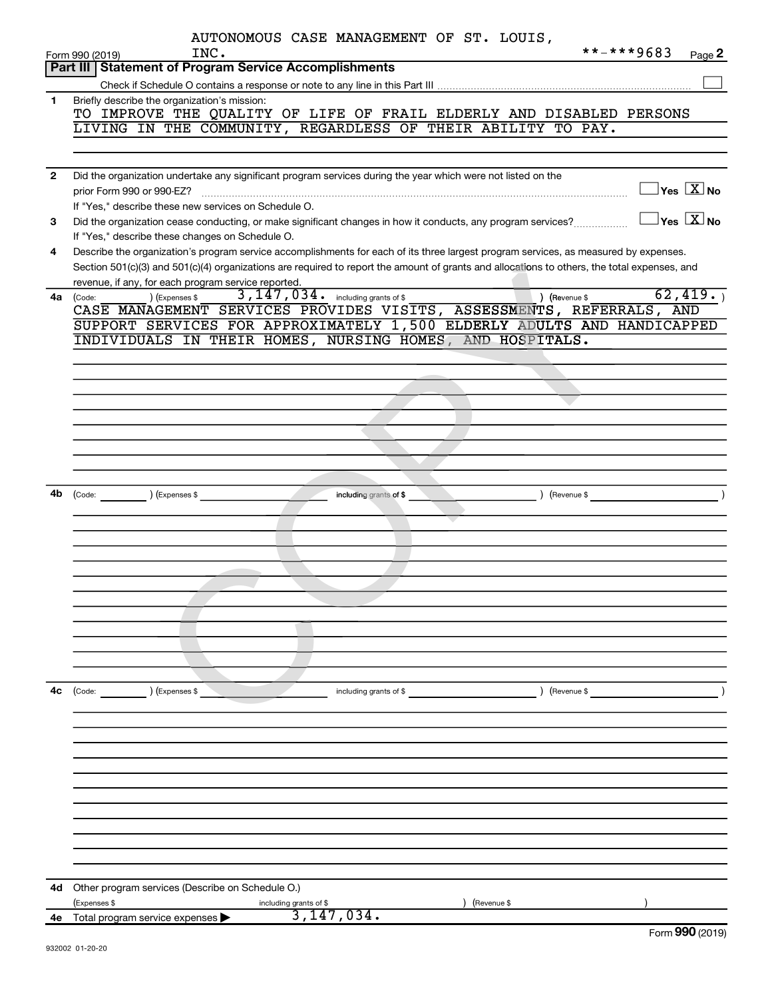|                | AUTONOMOUS CASE MANAGEMENT OF ST. LOUIS,<br>**-***9683                                                                                                          |
|----------------|-----------------------------------------------------------------------------------------------------------------------------------------------------------------|
|                | INC.<br>Page 2<br>Form 990 (2019)<br><b>Part III Statement of Program Service Accomplishments</b>                                                               |
|                |                                                                                                                                                                 |
| 1              | Briefly describe the organization's mission:                                                                                                                    |
|                | TO IMPROVE THE QUALITY OF LIFE OF FRAIL ELDERLY AND DISABLED PERSONS                                                                                            |
|                | LIVING IN THE COMMUNITY, REGARDLESS OF THEIR ABILITY TO PAY.                                                                                                    |
|                |                                                                                                                                                                 |
|                |                                                                                                                                                                 |
| $\overline{2}$ | Did the organization undertake any significant program services during the year which were not listed on the                                                    |
|                | $\Box$ Yes $[\overline{\mathrm{X}}]$ No<br>prior Form 990 or 990-EZ?                                                                                            |
|                | If "Yes," describe these new services on Schedule O.                                                                                                            |
| 3              | $\boxed{\phantom{1}}$ Yes $\boxed{\text{X}}$ No<br>Did the organization cease conducting, or make significant changes in how it conducts, any program services? |
|                | If "Yes," describe these changes on Schedule O.                                                                                                                 |
| 4              | Describe the organization's program service accomplishments for each of its three largest program services, as measured by expenses.                            |
|                | Section 501(c)(3) and 501(c)(4) organizations are required to report the amount of grants and allocations to others, the total expenses, and                    |
| 4a             | revenue, if any, for each program service reported.<br>62,419.<br>3, 147, 034. including grants of \$<br>) (Revenue \$<br>) (Expenses \$<br>(Code:              |
|                | CASE MANAGEMENT SERVICES PROVIDES VISITS, ASSESSMENTS, REFERRALS, AND                                                                                           |
|                | SUPPORT SERVICES FOR APPROXIMATELY 1,500 ELDERLY ADULTS AND HANDICAPPED                                                                                         |
|                | INDIVIDUALS IN THEIR HOMES, NURSING HOMES, AND HOSPITALS.                                                                                                       |
|                |                                                                                                                                                                 |
|                |                                                                                                                                                                 |
|                |                                                                                                                                                                 |
|                |                                                                                                                                                                 |
|                |                                                                                                                                                                 |
|                |                                                                                                                                                                 |
|                |                                                                                                                                                                 |
|                |                                                                                                                                                                 |
| 4b             | (Expenses \$<br>) (Revenue \$                                                                                                                                   |
|                | $\left(\text{Code:}\right)$<br>including grants of \$                                                                                                           |
|                |                                                                                                                                                                 |
|                |                                                                                                                                                                 |
|                |                                                                                                                                                                 |
|                |                                                                                                                                                                 |
|                |                                                                                                                                                                 |
|                |                                                                                                                                                                 |
|                |                                                                                                                                                                 |
|                |                                                                                                                                                                 |
|                |                                                                                                                                                                 |
|                |                                                                                                                                                                 |
| 4с             | ) (Expenses \$<br>) (Revenue \$<br>(Code:<br>including grants of \$                                                                                             |
|                |                                                                                                                                                                 |
|                |                                                                                                                                                                 |
|                |                                                                                                                                                                 |
|                |                                                                                                                                                                 |
|                |                                                                                                                                                                 |
|                |                                                                                                                                                                 |
|                |                                                                                                                                                                 |
|                |                                                                                                                                                                 |
|                |                                                                                                                                                                 |
|                |                                                                                                                                                                 |
|                |                                                                                                                                                                 |
| 4d             | Other program services (Describe on Schedule O.)                                                                                                                |
|                | (Expenses \$<br>(Revenue \$<br>including grants of \$                                                                                                           |
|                | 3,147,034.<br>4e Total program service expenses                                                                                                                 |
|                | <u>nnn</u>                                                                                                                                                      |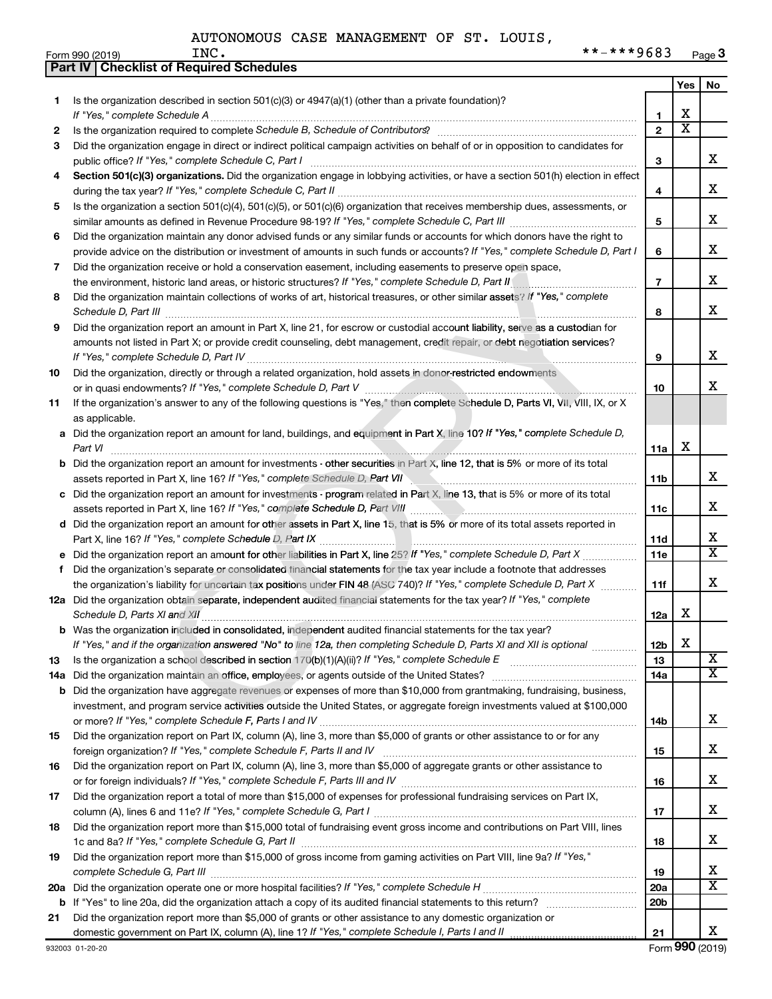|    | Part IV   Checklist of Required Schedules                                                                                                                                                                                      |                         |                       |                              |
|----|--------------------------------------------------------------------------------------------------------------------------------------------------------------------------------------------------------------------------------|-------------------------|-----------------------|------------------------------|
|    |                                                                                                                                                                                                                                |                         | Yes                   | No                           |
| 1. | Is the organization described in section 501(c)(3) or $4947(a)(1)$ (other than a private foundation)?                                                                                                                          |                         |                       |                              |
|    | If "Yes," complete Schedule A                                                                                                                                                                                                  | 1                       | X                     |                              |
| 2  |                                                                                                                                                                                                                                | $\overline{2}$          | $\overline{\text{x}}$ |                              |
| 3  | Did the organization engage in direct or indirect political campaign activities on behalf of or in opposition to candidates for                                                                                                |                         |                       |                              |
|    |                                                                                                                                                                                                                                | 3                       |                       | x                            |
| 4  | Section 501(c)(3) organizations. Did the organization engage in lobbying activities, or have a section 501(h) election in effect                                                                                               |                         |                       |                              |
|    |                                                                                                                                                                                                                                | $\overline{\mathbf{4}}$ |                       | x                            |
| 5  | Is the organization a section 501(c)(4), 501(c)(5), or 501(c)(6) organization that receives membership dues, assessments, or                                                                                                   |                         |                       |                              |
|    |                                                                                                                                                                                                                                | 5                       |                       | x                            |
| 6  | Did the organization maintain any donor advised funds or any similar funds or accounts for which donors have the right to                                                                                                      |                         |                       |                              |
|    | provide advice on the distribution or investment of amounts in such funds or accounts? If "Yes," complete Schedule D, Part I                                                                                                   | 6                       |                       | x                            |
| 7  | Did the organization receive or hold a conservation easement, including easements to preserve open space,                                                                                                                      |                         |                       |                              |
|    | the environment, historic land areas, or historic structures? If "Yes," complete Schedule D, Part II                                                                                                                           | $\overline{7}$          |                       | x                            |
| 8  | Did the organization maintain collections of works of art, historical treasures, or other similar assets? If "Yes," complete                                                                                                   |                         |                       |                              |
|    |                                                                                                                                                                                                                                | 8                       |                       | x                            |
| 9  | Did the organization report an amount in Part X, line 21, for escrow or custodial account liability, serve as a custodian for                                                                                                  |                         |                       |                              |
|    | amounts not listed in Part X; or provide credit counseling, debt management, credit repair, or debt negotiation services?                                                                                                      |                         |                       |                              |
|    |                                                                                                                                                                                                                                | 9                       |                       | x                            |
| 10 | Did the organization, directly or through a related organization, hold assets in donor-restricted endowments                                                                                                                   |                         |                       | X                            |
| 11 | If the organization's answer to any of the following questions is "Yes," then complete Schedule D, Parts VI, VII, VIII, IX, or X                                                                                               | 10                      |                       |                              |
|    | as applicable.                                                                                                                                                                                                                 |                         |                       |                              |
|    | a Did the organization report an amount for land, buildings, and equipment in Part X, line 10? If "Yes," complete Schedule D,                                                                                                  |                         |                       |                              |
|    | Part VI                                                                                                                                                                                                                        | 11a                     | х                     |                              |
|    | <b>b</b> Did the organization report an amount for investments - other securities in Part X, line 12, that is 5% or more of its total                                                                                          |                         |                       |                              |
|    |                                                                                                                                                                                                                                | 11b                     |                       | x                            |
|    | c Did the organization report an amount for investments - program related in Part X, line 13, that is 5% or more of its total                                                                                                  |                         |                       |                              |
|    |                                                                                                                                                                                                                                | 11c                     |                       | x                            |
|    | d Did the organization report an amount for other assets in Part X, line 15, that is 5% or more of its total assets reported in                                                                                                |                         |                       |                              |
|    |                                                                                                                                                                                                                                | 11d                     |                       | x                            |
|    | e Did the organization report an amount for other liabilities in Part X, line 25? If "Yes," complete Schedule D, Part X                                                                                                        | 11e                     |                       | $\overline{\mathtt{x}}$      |
| f. | Did the organization's separate or consolidated financial statements for the tax year include a footnote that addresses                                                                                                        |                         |                       |                              |
|    | the organization's liability for uncertain tax positions under FIN 48 (ASC 740)? If "Yes," complete Schedule D, Part X                                                                                                         | 11f                     |                       | x                            |
|    | 12a Did the organization obtain separate, independent audited financial statements for the tax year? If "Yes," complete                                                                                                        |                         |                       |                              |
|    |                                                                                                                                                                                                                                | 12a                     | х                     |                              |
|    | b Was the organization included in consolidated, independent audited financial statements for the tax year?                                                                                                                    |                         |                       |                              |
|    | If "Yes," and if the organization answered "No" to line 12a, then completing Schedule D, Parts XI and XII is optional                                                                                                          | 12b                     | х                     |                              |
| 13 | Is the organization a school described in section 170(b)(1)(A)(ii)? If "Yes," complete Schedule E manufaction and school described in section 170(b)(1)(A)(ii)? If "Yes," complete Schedule E                                  | 13                      |                       | X<br>$\overline{\mathbf{X}}$ |
|    | 14a Did the organization maintain an office, employees, or agents outside of the United States?                                                                                                                                | 14a                     |                       |                              |
|    | <b>b</b> Did the organization have aggregate revenues or expenses of more than \$10,000 from grantmaking, fundraising, business,                                                                                               |                         |                       |                              |
|    | investment, and program service activities outside the United States, or aggregate foreign investments valued at \$100,000                                                                                                     | 14b                     |                       | x                            |
| 15 | Did the organization report on Part IX, column (A), line 3, more than \$5,000 of grants or other assistance to or for any                                                                                                      |                         |                       |                              |
|    |                                                                                                                                                                                                                                | 15                      |                       | x                            |
| 16 | Did the organization report on Part IX, column (A), line 3, more than \$5,000 of aggregate grants or other assistance to                                                                                                       |                         |                       |                              |
|    | or for foreign individuals? If "Yes," complete Schedule F, Parts III and IV [11] mannon and the mannon management of the set of the set of the set of the set of the set of the set of the Schedule F, Parts III and IV [11] m | 16                      |                       | x                            |
| 17 | Did the organization report a total of more than \$15,000 of expenses for professional fundraising services on Part IX,                                                                                                        |                         |                       |                              |
|    |                                                                                                                                                                                                                                | 17                      |                       | x                            |
| 18 | Did the organization report more than \$15,000 total of fundraising event gross income and contributions on Part VIII, lines                                                                                                   |                         |                       |                              |
|    |                                                                                                                                                                                                                                | 18                      |                       | x                            |
| 19 | Did the organization report more than \$15,000 of gross income from gaming activities on Part VIII, line 9a? If "Yes,"                                                                                                         |                         |                       |                              |
|    |                                                                                                                                                                                                                                | 19                      |                       | x                            |
|    |                                                                                                                                                                                                                                | 20a                     |                       | $\overline{\textbf{X}}$      |
|    |                                                                                                                                                                                                                                | 20 <sub>b</sub>         |                       |                              |
| 21 | Did the organization report more than \$5,000 of grants or other assistance to any domestic organization or                                                                                                                    |                         |                       |                              |
|    |                                                                                                                                                                                                                                | 21                      |                       | x                            |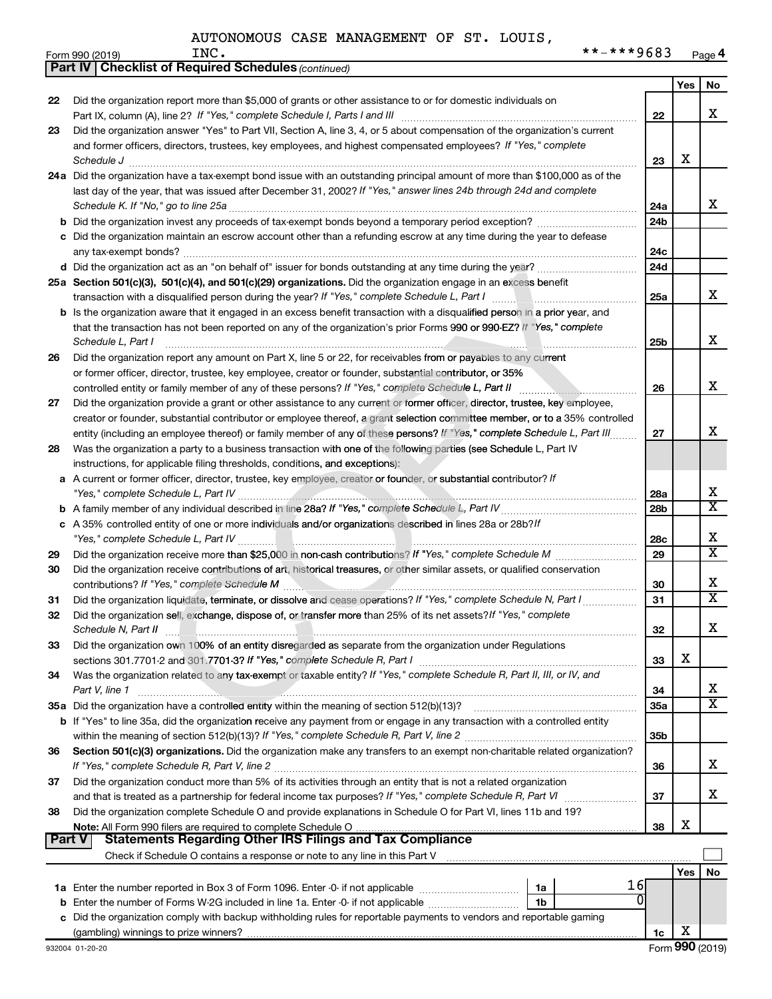|               | <b>Part IV   Checklist of Required Schedules (continued)</b>                                                                        |                 |     |                            |
|---------------|-------------------------------------------------------------------------------------------------------------------------------------|-----------------|-----|----------------------------|
|               |                                                                                                                                     |                 | Yes | No                         |
| 22            | Did the organization report more than \$5,000 of grants or other assistance to or for domestic individuals on                       |                 |     |                            |
|               |                                                                                                                                     | 22              |     | x                          |
| 23            | Did the organization answer "Yes" to Part VII, Section A, line 3, 4, or 5 about compensation of the organization's current          |                 |     |                            |
|               | and former officers, directors, trustees, key employees, and highest compensated employees? If "Yes," complete                      |                 |     |                            |
|               | Schedule J <b>www.communications.communications.com</b>                                                                             | 23              | х   |                            |
|               | 24a Did the organization have a tax-exempt bond issue with an outstanding principal amount of more than \$100,000 as of the         |                 |     |                            |
|               | last day of the year, that was issued after December 31, 2002? If "Yes," answer lines 24b through 24d and complete                  |                 |     |                            |
|               |                                                                                                                                     | 24a             |     | x                          |
|               |                                                                                                                                     | 24 <sub>b</sub> |     |                            |
|               | c Did the organization maintain an escrow account other than a refunding escrow at any time during the year to defease              |                 |     |                            |
|               |                                                                                                                                     | 24c             |     |                            |
|               | d Did the organization act as an "on behalf of" issuer for bonds outstanding at any time during the year?                           | 24d             |     |                            |
|               | 25a Section 501(c)(3), 501(c)(4), and 501(c)(29) organizations. Did the organization engage in an excess benefit                    |                 |     |                            |
|               |                                                                                                                                     | 25a             |     | x                          |
|               | <b>b</b> Is the organization aware that it engaged in an excess benefit transaction with a disqualified person in a prior year, and |                 |     |                            |
|               | that the transaction has not been reported on any of the organization's prior Forms 990 or 990-EZ? If "Yes," complete               |                 |     |                            |
|               | Schedule L, Part I                                                                                                                  | 25b             |     | x                          |
| 26            | Did the organization report any amount on Part X, line 5 or 22, for receivables from or payables to any current                     |                 |     |                            |
|               | or former officer, director, trustee, key employee, creator or founder, substantial contributor, or 35%                             |                 |     |                            |
|               | controlled entity or family member of any of these persons? If "Yes," complete Schedule L, Part II                                  | 26              |     | X                          |
| 27            | Did the organization provide a grant or other assistance to any current or former officer, director, trustee, key employee,         |                 |     |                            |
|               | creator or founder, substantial contributor or employee thereof, a grant selection committee member, or to a 35% controlled         |                 |     |                            |
|               | entity (including an employee thereof) or family member of any of these persons? If "Yes," complete Schedule L, Part III.           | 27              |     | х                          |
| 28            | Was the organization a party to a business transaction with one of the following parties (see Schedule L, Part IV                   |                 |     |                            |
|               | instructions, for applicable filing thresholds, conditions, and exceptions):                                                        |                 |     |                            |
|               | a A current or former officer, director, trustee, key employee, creator or founder, or substantial contributor? If                  |                 |     |                            |
|               |                                                                                                                                     | 28a             |     | x                          |
|               |                                                                                                                                     | 28 <sub>b</sub> |     | $\overline{\mathtt{x}}$    |
|               | c A 35% controlled entity of one or more individuals and/or organizations described in lines 28a or 28b?!f                          |                 |     |                            |
|               |                                                                                                                                     | 28c             |     | х<br>$\overline{\text{X}}$ |
| 29            |                                                                                                                                     | 29              |     |                            |
| 30            | Did the organization receive contributions of art, historical treasures, or other similar assets, or qualified conservation         |                 |     | x                          |
|               | contributions? If "Yes," complete Schedule M                                                                                        | 30              |     | $\overline{\mathtt{x}}$    |
| 31            | Did the organization liquidate, terminate, or dissolve and cease operations? If "Yes," complete Schedule N, Part I                  | 31              |     |                            |
| 32            | Did the organization sell, exchange, dispose of, or transfer more than 25% of its net assets? If "Yes," complete                    |                 |     |                            |
| 33            | Did the organization own 100% of an entity disregarded as separate from the organization under Regulations                          | 32              |     | ▵                          |
|               |                                                                                                                                     | 33              | х   |                            |
| 34            | Was the organization related to any tax-exempt or taxable entity? If "Yes," complete Schedule R, Part II, III, or IV, and           |                 |     |                            |
|               | Part V, line 1                                                                                                                      | 34              |     | x                          |
|               | 35a Did the organization have a controlled entity within the meaning of section 512(b)(13)?                                         | 35a             |     | $\overline{\texttt{x}}$    |
|               | b If "Yes" to line 35a, did the organization receive any payment from or engage in any transaction with a controlled entity         |                 |     |                            |
|               |                                                                                                                                     | 35 <sub>b</sub> |     |                            |
| 36            | Section 501(c)(3) organizations. Did the organization make any transfers to an exempt non-charitable related organization?          |                 |     |                            |
|               |                                                                                                                                     | 36              |     | x                          |
| 37            | Did the organization conduct more than 5% of its activities through an entity that is not a related organization                    |                 |     |                            |
|               | and that is treated as a partnership for federal income tax purposes? If "Yes," complete Schedule R, Part VI mummum                 | 37              |     | x                          |
| 38            | Did the organization complete Schedule O and provide explanations in Schedule O for Part VI, lines 11b and 19?                      |                 |     |                            |
|               |                                                                                                                                     | 38              | х   |                            |
| <b>Part V</b> | <b>Statements Regarding Other IRS Filings and Tax Compliance</b>                                                                    |                 |     |                            |
|               |                                                                                                                                     |                 |     |                            |
|               |                                                                                                                                     |                 | Yes | No                         |
|               | 16<br>1a                                                                                                                            |                 |     |                            |
|               | <b>b</b> Enter the number of Forms W-2G included in line 1a. Enter -0- if not applicable<br>1b                                      |                 |     |                            |
|               | c Did the organization comply with backup withholding rules for reportable payments to vendors and reportable gaming                |                 |     |                            |
|               |                                                                                                                                     | 1c              | х   |                            |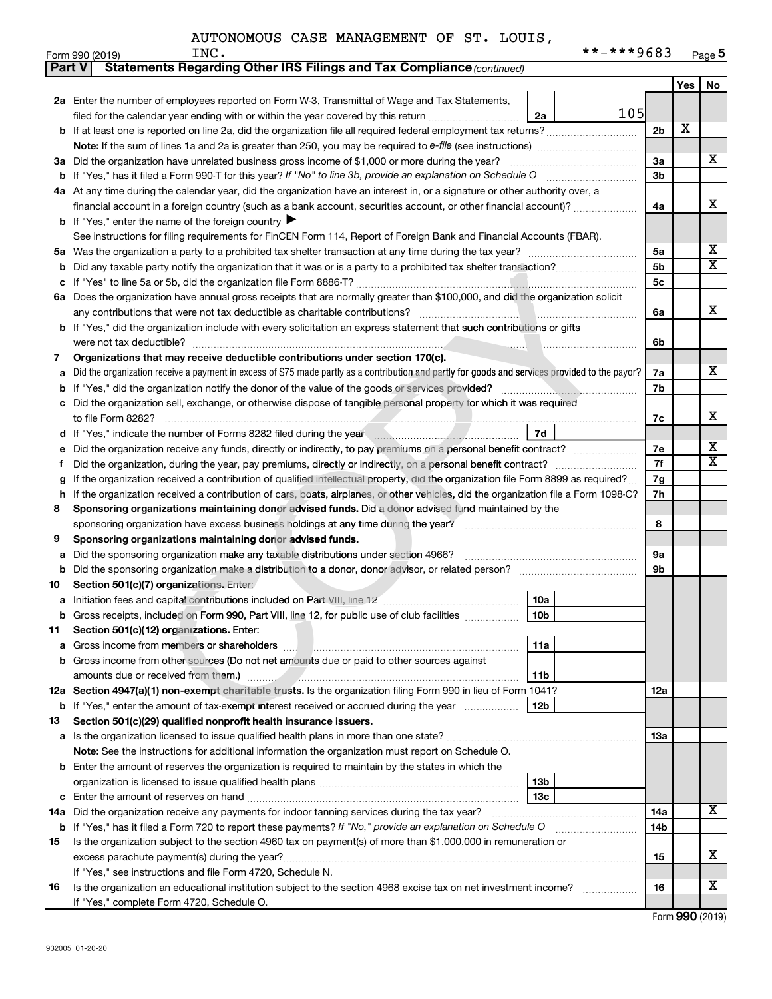|  |  | AUTONOMOUS CASE MANAGEMENT OF ST. LOUIS, |  |  |  |  |
|--|--|------------------------------------------|--|--|--|--|
|--|--|------------------------------------------|--|--|--|--|

|        | **-***9683<br>INC.<br>Form 990 (2019)                                                                                                           |                |     | Page 5                  |  |  |  |
|--------|-------------------------------------------------------------------------------------------------------------------------------------------------|----------------|-----|-------------------------|--|--|--|
| Part V | Statements Regarding Other IRS Filings and Tax Compliance (continued)                                                                           |                |     |                         |  |  |  |
|        |                                                                                                                                                 |                | Yes | No                      |  |  |  |
|        | 2a Enter the number of employees reported on Form W-3, Transmittal of Wage and Tax Statements,                                                  |                |     |                         |  |  |  |
|        | 105<br>filed for the calendar year ending with or within the year covered by this return<br>2a                                                  |                |     |                         |  |  |  |
|        |                                                                                                                                                 | 2 <sub>b</sub> | х   |                         |  |  |  |
|        |                                                                                                                                                 |                |     |                         |  |  |  |
|        | 3a Did the organization have unrelated business gross income of \$1,000 or more during the year?                                                | 3a             |     | X.                      |  |  |  |
|        |                                                                                                                                                 | 3b             |     |                         |  |  |  |
|        | 4a At any time during the calendar year, did the organization have an interest in, or a signature or other authority over, a                    |                |     |                         |  |  |  |
|        | financial account in a foreign country (such as a bank account, securities account, or other financial account)?                                | 4a             |     | х                       |  |  |  |
|        | <b>b</b> If "Yes," enter the name of the foreign country $\blacktriangleright$                                                                  |                |     |                         |  |  |  |
|        | See instructions for filing requirements for FinCEN Form 114, Report of Foreign Bank and Financial Accounts (FBAR).                             |                |     |                         |  |  |  |
|        |                                                                                                                                                 | 5a             |     | x                       |  |  |  |
| b      |                                                                                                                                                 | 5b             |     | $\overline{\texttt{x}}$ |  |  |  |
|        |                                                                                                                                                 | 5c             |     |                         |  |  |  |
|        | 6a Does the organization have annual gross receipts that are normally greater than \$100,000, and did the organization solicit                  |                |     |                         |  |  |  |
|        |                                                                                                                                                 | 6a             |     | х                       |  |  |  |
|        | b If "Yes," did the organization include with every solicitation an express statement that such contributions or gifts                          |                |     |                         |  |  |  |
|        | were not tax deductible?                                                                                                                        | 6b             |     |                         |  |  |  |
| 7      | Organizations that may receive deductible contributions under section 170(c).                                                                   |                |     |                         |  |  |  |
| а      | Did the organization receive a payment in excess of \$75 made partly as a contribution and partly for goods and services provided to the payor? | 7a             |     | X.                      |  |  |  |
| b      |                                                                                                                                                 | 7b             |     |                         |  |  |  |
|        | c Did the organization sell, exchange, or otherwise dispose of tangible personal property for which it was required                             |                |     |                         |  |  |  |
|        |                                                                                                                                                 | 7c             |     | x                       |  |  |  |
|        | 7d<br>d If "Yes," indicate the number of Forms 8282 filed during the year manufactured in the second of the second summand of the Second St.    |                |     |                         |  |  |  |
| е      |                                                                                                                                                 | 7е             |     | x                       |  |  |  |
| Ť.     |                                                                                                                                                 | 7f             |     | $\overline{\mathbf{x}}$ |  |  |  |
| g      | If the organization received a contribution of qualified intellectual property, did the organization file Form 8899 as required?                |                |     |                         |  |  |  |
|        | h If the organization received a contribution of cars, boats, airplanes, or other vehicles, did the organization file a Form 1098-C?            | 7h             |     |                         |  |  |  |
| 8      | Sponsoring organizations maintaining donor advised funds. Did a donor advised fund maintained by the                                            |                |     |                         |  |  |  |
|        |                                                                                                                                                 | 8              |     |                         |  |  |  |
| 9      | Sponsoring organizations maintaining donor advised funds.                                                                                       |                |     |                         |  |  |  |
| а      |                                                                                                                                                 | 9а             |     |                         |  |  |  |
| b      | Did the sponsoring organization make a distribution to a donor, donor advisor, or related person?                                               | 9b             |     |                         |  |  |  |
| 10     | Section 501(c)(7) organizations. Enter:                                                                                                         |                |     |                         |  |  |  |
|        | 10a                                                                                                                                             |                |     |                         |  |  |  |
| b      | Gross receipts, included on Form 990, Part VIII, line 12, for public use of club facilities<br>10b                                              |                |     |                         |  |  |  |
| 11     | Section 501(c)(12) organizations. Enter:                                                                                                        |                |     |                         |  |  |  |
| а      | 11a                                                                                                                                             |                |     |                         |  |  |  |
| b      | Gross income from other sources (Do not net amounts due or paid to other sources against                                                        |                |     |                         |  |  |  |
|        | amounts due or received from them.)<br>11b                                                                                                      |                |     |                         |  |  |  |
|        | 12a Section 4947(a)(1) non-exempt charitable trusts. Is the organization filing Form 990 in lieu of Form 1041?                                  | 12a            |     |                         |  |  |  |
| b      | If "Yes," enter the amount of tax-exempt interest received or accrued during the year<br>12b                                                    |                |     |                         |  |  |  |
| 13     | Section 501(c)(29) qualified nonprofit health insurance issuers.                                                                                |                |     |                         |  |  |  |
|        | <b>a</b> Is the organization licensed to issue qualified health plans in more than one state?                                                   | 13a            |     |                         |  |  |  |
|        | Note: See the instructions for additional information the organization must report on Schedule O.                                               |                |     |                         |  |  |  |
|        | <b>b</b> Enter the amount of reserves the organization is required to maintain by the states in which the                                       |                |     |                         |  |  |  |
|        | 13b                                                                                                                                             |                |     |                         |  |  |  |
| с      | 13с                                                                                                                                             |                |     |                         |  |  |  |
| 14a    | Did the organization receive any payments for indoor tanning services during the tax year?                                                      | 14a            |     | х                       |  |  |  |
| b      | If "Yes," has it filed a Form 720 to report these payments? If "No," provide an explanation on Schedule O                                       | 14b            |     |                         |  |  |  |
| 15     | Is the organization subject to the section 4960 tax on payment(s) of more than \$1,000,000 in remuneration or                                   |                |     |                         |  |  |  |
|        | excess parachute payment(s) during the year?                                                                                                    | 15             |     | x                       |  |  |  |
|        | If "Yes," see instructions and file Form 4720, Schedule N.                                                                                      |                |     |                         |  |  |  |
| 16     | Is the organization an educational institution subject to the section 4968 excise tax on net investment income?                                 | 16             |     | x                       |  |  |  |
|        | If "Yes," complete Form 4720, Schedule O.                                                                                                       |                |     |                         |  |  |  |

Form (2019) **990**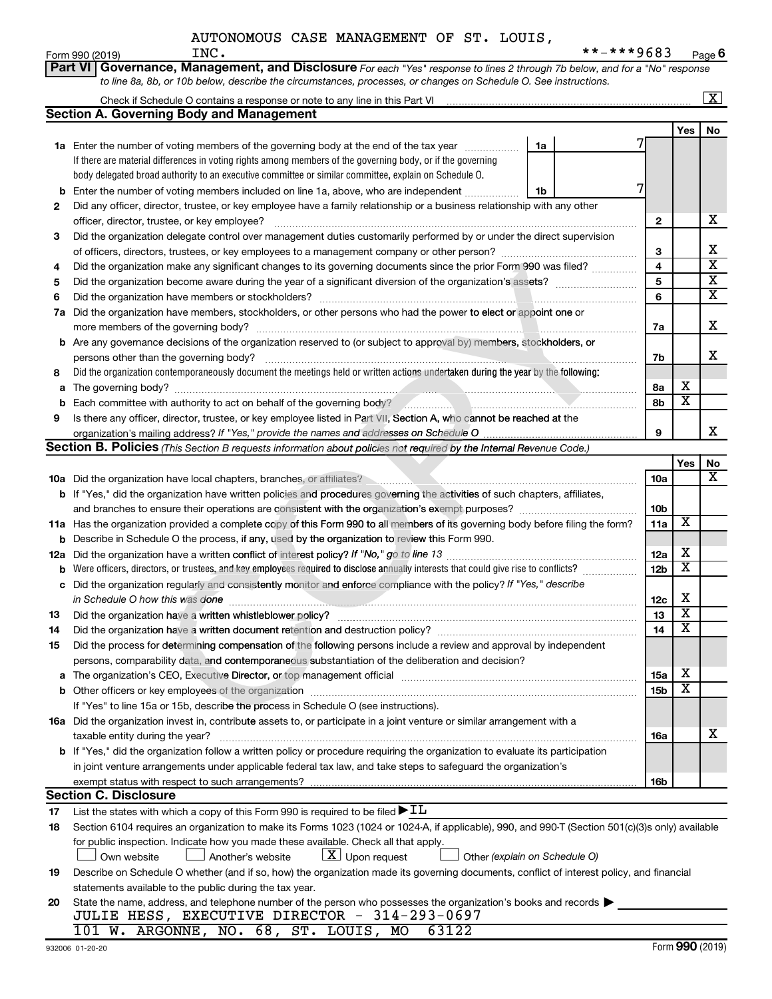|    | AUTONOMOUS CASE MANAGEMENT OF ST. LOUIS,                                                                                                         |                         |                         |                         |
|----|--------------------------------------------------------------------------------------------------------------------------------------------------|-------------------------|-------------------------|-------------------------|
|    | **-***9683<br>INC.<br>Form 990 (2019)                                                                                                            |                         |                         | Page $6$                |
|    | Governance, Management, and Disclosure For each "Yes" response to lines 2 through 7b below, and for a "No" response<br>Part VI                   |                         |                         |                         |
|    | to line 8a, 8b, or 10b below, describe the circumstances, processes, or changes on Schedule O. See instructions.                                 |                         |                         |                         |
|    |                                                                                                                                                  |                         |                         | $\overline{\mathbf{x}}$ |
|    | <b>Section A. Governing Body and Management</b>                                                                                                  |                         |                         |                         |
|    |                                                                                                                                                  |                         | Yes                     | No                      |
|    | <b>1a</b> Enter the number of voting members of the governing body at the end of the tax year<br>1a                                              |                         |                         |                         |
|    | If there are material differences in voting rights among members of the governing body, or if the governing                                      |                         |                         |                         |
|    | body delegated broad authority to an executive committee or similar committee, explain on Schedule O.                                            |                         |                         |                         |
| b  | Enter the number of voting members included on line 1a, above, who are independent<br>1b                                                         |                         |                         |                         |
| 2  | Did any officer, director, trustee, or key employee have a family relationship or a business relationship with any other                         |                         |                         |                         |
|    | officer, director, trustee, or key employee?                                                                                                     | $\mathbf{2}$            |                         | x                       |
| 3  | Did the organization delegate control over management duties customarily performed by or under the direct supervision                            |                         |                         |                         |
|    |                                                                                                                                                  | 3                       |                         | х                       |
| 4  | Did the organization make any significant changes to its governing documents since the prior Form 990 was filed?                                 | $\overline{\mathbf{4}}$ |                         | $\overline{\textbf{x}}$ |
| 5  |                                                                                                                                                  | 5                       |                         | $\overline{\textbf{X}}$ |
| 6  |                                                                                                                                                  | 6                       |                         | $\overline{\mathtt{x}}$ |
|    | 7a Did the organization have members, stockholders, or other persons who had the power to elect or appoint one or                                |                         |                         |                         |
|    |                                                                                                                                                  | 7a                      |                         | x                       |
|    | <b>b</b> Are any governance decisions of the organization reserved to (or subject to approval by) members, stockholders, or                      |                         |                         |                         |
|    | persons other than the governing body?                                                                                                           | 7b                      |                         | x                       |
| 8  | Did the organization contemporaneously document the meetings held or written actions undertaken during the year by the following:                |                         |                         |                         |
|    | The governing body?                                                                                                                              | 8а                      | х                       |                         |
| a  |                                                                                                                                                  |                         | х                       |                         |
| b  | Each committee with authority to act on behalf of the governing body?<br>Fach committee with authority to act on behalf of the governing body?   | 8b                      |                         |                         |
| 9  | Is there any officer, director, trustee, or key employee listed in Part VII, Section A, who cannot be reached at the                             |                         |                         | x                       |
|    |                                                                                                                                                  | 9                       |                         |                         |
|    | Section B. Policies (This Section B requests information about policies not required by the Internal Revenue Code.)                              |                         |                         |                         |
|    |                                                                                                                                                  |                         | Yes                     | No<br>x                 |
|    |                                                                                                                                                  | 10a                     |                         |                         |
|    | b If "Yes," did the organization have written policies and procedures governing the activities of such chapters, affiliates,                     |                         |                         |                         |
|    |                                                                                                                                                  | 10 <sub>b</sub>         | $\overline{\mathbf{x}}$ |                         |
|    | 11a Has the organization provided a complete copy of this Form 990 to all members of its governing body before filing the form?                  | 11a                     |                         |                         |
|    | <b>b</b> Describe in Schedule O the process, if any, used by the organization to review this Form 990.                                           |                         |                         |                         |
|    | 12a Did the organization have a written conflict of interest policy? If "No," go to line 13                                                      | 12a                     | х                       |                         |
|    | <b>b</b> Were officers, directors, or trustees, and key employees required to disclose annually interests that could give rise to conflicts?     | 12 <sub>b</sub>         | $\overline{\textbf{x}}$ |                         |
|    | c Did the organization regularly and consistently monitor and enforce compliance with the policy? If "Yes," describe                             |                         |                         |                         |
|    | in Schedule O how this was done                                                                                                                  | 12c                     | Χ                       |                         |
| 13 | Did the organization have a written whistleblower policy?                                                                                        | 13                      | $\overline{\texttt{x}}$ |                         |
| 14 |                                                                                                                                                  | 14                      | X                       |                         |
| 15 | Did the process for determining compensation of the following persons include a review and approval by independent                               |                         |                         |                         |
|    | persons, comparability data, and contemporaneous substantiation of the deliberation and decision?                                                |                         |                         |                         |
| a  |                                                                                                                                                  | 15a                     | х                       |                         |
|    |                                                                                                                                                  | 15 <sub>b</sub>         | x                       |                         |
|    | If "Yes" to line 15a or 15b, describe the process in Schedule O (see instructions).                                                              |                         |                         |                         |
|    | 16a Did the organization invest in, contribute assets to, or participate in a joint venture or similar arrangement with a                        |                         |                         |                         |
|    | taxable entity during the year?                                                                                                                  | 16a                     |                         | х                       |
|    | b If "Yes," did the organization follow a written policy or procedure requiring the organization to evaluate its participation                   |                         |                         |                         |
|    | in joint venture arrangements under applicable federal tax law, and take steps to safeguard the organization's                                   |                         |                         |                         |
|    | exempt status with respect to such arrangements?                                                                                                 | 16b                     |                         |                         |
|    | <b>Section C. Disclosure</b>                                                                                                                     |                         |                         |                         |
| 17 | List the states with which a copy of this Form 990 is required to be filed $\blacktriangleright$ IL                                              |                         |                         |                         |
| 18 | Section 6104 requires an organization to make its Forms 1023 (1024 or 1024-A, if applicable), 990, and 990-T (Section 501(c)(3)s only) available |                         |                         |                         |
|    | for public inspection. Indicate how you made these available. Check all that apply.                                                              |                         |                         |                         |
|    | $\lfloor \underline{X} \rfloor$ Upon request<br>Another's website<br>Other (explain on Schedule O)<br>Own website                                |                         |                         |                         |
| 19 | Describe on Schedule O whether (and if so, how) the organization made its governing documents, conflict of interest policy, and financial        |                         |                         |                         |
|    | statements available to the public during the tax year.                                                                                          |                         |                         |                         |
| 20 | State the name, address, and telephone number of the person who possesses the organization's books and records                                   |                         |                         |                         |
|    | JULIE HESS, EXECUTIVE DIRECTOR - 314-293-0697                                                                                                    |                         |                         |                         |
|    | 101 W. ARGONNE, NO. 68, ST. LOUIS, MO 63122                                                                                                      |                         |                         |                         |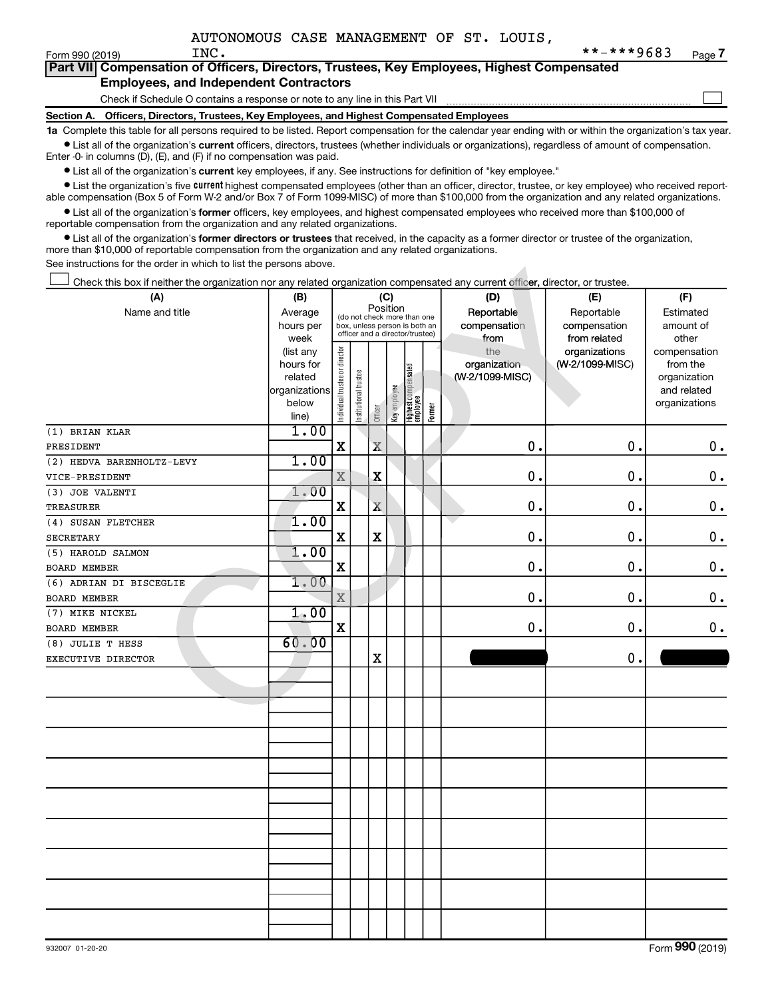$\begin{array}{c} \hline \end{array}$ 

|  |                                               |  |  | Part VII Compensation of Officers, Directors, Trustees, Key Employees, Highest Compensated |  |
|--|-----------------------------------------------|--|--|--------------------------------------------------------------------------------------------|--|
|  | <b>Employees, and Independent Contractors</b> |  |  |                                                                                            |  |

Check if Schedule O contains a response or note to any line in this Part VII

**Section A. Officers, Directors, Trustees, Key Employees, and Highest Compensated Employees**

**1a**  Complete this table for all persons required to be listed. Report compensation for the calendar year ending with or within the organization's tax year.  $\bullet$  List all of the organization's current officers, directors, trustees (whether individuals or organizations), regardless of amount of compensation.

Enter -0- in columns (D), (E), and (F) if no compensation was paid.

**•** List all of the organization's current key employees, if any. See instructions for definition of "key employee."

**Examber 1** List the organization's five *current* highest compensated employees (other than an officer, director, trustee, or key employee) who received reportable compensation (Box 5 of Form W-2 and/or Box 7 of Form 1099-MISC) of more than \$100,000 from the organization and any related organizations.

 $\bullet$  List all of the organization's former officers, key employees, and highest compensated employees who received more than \$100,000 of reportable compensation from the organization and any related organizations.

**•** List all of the organization's former directors or trustees that received, in the capacity as a former director or trustee of the organization, more than \$10,000 of reportable compensation from the organization and any related organizations.

See instructions for the order in which to list the persons above.

| Check this box if neither the organization nor any related organization compensated any current officer, director, or trustee. |                                                                      |                                |                                                                                                             |             |              |                                           |  |                                        |                                            |                                                                          |
|--------------------------------------------------------------------------------------------------------------------------------|----------------------------------------------------------------------|--------------------------------|-------------------------------------------------------------------------------------------------------------|-------------|--------------|-------------------------------------------|--|----------------------------------------|--------------------------------------------|--------------------------------------------------------------------------|
| (A)                                                                                                                            | (B)                                                                  | (C)                            |                                                                                                             |             |              |                                           |  | (D)                                    | (E)                                        | (F)                                                                      |
| Name and title                                                                                                                 | Average<br>hours per<br>week                                         |                                | Position<br>(do not check more than one<br>box, unless person is both an<br>officer and a director/trustee) |             |              |                                           |  | Reportable<br>compensation<br>from     | Reportable<br>compensation<br>from related | Estimated<br>amount of<br>other                                          |
|                                                                                                                                | (list any<br>hours for<br>related<br>organizations<br>below<br>line) | Individual trustee or director | Institutional trustee                                                                                       | Officer     | Key employee | Highest compensated<br>employee<br>Former |  | the<br>organization<br>(W-2/1099-MISC) | organizations<br>(W-2/1099-MISC)           | compensation<br>from the<br>organization<br>and related<br>organizations |
| (1) BRIAN KLAR                                                                                                                 | 1.00                                                                 |                                |                                                                                                             |             |              |                                           |  |                                        |                                            |                                                                          |
| PRESIDENT                                                                                                                      |                                                                      | $\mathbf X$                    |                                                                                                             | $\mathbf X$ |              |                                           |  | $\pmb{0}$                              | $\mathbf 0$                                | 0.                                                                       |
| (2) HEDVA BARENHOLTZ-LEVY                                                                                                      | 1.00                                                                 |                                |                                                                                                             |             |              |                                           |  |                                        |                                            |                                                                          |
| VICE-PRESIDENT                                                                                                                 |                                                                      | $\mathbf X$                    |                                                                                                             | $\mathbf X$ |              |                                           |  | $\mathbf 0$                            | $\mathbf 0$                                | $\mathbf 0$ .                                                            |
| (3) JOE VALENTI                                                                                                                | 1.00                                                                 |                                |                                                                                                             |             |              |                                           |  |                                        |                                            |                                                                          |
| TREASURER                                                                                                                      |                                                                      | $\mathbf X$                    |                                                                                                             | $\mathbf X$ |              |                                           |  | $\mathbf 0$                            | $\mathbf 0$                                | $\mathbf 0$ .                                                            |
| (4) SUSAN FLETCHER                                                                                                             | 1.00                                                                 |                                |                                                                                                             |             |              |                                           |  |                                        |                                            |                                                                          |
| <b>SECRETARY</b>                                                                                                               |                                                                      | $\mathbf X$                    |                                                                                                             | $\mathbf x$ |              |                                           |  | $\mathbf 0$                            | 0.                                         | $\mathbf 0$ .                                                            |
| (5) HAROLD SALMON                                                                                                              | 1.00                                                                 |                                |                                                                                                             |             |              |                                           |  |                                        |                                            |                                                                          |
| BOARD MEMBER                                                                                                                   |                                                                      | $\mathbf x$                    |                                                                                                             |             |              |                                           |  | $\mathbf 0$                            | 0.                                         | 0.                                                                       |
| $(6)$ ADRIAN DI BISCEGLIE                                                                                                      | 1.00                                                                 |                                |                                                                                                             |             |              |                                           |  |                                        |                                            |                                                                          |
| <b>BOARD MEMBER</b>                                                                                                            |                                                                      | $\rm X$                        |                                                                                                             |             |              |                                           |  | $\mathbf 0$                            | 0.                                         | 0.                                                                       |
| (7) MIKE NICKEL                                                                                                                | 1,00                                                                 |                                |                                                                                                             |             |              |                                           |  |                                        |                                            |                                                                          |
| <b>BOARD MEMBER</b>                                                                                                            |                                                                      | $\mathbf x$                    |                                                                                                             |             |              |                                           |  | $\mathbf 0$ .                          | 0.                                         | 0.                                                                       |
| (8) JULIE T HESS                                                                                                               | 60.00                                                                |                                |                                                                                                             |             |              |                                           |  |                                        |                                            |                                                                          |
| EXECUTIVE DIRECTOR                                                                                                             |                                                                      |                                |                                                                                                             | X           |              |                                           |  |                                        | $\mathbf 0$                                |                                                                          |
|                                                                                                                                |                                                                      |                                |                                                                                                             |             |              |                                           |  |                                        |                                            |                                                                          |
|                                                                                                                                |                                                                      |                                |                                                                                                             |             |              |                                           |  |                                        |                                            |                                                                          |
|                                                                                                                                |                                                                      |                                |                                                                                                             |             |              |                                           |  |                                        |                                            |                                                                          |
|                                                                                                                                |                                                                      |                                |                                                                                                             |             |              |                                           |  |                                        |                                            |                                                                          |
|                                                                                                                                |                                                                      |                                |                                                                                                             |             |              |                                           |  |                                        |                                            |                                                                          |
|                                                                                                                                |                                                                      |                                |                                                                                                             |             |              |                                           |  |                                        |                                            |                                                                          |
|                                                                                                                                |                                                                      |                                |                                                                                                             |             |              |                                           |  |                                        |                                            |                                                                          |
|                                                                                                                                |                                                                      |                                |                                                                                                             |             |              |                                           |  |                                        |                                            |                                                                          |
|                                                                                                                                |                                                                      |                                |                                                                                                             |             |              |                                           |  |                                        |                                            |                                                                          |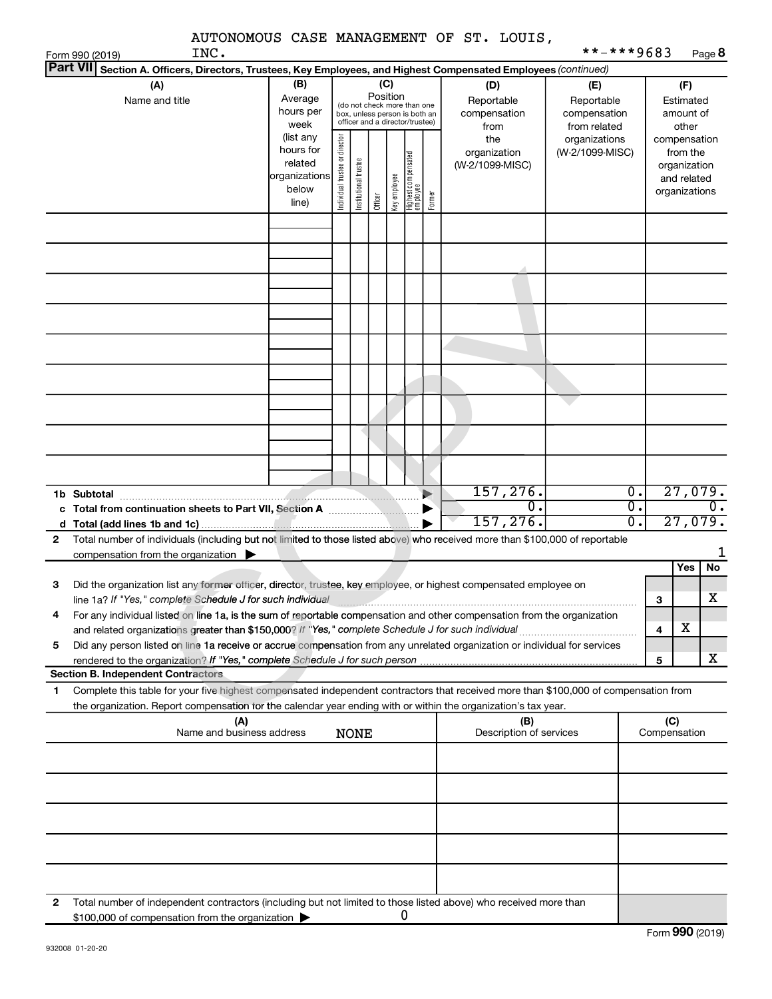|                 |                                                                                                                                                                                                                                 |                                                                      |                                |                       |                 |              |                                                                                                 |        | AUTONOMOUS CASE MANAGEMENT OF ST. LOUIS,  | **-***9683                                        |                                            |                     |                                                                          |                                        |
|-----------------|---------------------------------------------------------------------------------------------------------------------------------------------------------------------------------------------------------------------------------|----------------------------------------------------------------------|--------------------------------|-----------------------|-----------------|--------------|-------------------------------------------------------------------------------------------------|--------|-------------------------------------------|---------------------------------------------------|--------------------------------------------|---------------------|--------------------------------------------------------------------------|----------------------------------------|
| <b>Part VII</b> | INC.<br>Form 990 (2019)<br>Section A. Officers, Directors, Trustees, Key Employees, and Highest Compensated Employees (continued)                                                                                               |                                                                      |                                |                       |                 |              |                                                                                                 |        |                                           |                                                   |                                            |                     |                                                                          | Page 8                                 |
|                 | (A)<br>Name and title                                                                                                                                                                                                           | (B)<br>Average<br>hours per<br>week                                  |                                |                       | (C)<br>Position |              | (do not check more than one<br>box, unless person is both an<br>officer and a director/trustee) |        | (D)<br>Reportable<br>compensation<br>from | (E)<br>Reportable<br>compensation<br>from related |                                            |                     | (F)<br>Estimated<br>amount of<br>other                                   |                                        |
|                 |                                                                                                                                                                                                                                 | (list any<br>hours for<br>related<br>organizations<br>below<br>line) | Individual trustee or director | Institutional trustee | Officer         | Key employee | Highest compensated<br>employee                                                                 | Former | the<br>organization<br>(W-2/1099-MISC)    | organizations<br>(W-2/1099-MISC)                  |                                            |                     | compensation<br>from the<br>organization<br>and related<br>organizations |                                        |
|                 |                                                                                                                                                                                                                                 |                                                                      |                                |                       |                 |              |                                                                                                 |        |                                           |                                                   |                                            |                     |                                                                          |                                        |
|                 |                                                                                                                                                                                                                                 |                                                                      |                                |                       |                 |              |                                                                                                 |        |                                           |                                                   |                                            |                     |                                                                          |                                        |
|                 |                                                                                                                                                                                                                                 |                                                                      |                                |                       |                 |              |                                                                                                 |        |                                           |                                                   |                                            |                     |                                                                          |                                        |
|                 |                                                                                                                                                                                                                                 |                                                                      |                                |                       |                 |              |                                                                                                 |        |                                           |                                                   |                                            |                     |                                                                          |                                        |
|                 |                                                                                                                                                                                                                                 |                                                                      |                                |                       |                 |              |                                                                                                 | ▶      | 157,276.<br>0.<br>157, 276.               |                                                   | $\overline{0}$ .<br>$\overline{0}$ .<br>0. |                     |                                                                          | 27,079.<br>$\overline{0}$ .<br>27,079. |
| 2               | Total number of individuals (including but not limited to those listed above) who received more than \$100,000 of reportable<br>compensation from the organization $\blacktriangleright$                                        |                                                                      |                                |                       |                 |              |                                                                                                 |        |                                           |                                                   |                                            |                     |                                                                          | 1                                      |
| З               | Did the organization list any former officer, director, trustee, key employee, or highest compensated employee on<br>line 1a? If "Yes," complete Schedule J for such individual                                                 |                                                                      |                                |                       |                 |              |                                                                                                 |        |                                           |                                                   |                                            | 3                   | Yes                                                                      | No<br>х                                |
| 4               | For any individual listed on line 1a, is the sum of reportable compensation and other compensation from the organization<br>and related organizations greater than \$150,000? If "Yes," complete Schedule J for such individual |                                                                      |                                |                       |                 |              |                                                                                                 |        |                                           |                                                   |                                            | 4                   | х                                                                        |                                        |
| 5               | Did any person listed on line 1a receive or accrue compensation from any unrelated organization or individual for services                                                                                                      |                                                                      |                                |                       |                 |              |                                                                                                 |        |                                           |                                                   |                                            | 5                   |                                                                          | x                                      |
| 1.              | <b>Section B. Independent Contractors</b><br>Complete this table for your five highest compensated independent contractors that received more than \$100,000 of compensation from                                               |                                                                      |                                |                       |                 |              |                                                                                                 |        |                                           |                                                   |                                            |                     |                                                                          |                                        |
|                 | the organization. Report compensation for the calendar year ending with or within the organization's tax year.<br>(A)<br>Name and business address                                                                              |                                                                      |                                | <b>NONE</b>           |                 |              |                                                                                                 |        | (B)<br>Description of services            |                                                   |                                            | (C)<br>Compensation |                                                                          |                                        |
|                 |                                                                                                                                                                                                                                 |                                                                      |                                |                       |                 |              |                                                                                                 |        |                                           |                                                   |                                            |                     |                                                                          |                                        |
|                 |                                                                                                                                                                                                                                 |                                                                      |                                |                       |                 |              |                                                                                                 |        |                                           |                                                   |                                            |                     |                                                                          |                                        |
|                 |                                                                                                                                                                                                                                 |                                                                      |                                |                       |                 |              |                                                                                                 |        |                                           |                                                   |                                            |                     |                                                                          |                                        |
|                 |                                                                                                                                                                                                                                 |                                                                      |                                |                       |                 |              |                                                                                                 |        |                                           |                                                   |                                            |                     |                                                                          |                                        |
| 2               | Total number of independent contractors (including but not limited to those listed above) who received more than<br>\$100,000 of compensation from the organization                                                             |                                                                      |                                |                       |                 |              | 0                                                                                               |        |                                           |                                                   |                                            |                     |                                                                          |                                        |

| 932008 01-20-20 |
|-----------------|
|                 |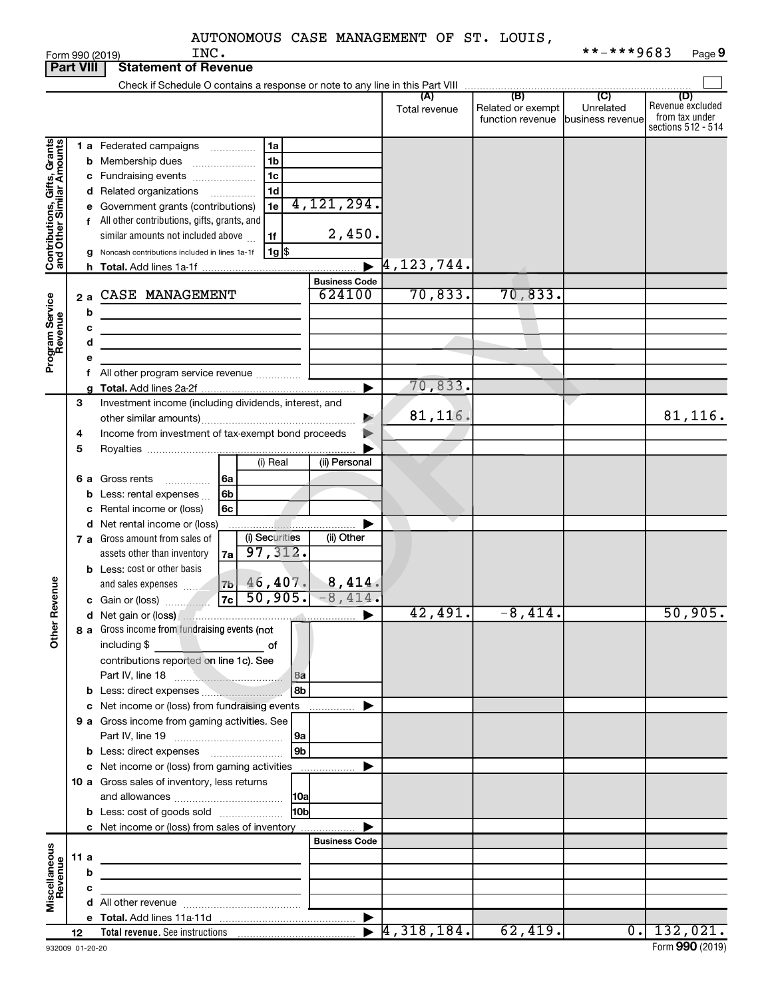|                                                           |                  |   | INC.<br>Form 990 (2019)                                                                  |                                |                                  |                                              | **-***9683                                      | Page 9                                                          |
|-----------------------------------------------------------|------------------|---|------------------------------------------------------------------------------------------|--------------------------------|----------------------------------|----------------------------------------------|-------------------------------------------------|-----------------------------------------------------------------|
|                                                           | <b>Part VIII</b> |   | <b>Statement of Revenue</b>                                                              |                                |                                  |                                              |                                                 |                                                                 |
|                                                           |                  |   | Check if Schedule O contains a response or note to any line in this Part VIII            |                                |                                  |                                              |                                                 |                                                                 |
|                                                           |                  |   |                                                                                          |                                | (A)<br>Total revenue             | (B)<br>Related or exempt<br>function revenue | $\overline{C}$<br>Unrelated<br>business revenue | (D)<br>Revenue excluded<br>from tax under<br>sections 512 - 514 |
|                                                           |                  |   | 1a<br>1 a Federated campaigns                                                            |                                |                                  |                                              |                                                 |                                                                 |
| Contributions, Gifts, Grants<br>and Other Similar Amounts |                  |   | 1 <sub>b</sub>                                                                           |                                |                                  |                                              |                                                 |                                                                 |
|                                                           |                  |   | <b>b</b> Membership dues<br>1 <sub>c</sub>                                               |                                |                                  |                                              |                                                 |                                                                 |
|                                                           |                  |   | c Fundraising events<br>1 <sub>d</sub>                                                   |                                |                                  |                                              |                                                 |                                                                 |
|                                                           |                  |   | d Related organizations<br>1e                                                            | 4, 121, 294.                   |                                  |                                              |                                                 |                                                                 |
|                                                           |                  |   | e Government grants (contributions)                                                      |                                |                                  |                                              |                                                 |                                                                 |
|                                                           |                  |   | f All other contributions, gifts, grants, and                                            | 2,450.                         |                                  |                                              |                                                 |                                                                 |
|                                                           |                  |   | similar amounts not included above<br>1f                                                 |                                |                                  |                                              |                                                 |                                                                 |
|                                                           |                  |   | $1g$ \$<br>g Noncash contributions included in lines 1a-1f                               |                                | $\overline{4}$ , 123, 744.       |                                              |                                                 |                                                                 |
|                                                           |                  |   |                                                                                          |                                |                                  |                                              |                                                 |                                                                 |
|                                                           |                  |   | CASE MANAGEMENT                                                                          | <b>Business Code</b><br>624100 | 70,833.                          | 70, 833.                                     |                                                 |                                                                 |
| Program Service<br>Revenue                                | 2a               |   |                                                                                          |                                |                                  |                                              |                                                 |                                                                 |
|                                                           |                  | b |                                                                                          |                                |                                  |                                              |                                                 |                                                                 |
|                                                           |                  | c |                                                                                          |                                |                                  |                                              |                                                 |                                                                 |
|                                                           |                  | d |                                                                                          |                                |                                  |                                              |                                                 |                                                                 |
|                                                           |                  |   |                                                                                          |                                |                                  |                                              |                                                 |                                                                 |
|                                                           |                  |   | f All other program service revenue                                                      |                                | 70,833.                          |                                              |                                                 |                                                                 |
|                                                           |                  |   |                                                                                          |                                |                                  |                                              |                                                 |                                                                 |
|                                                           | 3                |   | Investment income (including dividends, interest, and                                    |                                | 81,116                           |                                              |                                                 | 81,116.                                                         |
|                                                           |                  |   | Income from investment of tax-exempt bond proceeds                                       | ▶                              |                                  |                                              |                                                 |                                                                 |
|                                                           | 4                |   |                                                                                          |                                |                                  |                                              |                                                 |                                                                 |
|                                                           | 5                |   | (i) Real                                                                                 | (ii) Personal                  |                                  |                                              |                                                 |                                                                 |
|                                                           |                  |   |                                                                                          |                                |                                  |                                              |                                                 |                                                                 |
|                                                           |                  |   | 6 a Gross rents<br>6a                                                                    |                                |                                  |                                              |                                                 |                                                                 |
|                                                           |                  |   | <b>b</b> Less: rental expenses $\ldots$<br>6b                                            |                                |                                  |                                              |                                                 |                                                                 |
|                                                           |                  |   | 6c<br>c Rental income or (loss)                                                          |                                |                                  |                                              |                                                 |                                                                 |
|                                                           |                  |   | d Net rental income or (loss)<br>(i) Securities<br><b>7 a</b> Gross amount from sales of | (ii) Other                     |                                  |                                              |                                                 |                                                                 |
|                                                           |                  |   | 97,312.<br>assets other than inventory                                                   |                                |                                  |                                              |                                                 |                                                                 |
|                                                           |                  |   | 7a<br><b>b</b> Less: cost or other basis                                                 |                                |                                  |                                              |                                                 |                                                                 |
|                                                           |                  |   | and sales expenses                                                                       | $46,407$ $8,414$ .             |                                  |                                              |                                                 |                                                                 |
| evenue                                                    |                  |   | 7 <sub>b</sub>  <br>50,905.<br><b>7c</b>                                                 | $-8,414.$                      |                                  |                                              |                                                 |                                                                 |
| œ                                                         |                  |   |                                                                                          |                                | $\overline{42}$ , $491.$         | $-8,414.$                                    |                                                 | 50,905.                                                         |
|                                                           |                  |   | 8 a Gross income from fundraising events (not                                            |                                |                                  |                                              |                                                 |                                                                 |
| Other                                                     |                  |   | including \$<br>$\overline{\phantom{a}}$ of                                              |                                |                                  |                                              |                                                 |                                                                 |
|                                                           |                  |   | contributions reported on line 1c). See                                                  |                                |                                  |                                              |                                                 |                                                                 |
|                                                           |                  |   | l 8a<br>Part IV, line 18                                                                 |                                |                                  |                                              |                                                 |                                                                 |
|                                                           |                  |   | 8 <sub>b</sub><br><b>b</b> Less: direct expenses                                         |                                |                                  |                                              |                                                 |                                                                 |
|                                                           |                  |   | c Net income or (loss) from fundraising events                                           | ▶                              |                                  |                                              |                                                 |                                                                 |
|                                                           |                  |   | 9 a Gross income from gaming activities. See                                             |                                |                                  |                                              |                                                 |                                                                 |
|                                                           |                  |   | l 9a                                                                                     |                                |                                  |                                              |                                                 |                                                                 |
|                                                           |                  |   | 9 <sub>b</sub>                                                                           |                                |                                  |                                              |                                                 |                                                                 |
|                                                           |                  |   | c Net income or (loss) from gaming activities                                            | ▶                              |                                  |                                              |                                                 |                                                                 |
|                                                           |                  |   | 10 a Gross sales of inventory, less returns                                              |                                |                                  |                                              |                                                 |                                                                 |
|                                                           |                  |   |                                                                                          |                                |                                  |                                              |                                                 |                                                                 |
|                                                           |                  |   | 10 <sub>b</sub><br><b>b</b> Less: cost of goods sold                                     |                                |                                  |                                              |                                                 |                                                                 |
|                                                           |                  |   | c Net income or (loss) from sales of inventory                                           |                                |                                  |                                              |                                                 |                                                                 |
|                                                           |                  |   |                                                                                          | <b>Business Code</b>           |                                  |                                              |                                                 |                                                                 |
|                                                           | 11 a             |   |                                                                                          |                                |                                  |                                              |                                                 |                                                                 |
|                                                           |                  | b |                                                                                          |                                |                                  |                                              |                                                 |                                                                 |
| Miscellaneous<br>Revenue                                  |                  | c |                                                                                          |                                |                                  |                                              |                                                 |                                                                 |
|                                                           |                  |   |                                                                                          |                                |                                  |                                              |                                                 |                                                                 |
|                                                           |                  |   |                                                                                          |                                |                                  |                                              |                                                 |                                                                 |
|                                                           | 12               |   |                                                                                          |                                | $\blacktriangleright$ 4,318,184. | 62,419.                                      |                                                 | $0.$   132,021.                                                 |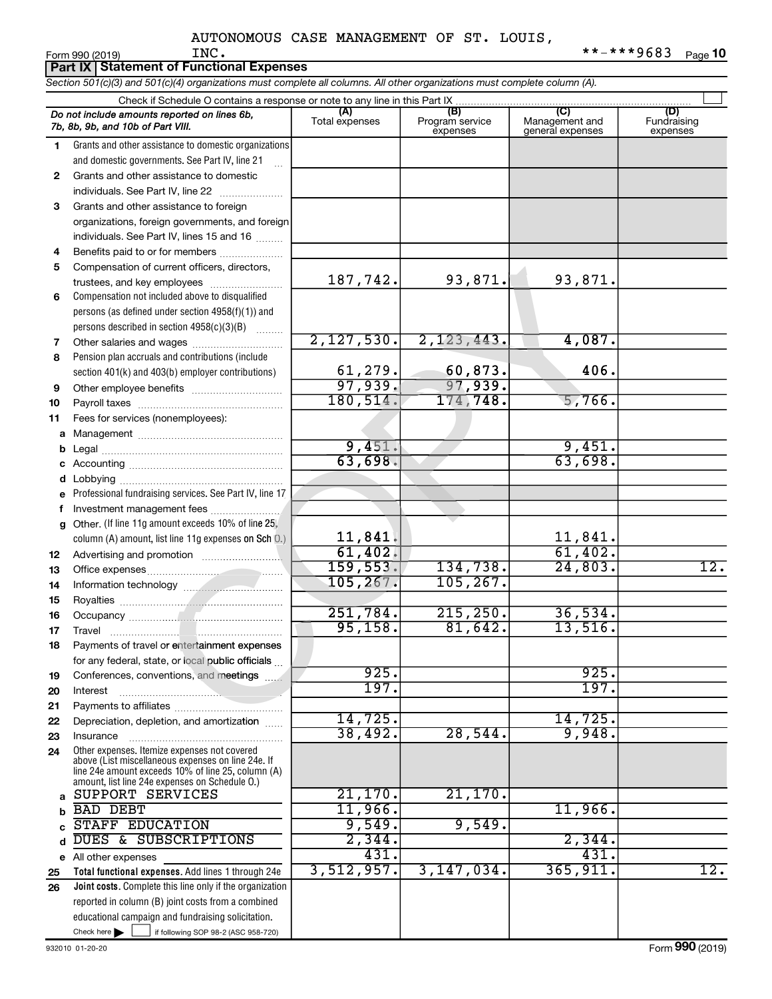**Part IX Statement of Functional Expenses**

*Section 501(c)(3) and 501(c)(4) organizations must complete all columns. All other organizations must complete column (A).*

|              | Check if Schedule O contains a response or note to any line in this Part IX                              |                           |                                    |                                    |                                |  |  |  |
|--------------|----------------------------------------------------------------------------------------------------------|---------------------------|------------------------------------|------------------------------------|--------------------------------|--|--|--|
|              | Do not include amounts reported on lines 6b,<br>7b, 8b, 9b, and 10b of Part VIII.                        | (A)<br>Total expenses     | (B)<br>Program service<br>expenses | Management and<br>general expenses | (D)<br>Fundraising<br>expenses |  |  |  |
| 1            | Grants and other assistance to domestic organizations                                                    |                           |                                    |                                    |                                |  |  |  |
|              | and domestic governments. See Part IV, line 21                                                           |                           |                                    |                                    |                                |  |  |  |
| $\mathbf{2}$ | Grants and other assistance to domestic                                                                  |                           |                                    |                                    |                                |  |  |  |
|              | individuals. See Part IV, line 22                                                                        |                           |                                    |                                    |                                |  |  |  |
| 3            | Grants and other assistance to foreign                                                                   |                           |                                    |                                    |                                |  |  |  |
|              | organizations, foreign governments, and foreign                                                          |                           |                                    |                                    |                                |  |  |  |
|              | individuals. See Part IV, lines 15 and 16                                                                |                           |                                    |                                    |                                |  |  |  |
| 4            | Benefits paid to or for members                                                                          |                           |                                    |                                    |                                |  |  |  |
| 5            | Compensation of current officers, directors,                                                             |                           |                                    |                                    |                                |  |  |  |
|              | trustees, and key employees                                                                              | 187,742.                  | 93,871.                            | 93,871.                            |                                |  |  |  |
| 6            | Compensation not included above to disqualified                                                          |                           |                                    |                                    |                                |  |  |  |
|              | persons (as defined under section 4958(f)(1)) and                                                        |                           |                                    |                                    |                                |  |  |  |
|              | persons described in section 4958(c)(3)(B)                                                               |                           |                                    |                                    |                                |  |  |  |
| 7            | Other salaries and wages                                                                                 | 2,127,530.                | 2,123,443.                         | 4,087.                             |                                |  |  |  |
| 8            | Pension plan accruals and contributions (include                                                         |                           |                                    |                                    |                                |  |  |  |
|              | section 401(k) and 403(b) employer contributions)                                                        | $\frac{61,279.}{97,939.}$ | $\frac{60,873.}{97,939.}$          | 406.                               |                                |  |  |  |
| 9            |                                                                                                          |                           |                                    |                                    |                                |  |  |  |
| 10           |                                                                                                          | 180, 514.                 | 174,748.                           | 5,766.                             |                                |  |  |  |
| 11           | Fees for services (nonemployees):                                                                        |                           |                                    |                                    |                                |  |  |  |
| а            |                                                                                                          |                           |                                    |                                    |                                |  |  |  |
| b            |                                                                                                          | 9,451.                    |                                    | 9,451.                             |                                |  |  |  |
| с            |                                                                                                          | 63,698.                   |                                    | 63,698.                            |                                |  |  |  |
|              |                                                                                                          |                           |                                    |                                    |                                |  |  |  |
|              | Professional fundraising services. See Part IV, line 17                                                  |                           |                                    |                                    |                                |  |  |  |
| f            |                                                                                                          |                           |                                    |                                    |                                |  |  |  |
| g            | Other. (If line 11g amount exceeds 10% of line 25,                                                       | 11,841.                   |                                    |                                    |                                |  |  |  |
|              | column (A) amount, list line 11g expenses on Sch 0.)                                                     | 61,402.                   |                                    | $\frac{11,841.}{61,402.}$          |                                |  |  |  |
| 12           |                                                                                                          | 159, 553.                 | 134,738.                           | 24,803.                            | 12.                            |  |  |  |
| 13<br>14     |                                                                                                          | 105, 267.                 | 105, 267.                          |                                    |                                |  |  |  |
| 15           |                                                                                                          |                           |                                    |                                    |                                |  |  |  |
| 16           |                                                                                                          | 251,784.                  | 215, 250.                          | 36,534.                            |                                |  |  |  |
| 17           | Travel                                                                                                   | 95,158.                   | 81,642.                            | 13,516.                            |                                |  |  |  |
| 18           | Payments of travel or entertainment expenses                                                             |                           |                                    |                                    |                                |  |  |  |
|              | for any federal, state, or local public officials                                                        |                           |                                    |                                    |                                |  |  |  |
| 19           | Conferences, conventions, and meetings                                                                   | 925.                      |                                    | 925.                               |                                |  |  |  |
| 20           | Interest                                                                                                 | 197.                      |                                    | 197.                               |                                |  |  |  |
| 21           |                                                                                                          |                           |                                    |                                    |                                |  |  |  |
| 22           | Depreciation, depletion, and amortization                                                                | 14,725.                   |                                    | 14,725.                            |                                |  |  |  |
| 23           | Insurance                                                                                                | 38,492.                   | 28,544.                            | 9,948.                             |                                |  |  |  |
| 24           | Other expenses. Itemize expenses not covered                                                             |                           |                                    |                                    |                                |  |  |  |
|              | above (List miscellaneous expenses on line 24e. If<br>line 24e amount exceeds 10% of line 25, column (A) |                           |                                    |                                    |                                |  |  |  |
|              | amount, list line 24e expenses on Schedule O.)                                                           |                           |                                    |                                    |                                |  |  |  |
| a            | SUPPORT SERVICES                                                                                         | 21,170.                   | 21,170.                            |                                    |                                |  |  |  |
|              | <b>BAD DEBT</b>                                                                                          | 11,966.                   |                                    | $11,966$ .                         |                                |  |  |  |
|              | <b>STAFF EDUCATION</b>                                                                                   | 9,549.                    | 9,549.                             |                                    |                                |  |  |  |
|              | DUES & SUBSCRIPTIONS                                                                                     | 2,344.                    |                                    | 2,344.                             |                                |  |  |  |
|              | e All other expenses                                                                                     | 431.                      |                                    | 431.                               |                                |  |  |  |
| 25           | Total functional expenses. Add lines 1 through 24e                                                       | 3,512,957.                | 3,147,034.                         | 365, 911.                          | 12.                            |  |  |  |
| 26           | Joint costs. Complete this line only if the organization                                                 |                           |                                    |                                    |                                |  |  |  |
|              | reported in column (B) joint costs from a combined                                                       |                           |                                    |                                    |                                |  |  |  |
|              | educational campaign and fundraising solicitation.                                                       |                           |                                    |                                    |                                |  |  |  |
|              | Check here $\blacktriangleright$<br>if following SOP 98-2 (ASC 958-720)                                  |                           |                                    |                                    |                                |  |  |  |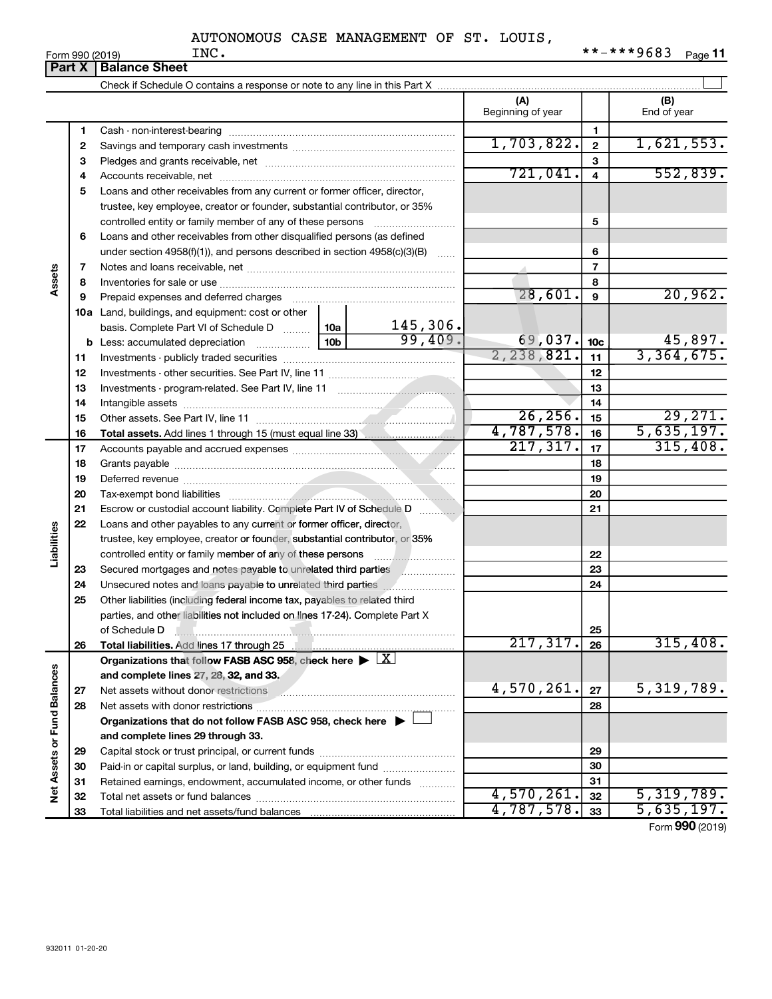|                             | Part X       | <b>Balance Sheet</b>                                                                                                                                                                                                                 |                          |                 |                       |  |  |  |  |  |
|-----------------------------|--------------|--------------------------------------------------------------------------------------------------------------------------------------------------------------------------------------------------------------------------------------|--------------------------|-----------------|-----------------------|--|--|--|--|--|
|                             |              |                                                                                                                                                                                                                                      |                          |                 |                       |  |  |  |  |  |
|                             |              |                                                                                                                                                                                                                                      | (A)<br>Beginning of year |                 | (B)<br>End of year    |  |  |  |  |  |
|                             | 1            |                                                                                                                                                                                                                                      |                          | 1.              |                       |  |  |  |  |  |
|                             | $\mathbf{2}$ |                                                                                                                                                                                                                                      | 1,703,822.               | $\mathbf{2}$    | 1,621,553.            |  |  |  |  |  |
|                             | з            |                                                                                                                                                                                                                                      |                          | 3               |                       |  |  |  |  |  |
|                             | 4            |                                                                                                                                                                                                                                      | 721,041.                 | $\overline{4}$  | 552,839.              |  |  |  |  |  |
|                             | 5            | Loans and other receivables from any current or former officer, director,                                                                                                                                                            |                          |                 |                       |  |  |  |  |  |
|                             |              | trustee, key employee, creator or founder, substantial contributor, or 35%                                                                                                                                                           |                          |                 |                       |  |  |  |  |  |
|                             |              |                                                                                                                                                                                                                                      |                          | 5               |                       |  |  |  |  |  |
|                             | 6            | Loans and other receivables from other disqualified persons (as defined                                                                                                                                                              |                          |                 |                       |  |  |  |  |  |
|                             |              | under section $4958(f)(1)$ , and persons described in section $4958(c)(3)(B)$                                                                                                                                                        |                          | 6               |                       |  |  |  |  |  |
|                             | 7            |                                                                                                                                                                                                                                      |                          | $\overline{7}$  |                       |  |  |  |  |  |
| Assets                      | 8            |                                                                                                                                                                                                                                      |                          | 8               |                       |  |  |  |  |  |
|                             | 9            | Prepaid expenses and deferred charges [11] matter contracts and referred charges [11] matter contracts and representation and representation and representation and representation and representation and representation and r       | 28,601.                  | 9               | 20,962.               |  |  |  |  |  |
|                             |              | <b>10a</b> Land, buildings, and equipment: cost or other                                                                                                                                                                             |                          |                 |                       |  |  |  |  |  |
|                             |              | $\frac{145,306}{99,409}$<br>basis. Complete Part VI of Schedule D  10a                                                                                                                                                               |                          |                 |                       |  |  |  |  |  |
|                             |              |                                                                                                                                                                                                                                      | 69,037.<br>2, 238, 821.  | 10 <sub>c</sub> | 45,897.<br>3,364,675. |  |  |  |  |  |
|                             | 11           |                                                                                                                                                                                                                                      |                          | 11              |                       |  |  |  |  |  |
|                             | 12           |                                                                                                                                                                                                                                      |                          | 12              |                       |  |  |  |  |  |
|                             | 13<br>14     |                                                                                                                                                                                                                                      |                          | 13<br>14        |                       |  |  |  |  |  |
|                             | 15           |                                                                                                                                                                                                                                      | 26, 256.                 | 15              | 29,271.               |  |  |  |  |  |
|                             | 16           |                                                                                                                                                                                                                                      | 4,787,578.               | 16              | 5,635,197.            |  |  |  |  |  |
|                             | 17           |                                                                                                                                                                                                                                      | 217, 317.                | 17              | 315,408.              |  |  |  |  |  |
|                             | 18           |                                                                                                                                                                                                                                      |                          | 18              |                       |  |  |  |  |  |
|                             | 19           | Deferred revenue <b>contract and the contract of the contract of the contract of the contract of the contract of the contract of the contract of the contract of the contract of the contract of the contract of the contract of</b> |                          | 19              |                       |  |  |  |  |  |
|                             | 20           |                                                                                                                                                                                                                                      |                          | 20              |                       |  |  |  |  |  |
|                             | 21           | Escrow or custodial account liability. Complete Part IV of Schedule D                                                                                                                                                                |                          | 21              |                       |  |  |  |  |  |
|                             | 22           | Loans and other payables to any current or former officer, director,                                                                                                                                                                 |                          |                 |                       |  |  |  |  |  |
| Liabilities                 |              | trustee, key employee, creator or founder, substantial contributor, or 35%                                                                                                                                                           |                          |                 |                       |  |  |  |  |  |
|                             |              |                                                                                                                                                                                                                                      |                          | 22              |                       |  |  |  |  |  |
|                             | 23           |                                                                                                                                                                                                                                      |                          | 23              |                       |  |  |  |  |  |
|                             | 24           |                                                                                                                                                                                                                                      |                          | 24              |                       |  |  |  |  |  |
|                             | 25           | Other liabilities (including federal income tax, payables to related third                                                                                                                                                           |                          |                 |                       |  |  |  |  |  |
|                             |              | parties, and other liabilities not included on lines 17-24). Complete Part X                                                                                                                                                         |                          |                 |                       |  |  |  |  |  |
|                             |              | of Schedule D                                                                                                                                                                                                                        |                          | 25              |                       |  |  |  |  |  |
|                             | 26           | Total liabilities. Add lines 17 through 25                                                                                                                                                                                           | 217,317.                 | 26              | 315,408.              |  |  |  |  |  |
|                             |              | Organizations that follow FASB ASC 958, check here $\blacktriangleright \lfloor \underline{X} \rfloor$                                                                                                                               |                          |                 |                       |  |  |  |  |  |
|                             |              | and complete lines 27, 28, 32, and 33.                                                                                                                                                                                               | 4,570,261.               |                 | 5,319,789.            |  |  |  |  |  |
|                             | 27           | Net assets without donor restrictions [11] www.communications.com                                                                                                                                                                    |                          | 27<br>28        |                       |  |  |  |  |  |
|                             | 28           | Organizations that do not follow FASB ASC 958, check here ▶ □                                                                                                                                                                        |                          |                 |                       |  |  |  |  |  |
|                             |              | and complete lines 29 through 33.                                                                                                                                                                                                    |                          |                 |                       |  |  |  |  |  |
|                             | 29           |                                                                                                                                                                                                                                      |                          | 29              |                       |  |  |  |  |  |
|                             | 30           | Paid-in or capital surplus, or land, building, or equipment fund                                                                                                                                                                     |                          | 30              |                       |  |  |  |  |  |
|                             | 31           | Retained earnings, endowment, accumulated income, or other funds                                                                                                                                                                     |                          | 31              |                       |  |  |  |  |  |
| Net Assets or Fund Balances | 32           |                                                                                                                                                                                                                                      | 4,570,261.               | 32              | 5,319,789.            |  |  |  |  |  |
|                             | 33           |                                                                                                                                                                                                                                      | 4,787,578.               | 33              | 5,635,197.            |  |  |  |  |  |
|                             |              |                                                                                                                                                                                                                                      |                          |                 |                       |  |  |  |  |  |

Form (2019) **990**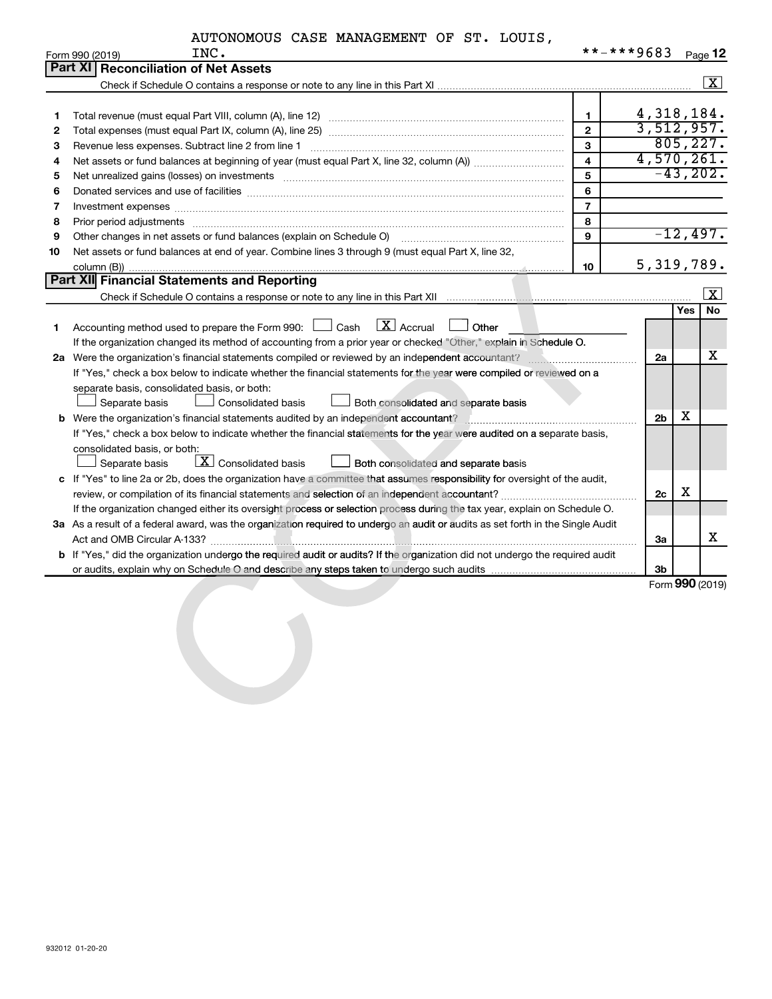| AUTONOMOUS CASE MANAGEMENT OF ST. LOUIS, |
|------------------------------------------|
|------------------------------------------|

|    | INC.<br>Form 990 (2019)                                                                                                                                                                                                        | **-***9683     |                |     | Page 12             |
|----|--------------------------------------------------------------------------------------------------------------------------------------------------------------------------------------------------------------------------------|----------------|----------------|-----|---------------------|
|    | <b>Part XI</b><br><b>Reconciliation of Net Assets</b>                                                                                                                                                                          |                |                |     |                     |
|    |                                                                                                                                                                                                                                |                |                |     | $\mathbf{X}$        |
|    |                                                                                                                                                                                                                                |                |                |     |                     |
| 1. |                                                                                                                                                                                                                                | $\mathbf{1}$   | 4,318,184.     |     |                     |
| 2  |                                                                                                                                                                                                                                | $\overline{2}$ | 3,512,957.     |     |                     |
| 3  | Revenue less expenses. Subtract line 2 from line 1                                                                                                                                                                             | $\mathbf{3}$   |                |     | 805, 227.           |
| 4  |                                                                                                                                                                                                                                | $\overline{4}$ | 4,570,261.     |     |                     |
| 5  | Net unrealized gains (losses) on investments [11] matter in the contract of the state of the state of the state of the state of the state of the state of the state of the state of the state of the state of the state of the | 5              |                |     | $-43, 202.$         |
| 6  |                                                                                                                                                                                                                                | 6              |                |     |                     |
| 7  | Investment expenses www.communication.com/www.communication.com/www.communication.com/www.com                                                                                                                                  | $\overline{7}$ |                |     |                     |
| 8  | Prior period adjustments [111] matter contracts and adjustments and account and account of the contracts and account of the contracts and account of the contracts and account of the contracts and account of the contracts a | 8              |                |     |                     |
| 9  | Other changes in net assets or fund balances (explain on Schedule O)                                                                                                                                                           | 9              |                |     | $-12,497.$          |
| 10 | Net assets or fund balances at end of year. Combine lines 3 through 9 (must equal Part X, line 32,                                                                                                                             |                |                |     |                     |
|    |                                                                                                                                                                                                                                | 10             | 5, 319, 789.   |     |                     |
|    | <b>Part XII</b> Financial Statements and Reporting                                                                                                                                                                             |                |                |     |                     |
|    |                                                                                                                                                                                                                                |                |                |     | $\lfloor x \rfloor$ |
|    |                                                                                                                                                                                                                                |                |                | Yes | No                  |
| 1  | $\mathbf{X}$ Accrual<br>Accounting method used to prepare the Form 990: [130] Cash<br>Other                                                                                                                                    |                |                |     |                     |
|    | If the organization changed its method of accounting from a prior year or checked "Other," explain in Schedule O.                                                                                                              |                |                |     |                     |
|    |                                                                                                                                                                                                                                |                | 2a             |     | х                   |
|    | If "Yes," check a box below to indicate whether the financial statements for the year were compiled or reviewed on a                                                                                                           |                |                |     |                     |
|    | separate basis, consolidated basis, or both:                                                                                                                                                                                   |                |                |     |                     |
|    | Separate basis<br>Consolidated basis<br>Both consolidated and separate basis                                                                                                                                                   |                |                | х   |                     |
|    | b Were the organization's financial statements audited by an independent accountant?                                                                                                                                           |                | 2 <sub>b</sub> |     |                     |
|    | If "Yes," check a box below to indicate whether the financial statements for the year were audited on a separate basis,                                                                                                        |                |                |     |                     |
|    | consolidated basis, or both:                                                                                                                                                                                                   |                |                |     |                     |
|    | $\boxed{\textbf{X}}$ Consolidated basis<br>Separate basis<br><b>Both consolidated and separate basis</b>                                                                                                                       |                |                |     |                     |
|    | c If "Yes" to line 2a or 2b, does the organization have a committee that assumes responsibility for oversight of the audit,                                                                                                    |                |                | х   |                     |
|    |                                                                                                                                                                                                                                |                | 2c             |     |                     |
|    | If the organization changed either its oversight process or selection process during the tax year, explain on Schedule O.                                                                                                      |                |                |     |                     |
|    | 3a As a result of a federal award, was the organization required to undergo an audit or audits as set forth in the Single Audit                                                                                                |                | За             |     | x                   |
|    | <b>b</b> If "Yes," did the organization undergo the required audit or audits? If the organization did not undergo the required audit                                                                                           |                |                |     |                     |
|    |                                                                                                                                                                                                                                |                | 3b             |     |                     |
|    |                                                                                                                                                                                                                                |                |                |     | Form 990 (2019)     |
|    |                                                                                                                                                                                                                                |                |                |     |                     |
|    |                                                                                                                                                                                                                                |                |                |     |                     |
|    |                                                                                                                                                                                                                                |                |                |     |                     |
|    |                                                                                                                                                                                                                                |                |                |     |                     |
|    |                                                                                                                                                                                                                                |                |                |     |                     |
|    |                                                                                                                                                                                                                                |                |                |     |                     |
|    |                                                                                                                                                                                                                                |                |                |     |                     |
|    |                                                                                                                                                                                                                                |                |                |     |                     |
|    |                                                                                                                                                                                                                                |                |                |     |                     |
|    |                                                                                                                                                                                                                                |                |                |     |                     |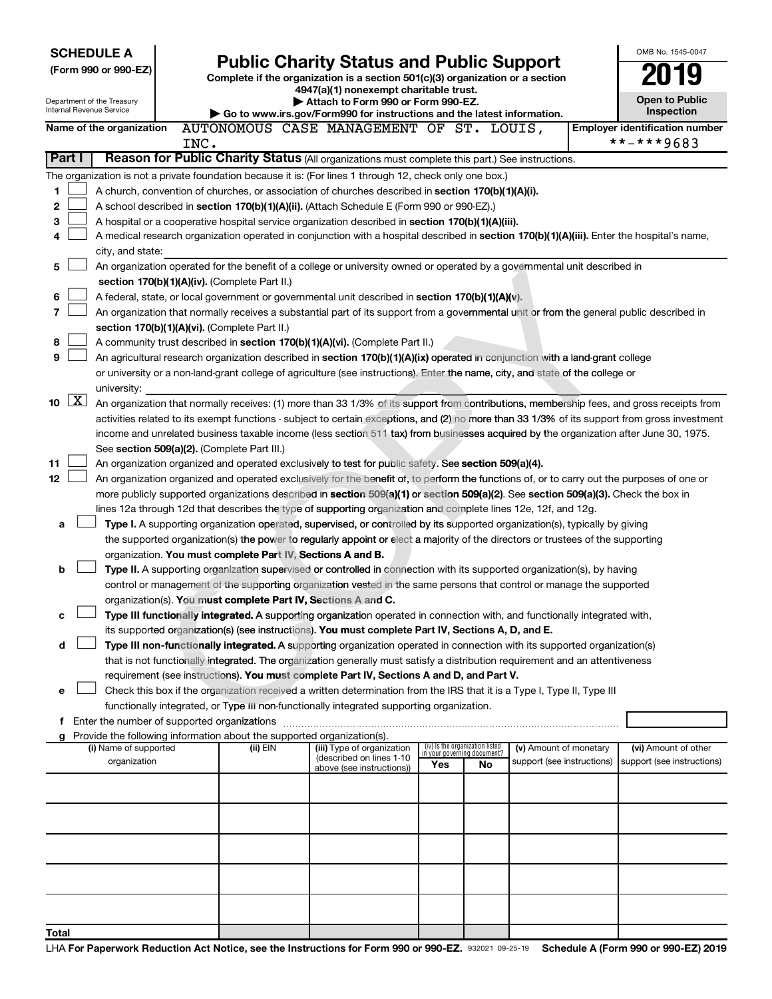| <b>SCHEDULE A</b>                                                        |                                                            | <b>Public Charity Status and Public Support</b> |                                                                                                                                                                                                                     |                                                                |    |                            | OMB No. 1545-0047                     |
|--------------------------------------------------------------------------|------------------------------------------------------------|-------------------------------------------------|---------------------------------------------------------------------------------------------------------------------------------------------------------------------------------------------------------------------|----------------------------------------------------------------|----|----------------------------|---------------------------------------|
| (Form 990 or 990-EZ)                                                     |                                                            |                                                 |                                                                                                                                                                                                                     |                                                                |    |                            |                                       |
|                                                                          |                                                            |                                                 | Complete if the organization is a section 501(c)(3) organization or a section<br>4947(a)(1) nonexempt charitable trust.                                                                                             |                                                                |    |                            |                                       |
| Department of the Treasury                                               |                                                            |                                                 | Attach to Form 990 or Form 990-EZ.                                                                                                                                                                                  |                                                                |    |                            | <b>Open to Public</b>                 |
| Internal Revenue Service                                                 |                                                            |                                                 | Go to www.irs.gov/Form990 for instructions and the latest information.                                                                                                                                              |                                                                |    |                            | Inspection                            |
| Name of the organization                                                 |                                                            |                                                 | AUTONOMOUS CASE MANAGEMENT OF ST. LOUIS,                                                                                                                                                                            |                                                                |    |                            | <b>Employer identification number</b> |
|                                                                          | INC.                                                       |                                                 |                                                                                                                                                                                                                     |                                                                |    |                            | **-***9683                            |
| Part I                                                                   |                                                            |                                                 | Reason for Public Charity Status (All organizations must complete this part.) See instructions.                                                                                                                     |                                                                |    |                            |                                       |
|                                                                          |                                                            |                                                 | The organization is not a private foundation because it is: (For lines 1 through 12, check only one box.)                                                                                                           |                                                                |    |                            |                                       |
| 1                                                                        |                                                            |                                                 | A church, convention of churches, or association of churches described in <b>section 170(b)(1)(A)(i).</b>                                                                                                           |                                                                |    |                            |                                       |
| 2                                                                        |                                                            |                                                 | A school described in section 170(b)(1)(A)(ii). (Attach Schedule E (Form 990 or 990-EZ).)                                                                                                                           |                                                                |    |                            |                                       |
| 3                                                                        |                                                            |                                                 | A hospital or a cooperative hospital service organization described in section 170(b)(1)(A)(iii).                                                                                                                   |                                                                |    |                            |                                       |
| 4                                                                        |                                                            |                                                 | A medical research organization operated in conjunction with a hospital described in section 170(b)(1)(A)(iii). Enter the hospital's name,                                                                          |                                                                |    |                            |                                       |
| city, and state:                                                         |                                                            |                                                 |                                                                                                                                                                                                                     |                                                                |    |                            |                                       |
| 5                                                                        |                                                            |                                                 | An organization operated for the benefit of a college or university owned or operated by a governmental unit described in                                                                                           |                                                                |    |                            |                                       |
|                                                                          | section 170(b)(1)(A)(iv). (Complete Part II.)              |                                                 |                                                                                                                                                                                                                     |                                                                |    |                            |                                       |
| 6                                                                        |                                                            |                                                 | A federal, state, or local government or governmental unit described in section 170(b)(1)(A)(v).                                                                                                                    |                                                                |    |                            |                                       |
| 7                                                                        |                                                            |                                                 | An organization that normally receives a substantial part of its support from a governmental unit or from the general public described in                                                                           |                                                                |    |                            |                                       |
|                                                                          | section 170(b)(1)(A)(vi). (Complete Part II.)              |                                                 |                                                                                                                                                                                                                     |                                                                |    |                            |                                       |
| 8                                                                        |                                                            |                                                 | A community trust described in section 170(b)(1)(A)(vi). (Complete Part II.)                                                                                                                                        |                                                                |    |                            |                                       |
| 9                                                                        |                                                            |                                                 | An agricultural research organization described in section 170(b)(1)(A)(ix) operated in conjunction with a land-grant college                                                                                       |                                                                |    |                            |                                       |
|                                                                          |                                                            |                                                 | or university or a non-land-grant college of agriculture (see instructions). Enter the name, city, and state of the college or                                                                                      |                                                                |    |                            |                                       |
| university:<br>$\lfloor x \rfloor$<br>10                                 |                                                            |                                                 | An organization that normally receives: (1) more than 33 1/3% of its support from contributions, membership fees, and gross receipts from                                                                           |                                                                |    |                            |                                       |
|                                                                          |                                                            |                                                 | activities related to its exempt functions - subject to certain exceptions, and (2) no more than 33 1/3% of its support from gross investment                                                                       |                                                                |    |                            |                                       |
|                                                                          |                                                            |                                                 | income and unrelated business taxable income (less section 511 tax) from businesses acquired by the organization after June 30, 1975.                                                                               |                                                                |    |                            |                                       |
|                                                                          | See section 509(a)(2). (Complete Part III.)                |                                                 |                                                                                                                                                                                                                     |                                                                |    |                            |                                       |
| 11                                                                       |                                                            |                                                 | An organization organized and operated exclusively to test for public safety. See section 509(a)(4).                                                                                                                |                                                                |    |                            |                                       |
| 12                                                                       |                                                            |                                                 | An organization organized and operated exclusively for the benefit of, to perform the functions of, or to carry out the purposes of one or                                                                          |                                                                |    |                            |                                       |
|                                                                          |                                                            |                                                 | more publicly supported organizations described in section 509(a)(1) or section 509(a)(2). See section 509(a)(3). Check the box in                                                                                  |                                                                |    |                            |                                       |
|                                                                          |                                                            |                                                 | lines 12a through 12d that describes the type of supporting organization and complete lines 12e, 12f, and 12g.                                                                                                      |                                                                |    |                            |                                       |
| a                                                                        |                                                            |                                                 | Type I. A supporting organization operated, supervised, or controlled by its supported organization(s), typically by giving                                                                                         |                                                                |    |                            |                                       |
|                                                                          |                                                            |                                                 | the supported organization(s) the power to regularly appoint or elect a majority of the directors or trustees of the supporting                                                                                     |                                                                |    |                            |                                       |
|                                                                          | organization. You must complete Part IV, Sections A and B. |                                                 |                                                                                                                                                                                                                     |                                                                |    |                            |                                       |
| b                                                                        |                                                            |                                                 | Type II. A supporting organization supervised or controlled in connection with its supported organization(s), by having                                                                                             |                                                                |    |                            |                                       |
|                                                                          |                                                            |                                                 | control or management of the supporting organization vested in the same persons that control or manage the supported                                                                                                |                                                                |    |                            |                                       |
|                                                                          |                                                            |                                                 | organization(s). You must complete Part IV, Sections A and C.                                                                                                                                                       |                                                                |    |                            |                                       |
| с                                                                        |                                                            |                                                 | Type III functionally integrated. A supporting organization operated in connection with, and functionally integrated with,                                                                                          |                                                                |    |                            |                                       |
|                                                                          |                                                            |                                                 | its supported organization(s) (see instructions). You must complete Part IV, Sections A, D, and E.                                                                                                                  |                                                                |    |                            |                                       |
| d                                                                        |                                                            |                                                 | Type III non-functionally integrated. A supporting organization operated in connection with its supported organization(s)                                                                                           |                                                                |    |                            |                                       |
|                                                                          |                                                            |                                                 | that is not functionally integrated. The organization generally must satisfy a distribution requirement and an attentiveness                                                                                        |                                                                |    |                            |                                       |
|                                                                          |                                                            |                                                 | requirement (see instructions). You must complete Part IV, Sections A and D, and Part V.<br>Check this box if the organization received a written determination from the IRS that it is a Type I, Type II, Type III |                                                                |    |                            |                                       |
| e                                                                        |                                                            |                                                 | functionally integrated, or Type III non-functionally integrated supporting organization.                                                                                                                           |                                                                |    |                            |                                       |
| f Enter the number of supported organizations                            |                                                            |                                                 |                                                                                                                                                                                                                     |                                                                |    |                            |                                       |
| g Provide the following information about the supported organization(s). |                                                            |                                                 |                                                                                                                                                                                                                     |                                                                |    |                            |                                       |
| (i) Name of supported                                                    |                                                            | (ii) EIN                                        | (iii) Type of organization                                                                                                                                                                                          | (iv) Is the organization listed<br>in your governing document? |    | (v) Amount of monetary     | (vi) Amount of other                  |
| organization                                                             |                                                            |                                                 | (described on lines 1-10<br>above (see instructions))                                                                                                                                                               | Yes                                                            | No | support (see instructions) | support (see instructions)            |
|                                                                          |                                                            |                                                 |                                                                                                                                                                                                                     |                                                                |    |                            |                                       |
|                                                                          |                                                            |                                                 |                                                                                                                                                                                                                     |                                                                |    |                            |                                       |
|                                                                          |                                                            |                                                 |                                                                                                                                                                                                                     |                                                                |    |                            |                                       |
|                                                                          |                                                            |                                                 |                                                                                                                                                                                                                     |                                                                |    |                            |                                       |
|                                                                          |                                                            |                                                 |                                                                                                                                                                                                                     |                                                                |    |                            |                                       |
|                                                                          |                                                            |                                                 |                                                                                                                                                                                                                     |                                                                |    |                            |                                       |
|                                                                          |                                                            |                                                 |                                                                                                                                                                                                                     |                                                                |    |                            |                                       |
|                                                                          |                                                            |                                                 |                                                                                                                                                                                                                     |                                                                |    |                            |                                       |
|                                                                          |                                                            |                                                 |                                                                                                                                                                                                                     |                                                                |    |                            |                                       |
| Total                                                                    |                                                            |                                                 |                                                                                                                                                                                                                     |                                                                |    |                            |                                       |
|                                                                          |                                                            |                                                 |                                                                                                                                                                                                                     |                                                                |    |                            |                                       |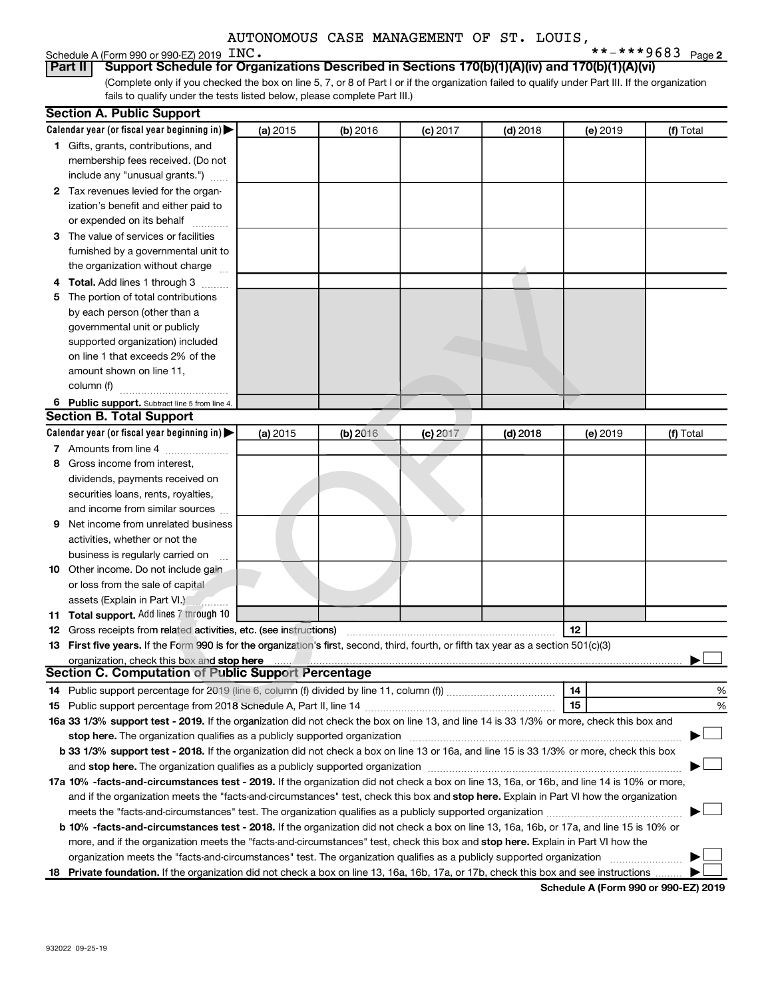# Schedule A (Form 990 or 990-EZ) 2019 INC.<br>**Part II** | Support Schedule for Orga

**2** INC.  $***$   $***$   $9683$   $_{\text{Page 2}}$ 

(Complete only if you checked the box on line 5, 7, or 8 of Part I or if the organization failed to qualify under Part III. If the organization fails to qualify under the tests listed below, please complete Part III.) **Support Schedule for Organizations Described in Sections 170(b)(1)(A)(iv) and 170(b)(1)(A)(vi)** 

|   | <b>Section A. Public Support</b>                                                                                                                                                                                               |          |          |            |            |          |           |
|---|--------------------------------------------------------------------------------------------------------------------------------------------------------------------------------------------------------------------------------|----------|----------|------------|------------|----------|-----------|
|   | Calendar year (or fiscal year beginning in)                                                                                                                                                                                    | (a) 2015 | (b) 2016 | $(c)$ 2017 | $(d)$ 2018 | (e) 2019 | (f) Total |
|   | 1 Gifts, grants, contributions, and                                                                                                                                                                                            |          |          |            |            |          |           |
|   | membership fees received. (Do not                                                                                                                                                                                              |          |          |            |            |          |           |
|   | include any "unusual grants.")                                                                                                                                                                                                 |          |          |            |            |          |           |
|   | 2 Tax revenues levied for the organ-                                                                                                                                                                                           |          |          |            |            |          |           |
|   | ization's benefit and either paid to                                                                                                                                                                                           |          |          |            |            |          |           |
|   | or expended on its behalf                                                                                                                                                                                                      |          |          |            |            |          |           |
|   | 3 The value of services or facilities                                                                                                                                                                                          |          |          |            |            |          |           |
|   | furnished by a governmental unit to                                                                                                                                                                                            |          |          |            |            |          |           |
|   | the organization without charge                                                                                                                                                                                                |          |          |            |            |          |           |
|   | 4 Total. Add lines 1 through 3                                                                                                                                                                                                 |          |          |            |            |          |           |
|   | 5 The portion of total contributions                                                                                                                                                                                           |          |          |            |            |          |           |
|   | by each person (other than a                                                                                                                                                                                                   |          |          |            |            |          |           |
|   | governmental unit or publicly                                                                                                                                                                                                  |          |          |            |            |          |           |
|   | supported organization) included                                                                                                                                                                                               |          |          |            |            |          |           |
|   | on line 1 that exceeds 2% of the                                                                                                                                                                                               |          |          |            |            |          |           |
|   | amount shown on line 11,                                                                                                                                                                                                       |          |          |            |            |          |           |
|   | column (f)                                                                                                                                                                                                                     |          |          |            |            |          |           |
|   | 6 Public support. Subtract line 5 from line 4.                                                                                                                                                                                 |          |          |            |            |          |           |
|   | <b>Section B. Total Support</b>                                                                                                                                                                                                |          |          |            |            |          |           |
|   | Calendar year (or fiscal year beginning in)                                                                                                                                                                                    |          |          |            |            |          |           |
|   |                                                                                                                                                                                                                                | (a) 2015 | (b) 2016 | $(c)$ 2017 | $(d)$ 2018 | (e) 2019 | (f) Total |
|   | 7 Amounts from line 4                                                                                                                                                                                                          |          |          |            |            |          |           |
| 8 | Gross income from interest,                                                                                                                                                                                                    |          |          |            |            |          |           |
|   | dividends, payments received on                                                                                                                                                                                                |          |          |            |            |          |           |
|   | securities loans, rents, royalties,                                                                                                                                                                                            |          |          |            |            |          |           |
|   | and income from similar sources                                                                                                                                                                                                |          |          |            |            |          |           |
| 9 | Net income from unrelated business                                                                                                                                                                                             |          |          |            |            |          |           |
|   | activities, whether or not the                                                                                                                                                                                                 |          |          |            |            |          |           |
|   | business is regularly carried on                                                                                                                                                                                               |          |          |            |            |          |           |
|   | 10 Other income. Do not include gain                                                                                                                                                                                           |          |          |            |            |          |           |
|   | or loss from the sale of capital                                                                                                                                                                                               |          |          |            |            |          |           |
|   | assets (Explain in Part VI.)                                                                                                                                                                                                   |          |          |            |            |          |           |
|   | 11 Total support. Add lines 7 through 10                                                                                                                                                                                       |          |          |            |            |          |           |
|   | 12 Gross receipts from related activities, etc. (see instructions)                                                                                                                                                             |          |          |            |            | 12       |           |
|   | 13 First five years. If the Form 990 is for the organization's first, second, third, fourth, or fifth tax year as a section 501(c)(3)                                                                                          |          |          |            |            |          |           |
|   | organization, check this box and stop here                                                                                                                                                                                     |          |          |            |            |          |           |
|   | <b>Section C. Computation of Public Support Percentage</b>                                                                                                                                                                     |          |          |            |            |          |           |
|   |                                                                                                                                                                                                                                |          |          |            |            | 14       | %         |
|   |                                                                                                                                                                                                                                |          |          |            |            | 15       | %         |
|   | 16a 33 1/3% support test - 2019. If the organization did not check the box on line 13, and line 14 is 33 1/3% or more, check this box and                                                                                      |          |          |            |            |          |           |
|   | stop here. The organization qualifies as a publicly supported organization                                                                                                                                                     |          |          |            |            |          |           |
|   | b 33 1/3% support test - 2018. If the organization did not check a box on line 13 or 16a, and line 15 is 33 1/3% or more, check this box                                                                                       |          |          |            |            |          |           |
|   | and stop here. The organization qualifies as a publicly supported organization [11] manuscription manuscription manuscription manuscription manuscription manuscription and starting and starting and starting and starting an |          |          |            |            |          |           |
|   | 17a 10% -facts-and-circumstances test - 2019. If the organization did not check a box on line 13, 16a, or 16b, and line 14 is 10% or more,                                                                                     |          |          |            |            |          |           |
|   | and if the organization meets the "facts-and-circumstances" test, check this box and stop here. Explain in Part VI how the organization                                                                                        |          |          |            |            |          |           |
|   |                                                                                                                                                                                                                                |          |          |            |            |          |           |
|   | <b>b 10%</b> -facts-and-circumstances test - 2018. If the organization did not check a box on line 13, 16a, 16b, or 17a, and line 15 is 10% or                                                                                 |          |          |            |            |          |           |
|   | more, and if the organization meets the "facts-and-circumstances" test, check this box and stop here. Explain in Part VI how the                                                                                               |          |          |            |            |          |           |
|   | organization meets the "facts-and-circumstances" test. The organization qualifies as a publicly supported organization                                                                                                         |          |          |            |            |          |           |
|   | 18 Private foundation. If the organization did not check a box on line 13, 16a, 16b, 17a, or 17b, check this box and see instructions                                                                                          |          |          |            |            |          |           |
|   |                                                                                                                                                                                                                                |          |          |            |            |          |           |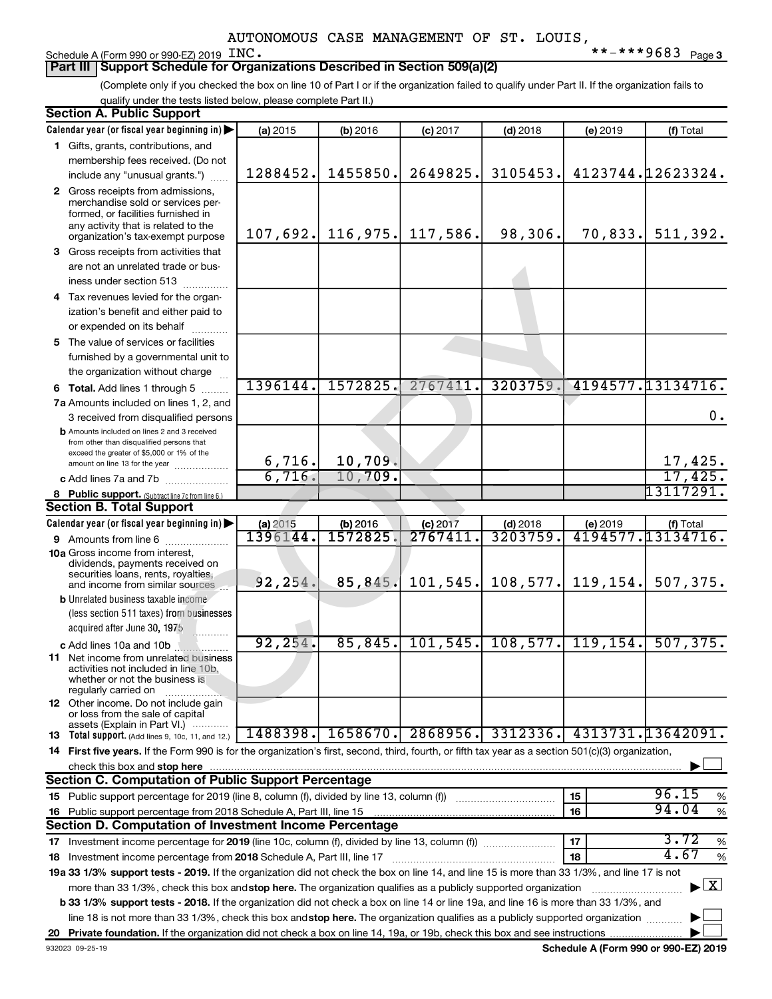#### Schedule A (Form 990 or 990-EZ) 2019 INC.

## **Part III | Support Schedule for Organizations Described in Section 509(a)(2)**

(Complete only if you checked the box on line 10 of Part I or if the organization failed to qualify under Part II. If the organization fails to qualify under the tests listed below, please complete Part II.)

| <b>Section A. Public Support</b>                                                                                                                    |                       |                     |            |                   |                       |                                          |
|-----------------------------------------------------------------------------------------------------------------------------------------------------|-----------------------|---------------------|------------|-------------------|-----------------------|------------------------------------------|
| Calendar year (or fiscal year beginning in)                                                                                                         | (a) 2015              | (b) 2016            | $(c)$ 2017 | $(d)$ 2018        | (e) 2019              | (f) Total                                |
| 1 Gifts, grants, contributions, and                                                                                                                 |                       |                     |            |                   |                       |                                          |
| membership fees received. (Do not                                                                                                                   |                       |                     |            |                   |                       |                                          |
| include any "unusual grants.")                                                                                                                      | 1288452.              | 1455850.            | 2649825.   | 3105453.          |                       | 4123744.12623324.                        |
| 2 Gross receipts from admissions,                                                                                                                   |                       |                     |            |                   |                       |                                          |
| merchandise sold or services per-                                                                                                                   |                       |                     |            |                   |                       |                                          |
| formed, or facilities furnished in<br>any activity that is related to the                                                                           |                       |                     |            |                   |                       |                                          |
| organization's tax-exempt purpose                                                                                                                   |                       | $107,692.$ 116,975. | 117,586.   | 98,306.           |                       | $70,833.$ 511,392.                       |
| 3 Gross receipts from activities that                                                                                                               |                       |                     |            |                   |                       |                                          |
| are not an unrelated trade or bus-                                                                                                                  |                       |                     |            |                   |                       |                                          |
| iness under section 513                                                                                                                             |                       |                     |            |                   |                       |                                          |
| 4 Tax revenues levied for the organ-                                                                                                                |                       |                     |            |                   |                       |                                          |
| ization's benefit and either paid to                                                                                                                |                       |                     |            |                   |                       |                                          |
| or expended on its behalf                                                                                                                           |                       |                     |            |                   |                       |                                          |
| 5 The value of services or facilities                                                                                                               |                       |                     |            |                   |                       |                                          |
| furnished by a governmental unit to                                                                                                                 |                       |                     |            |                   |                       |                                          |
| the organization without charge                                                                                                                     |                       |                     |            |                   |                       |                                          |
| 6 Total. Add lines 1 through 5                                                                                                                      | 1396144.              | 1572825.            | 2767411    | 3203759.          |                       | 4194577.13134716.                        |
| 7a Amounts included on lines 1, 2, and                                                                                                              |                       |                     |            |                   |                       |                                          |
| 3 received from disqualified persons                                                                                                                |                       |                     |            |                   |                       | 0.                                       |
| <b>b</b> Amounts included on lines 2 and 3 received                                                                                                 |                       |                     |            |                   |                       |                                          |
| from other than disqualified persons that                                                                                                           |                       |                     |            |                   |                       |                                          |
| exceed the greater of \$5,000 or 1% of the<br>amount on line 13 for the year                                                                        |                       | 10,709.             |            |                   |                       | 17,425.                                  |
| c Add lines 7a and 7b                                                                                                                               | $\frac{6,716}{6,716}$ | 10,709.             |            |                   |                       | 17,425.                                  |
| 8 Public support. (Subtract line 7c from line 6.)                                                                                                   |                       |                     |            |                   |                       | 13117291 <b>.</b>                        |
| <b>Section B. Total Support</b>                                                                                                                     |                       |                     |            |                   |                       |                                          |
| Calendar year (or fiscal year beginning in)                                                                                                         | (a) 2015              | (b) 2016            | (c) 2017   | $(d)$ 2018        | (e) 2019              | (f) Total                                |
| 9 Amounts from line 6                                                                                                                               | 1396144.              | 1572825             | 2767411    | 3203759.          |                       | 4194577.13134716.                        |
| <b>10a</b> Gross income from interest,                                                                                                              |                       |                     |            |                   |                       |                                          |
| dividends, payments received on                                                                                                                     |                       |                     |            |                   |                       |                                          |
| securities loans, rents, royalties,<br>and income from similar sources                                                                              | 92, 254.              | 85,845.             | 101,545.   |                   | $108, 577.$ 119, 154. | 507, 375.                                |
| <b>b</b> Unrelated business taxable income                                                                                                          |                       |                     |            |                   |                       |                                          |
| (less section 511 taxes) from businesses                                                                                                            |                       |                     |            |                   |                       |                                          |
| acquired after June 30, 1975                                                                                                                        |                       |                     |            |                   |                       |                                          |
| c Add lines 10a and 10b                                                                                                                             | 92, 254.              | 85, 845.            | 101, 545.  |                   | $108, 577.$ 119, 154. | 507, 375.                                |
| <b>11</b> Net income from unrelated business                                                                                                        |                       |                     |            |                   |                       |                                          |
| activities not included in line 10b,<br>whether or not the business is                                                                              |                       |                     |            |                   |                       |                                          |
| regularly carried on                                                                                                                                |                       |                     |            |                   |                       |                                          |
| 12 Other income. Do not include gain                                                                                                                |                       |                     |            |                   |                       |                                          |
| or loss from the sale of capital<br>assets (Explain in Part VI.)                                                                                    |                       |                     |            |                   |                       |                                          |
| <b>13</b> Total support. (Add lines 9, 10c, 11, and 12.)                                                                                            | 1488398.              | 1658670.            |            | 2868956. 3312336. |                       | 4313731.13642091.                        |
| 14 First five years. If the Form 990 is for the organization's first, second, third, fourth, or fifth tax year as a section 501(c)(3) organization, |                       |                     |            |                   |                       |                                          |
| check this box and stop here                                                                                                                        |                       |                     |            |                   |                       |                                          |
| <b>Section C. Computation of Public Support Percentage</b>                                                                                          |                       |                     |            |                   |                       |                                          |
|                                                                                                                                                     |                       |                     |            |                   | 15                    | 96.15<br>%                               |
| 16 Public support percentage from 2018 Schedule A, Part III, line 15                                                                                |                       |                     |            |                   | 16                    | 94.04<br>$\%$                            |
| Section D. Computation of Investment Income Percentage                                                                                              |                       |                     |            |                   |                       |                                          |
|                                                                                                                                                     |                       |                     |            |                   | 17                    | 3.72<br>%                                |
| 18 Investment income percentage from 2018 Schedule A, Part III, line 17                                                                             |                       |                     |            |                   | 18                    | 4.67<br>%                                |
| 19a 33 1/3% support tests - 2019. If the organization did not check the box on line 14, and line 15 is more than 33 1/3%, and line 17 is not        |                       |                     |            |                   |                       |                                          |
| more than 33 1/3%, check this box and stop here. The organization qualifies as a publicly supported organization                                    |                       |                     |            |                   |                       | $\blacktriangleright$ $\boxed{\text{X}}$ |
| b 33 1/3% support tests - 2018. If the organization did not check a box on line 14 or line 19a, and line 16 is more than 33 1/3%, and               |                       |                     |            |                   |                       |                                          |
| line 18 is not more than 33 1/3%, check this box and stop here. The organization qualifies as a publicly supported organization                     |                       |                     |            |                   |                       |                                          |
|                                                                                                                                                     |                       |                     |            |                   |                       |                                          |
|                                                                                                                                                     |                       |                     |            |                   |                       |                                          |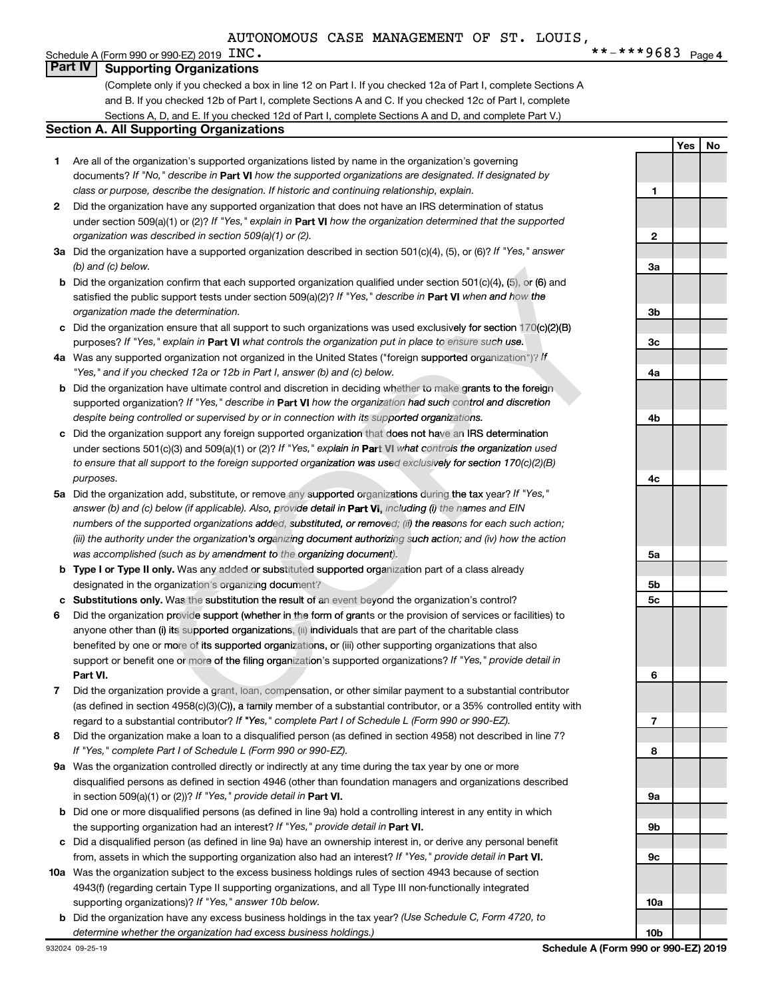**1**

**2**

**3a**

**Yes No**

#### **Part IV Supporting Organizations**

(Complete only if you checked a box in line 12 on Part I. If you checked 12a of Part I, complete Sections A and B. If you checked 12b of Part I, complete Sections A and C. If you checked 12c of Part I, complete Sections A, D, and E. If you checked 12d of Part I, complete Sections A and D, and complete Part V.)

#### **Section A. All Supporting Organizations**

- **1** Are all of the organization's supported organizations listed by name in the organization's governing documents? If "No," describe in Part VI how the supported organizations are designated. If designated by *class or purpose, describe the designation. If historic and continuing relationship, explain.*
- **2** Did the organization have any supported organization that does not have an IRS determination of status under section 509(a)(1) or (2)? If "Yes," explain in Part **VI** how the organization determined that the supported *organization was described in section 509(a)(1) or (2).*
- **3a** Did the organization have a supported organization described in section 501(c)(4), (5), or (6)? If "Yes," answer *(b) and (c) below.*
- **b** Did the organization confirm that each supported organization qualified under section 501(c)(4), (5), or (6) and satisfied the public support tests under section 509(a)(2)? If "Yes," describe in Part VI when and how the *organization made the determination.*
- **c** Did the organization ensure that all support to such organizations was used exclusively for section 170(c)(2)(B) purposes? If "Yes," explain in Part VI what controls the organization put in place to ensure such use.
- **4 a** *If* Was any supported organization not organized in the United States ("foreign supported organization")? *"Yes," and if you checked 12a or 12b in Part I, answer (b) and (c) below.*
- **b** Did the organization have ultimate control and discretion in deciding whether to make grants to the foreign supported organization? If "Yes," describe in Part VI how the organization had such control and discretion *despite being controlled or supervised by or in connection with its supported organizations. organization* d States ("foreign supported organization")? *I*<br>*nd (c) below.*<br>deciding whether to make grants to the foreigne<br>ne organization had such control and discretic<br>with its supported organizations.<br>ation that does not have an
- **c** Did the organization support any foreign supported organization that does not have an IRS determination under sections 501(c)(3) and 509(a)(1) or (2)? If "Yes," explain in Part VI what controls the organization used *to ensure that all support to the foreign supported organization was used exclusively for section 170(c)(2)(B) purposes. ganization qualified under section 501(c)(4), (5), or (6) and a)(2)? If "Yes," describe in Part VI when and how the proganizations was used exclusively for section 170(c)(2)(B) the organization put in place to ensure su*
- 5a Did the organization add, substitute, or remove any supported organizations during the tax year? If "Yes," answer (b) and (c) below (if applicable). Also, provide detail in **Part VI,** including (i) the names and EIN *numbers of the supported organizations added, substituted, or removed; (ii) the reasons for each such action; s reason ed, (ii) reaso (iii) the authority under the organization's organizing document authorizing such action; and (iv) how the action on's act anizing s was accomplished (such as by amendment to the organizing document).* **t** each supported organization qualified under section 501(c)(4), (5), or (6) and<br>
sunder section 509(a)(2)? *H* "Yes," describe in Part **VI** when and how the<br>
ation.<br>
at support to such organizations was used exclusively
- **b Type I or Type II only.** Was any added or substituted supported organization part of a class already designated in the organization's organizing document?
- designated in the organization's organizing document?<br>**c** Substitutions only. Was the substitution the result of an event beyond the organization's control?
- 6 Did the organization provide support (whether in the form of grants or the provision of services or facilities) to **Part VI.** support or benefit one or more of the filing organization's supported organizations? If "Yes," provide detail in anyone other than (i) its su**pported organizations**, (ii) individuals that are part of the charitable class benefited by one or more of its supported organizations, or (iii) other supporting organizations that also *ed organization not organized in the United States ("foreign supported organization checked 12a or 12b in Part I, answer (b) and (c) below.<br>
Yehecked 12a or 2b in Part I, answer (b) and (c) below.<br>
Distribution that examp*
- **7** Did the organization provide a grant, loan, compensation, or other similar payment to a substantial contributor regard to a substantial contributor? If "Yes," complete Part I of Schedule L (Form 990 or 990-EZ). (as defined in section 4958(c)(3)(C)), a family member of a substantial contributor, or a 35% controlled entity with
- **8** Did the organization make a loan to a disqualified person (as defined in section 4958) not described in line 7? *If "Yes," complete Part I of Schedule L (Form 990 or 990-EZ).*
- **9 a** Was the organization controlled directly or indirectly at any time during the tax year by one or more in section 509(a)(1) or (2))? If "Yes," provide detail in **Part VI.** disqualified persons as defined in section 4946 (other than foundation managers and organizations described
- **b** Did one or more disqualified persons (as defined in line 9a) hold a controlling interest in any entity in which the supporting organization had an interest? If "Yes," provide detail in Part VI.
- **c** Did a disqualified person (as defined in line 9a) have an ownership interest in, or derive any personal benefit from, assets in which the supporting organization also had an interest? If "Yes," provide detail in Part VI.
- **10 a** Was the organization subject to the excess business holdings rules of section 4943 because of section supporting organizations)? If "Yes," answer 10b below. 4943(f) (regarding certain Type II supporting organizations, and all Type III non-functionally integrated
	- **b** Did the organization have any excess business holdings in the tax year? (Use Schedule C, Form 4720, to *determine whether the organization had excess business holdings.)*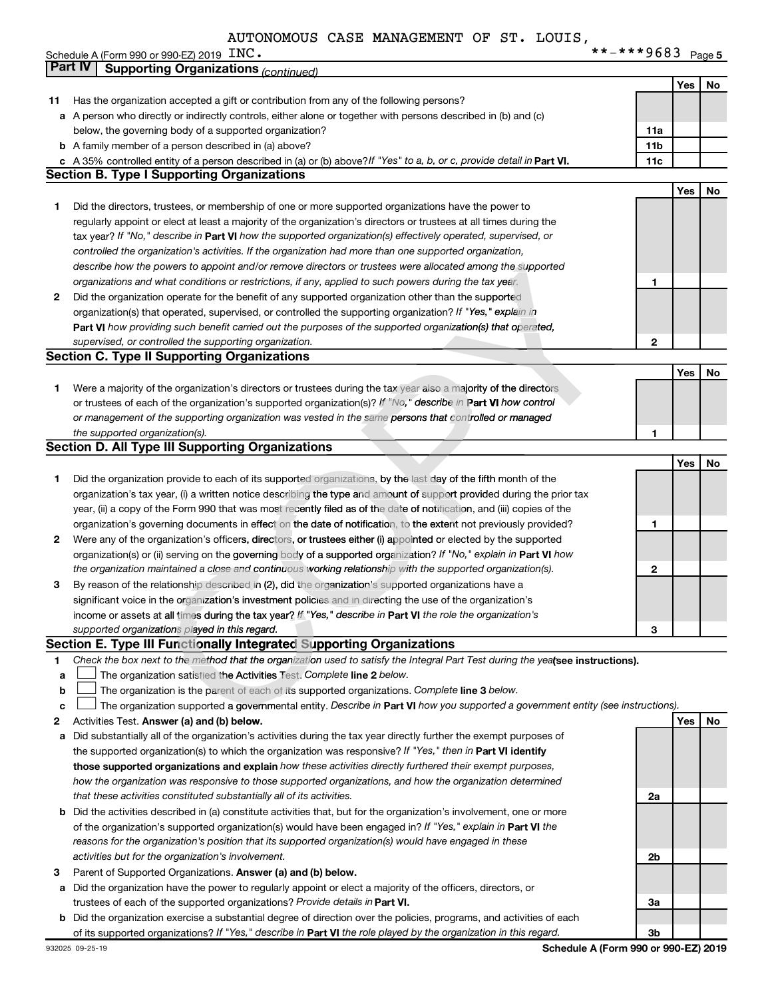| INC. | **-***9683 $_{\text{Page 5}}$ |  |
|------|-------------------------------|--|
|------|-------------------------------|--|

| <b>Part IV</b><br><b>Supporting Organizations (continued)</b>                                                                | **-***9683 Page 5                                                                                                               |     |    |
|------------------------------------------------------------------------------------------------------------------------------|---------------------------------------------------------------------------------------------------------------------------------|-----|----|
|                                                                                                                              |                                                                                                                                 |     |    |
|                                                                                                                              |                                                                                                                                 | Yes | No |
| Has the organization accepted a gift or contribution from any of the following persons?<br>11                                |                                                                                                                                 |     |    |
| a A person who directly or indirectly controls, either alone or together with persons described in (b) and (c)               |                                                                                                                                 |     |    |
| below, the governing body of a supported organization?                                                                       | 11a                                                                                                                             |     |    |
| <b>b</b> A family member of a person described in (a) above?                                                                 | 11 <sub>b</sub>                                                                                                                 |     |    |
| c A 35% controlled entity of a person described in (a) or (b) above? If "Yes" to a, b, or c, provide detail in Part VI.      | 11c                                                                                                                             |     |    |
| <b>Section B. Type I Supporting Organizations</b>                                                                            |                                                                                                                                 |     |    |
|                                                                                                                              |                                                                                                                                 | Yes | No |
| 1<br>Did the directors, trustees, or membership of one or more supported organizations have the power to                     |                                                                                                                                 |     |    |
| regularly appoint or elect at least a majority of the organization's directors or trustees at all times during the           |                                                                                                                                 |     |    |
| tax year? If "No," describe in Part VI how the supported organization(s) effectively operated, supervised, or                |                                                                                                                                 |     |    |
| controlled the organization's activities. If the organization had more than one supported organization,                      |                                                                                                                                 |     |    |
| describe how the powers to appoint and/or remove directors or trustees were allocated among the supported                    |                                                                                                                                 |     |    |
| organizations and what conditions or restrictions, if any, applied to such powers during the tax year.                       | 1                                                                                                                               |     |    |
| Did the organization operate for the benefit of any supported organization other than the supported<br>2                     |                                                                                                                                 |     |    |
| organization(s) that operated, supervised, or controlled the supporting organization? If "Yes," explain in                   |                                                                                                                                 |     |    |
| Part VI how providing such benefit carried out the purposes of the supported organization(s) that operated,                  |                                                                                                                                 |     |    |
| supervised, or controlled the supporting organization.                                                                       | 2                                                                                                                               |     |    |
| <b>Section C. Type II Supporting Organizations</b>                                                                           |                                                                                                                                 |     |    |
|                                                                                                                              |                                                                                                                                 | Yes | No |
| Were a majority of the organization's directors or trustees during the tax year also a majority of the directors<br>1        |                                                                                                                                 |     |    |
| or trustees of each of the organization's supported organization(s)? If "No," describe in Part VI how control                |                                                                                                                                 |     |    |
| or management of the supporting organization was vested in the same persons that controlled or managed                       |                                                                                                                                 |     |    |
| the supported organization(s).                                                                                               | 1                                                                                                                               |     |    |
| <b>Section D. All Type III Supporting Organizations</b>                                                                      |                                                                                                                                 |     |    |
|                                                                                                                              |                                                                                                                                 | Yes | No |
| Did the organization provide to each of its supported organizations, by the last day of the fifth month of the<br>1          |                                                                                                                                 |     |    |
|                                                                                                                              | organization's tax year, (i) a written notice describing the type and amount of support provided during the prior tax           |     |    |
| year, (ii) a copy of the Form 990 that was most recently filed as of the date of notification, and (iii) copies of the       |                                                                                                                                 |     |    |
| organization's governing documents in effect on the date of notification, to the extent not previously provided?             | 1                                                                                                                               |     |    |
| Were any of the organization's officers, directors, or trustees either (i) appointed or elected by the supported<br>2        |                                                                                                                                 |     |    |
| organization(s) or (ii) serving on the governing body of a supported organization? If "No," explain in Part VI how           |                                                                                                                                 |     |    |
| the organization maintained a close and continuous working relationship with the supported organization(s).                  | 2                                                                                                                               |     |    |
| By reason of the relationship described in (2), did the organization's supported organizations have a<br>з                   |                                                                                                                                 |     |    |
| significant voice in the organization's investment policies and in directing the use of the organization's                   |                                                                                                                                 |     |    |
| income or assets at all times during the tax year? If "Yes," describe in Part VI the role the organization's                 |                                                                                                                                 |     |    |
| supported organizations played in this regard.                                                                               | з                                                                                                                               |     |    |
| Section E. Type III Functionally Integrated Supporting Organizations                                                         |                                                                                                                                 |     |    |
| 1                                                                                                                            | Check the box next to the method that the organization used to satisfy the Integral Part Test during the yealsee instructions). |     |    |
| The organization satisfied the Activities Test. Complete line 2 below.<br>a                                                  |                                                                                                                                 |     |    |
| The organization is the parent of each of its supported organizations. Complete line 3 below.<br>b                           |                                                                                                                                 |     |    |
| c                                                                                                                            | The organization supported a governmental entity. Describe in Part VI how you supported a government entity (see instructions). |     |    |
| Activities Test. Answer (a) and (b) below.<br>2                                                                              |                                                                                                                                 | Yes | No |
| Did substantially all of the organization's activities during the tax year directly further the exempt purposes of<br>а      |                                                                                                                                 |     |    |
| the supported organization(s) to which the organization was responsive? If "Yes," then in Part VI identify                   |                                                                                                                                 |     |    |
| those supported organizations and explain how these activities directly furthered their exempt purposes,                     |                                                                                                                                 |     |    |
| how the organization was responsive to those supported organizations, and how the organization determined                    |                                                                                                                                 |     |    |
| that these activities constituted substantially all of its activities.                                                       | 2a                                                                                                                              |     |    |
| <b>b</b> Did the activities described in (a) constitute activities that, but for the organization's involvement, one or more |                                                                                                                                 |     |    |
| of the organization's supported organization(s) would have been engaged in? If "Yes," explain in Part VI the                 |                                                                                                                                 |     |    |
| reasons for the organization's position that its supported organization(s) would have engaged in these                       |                                                                                                                                 |     |    |
| activities but for the organization's involvement.                                                                           | 2 <sub>b</sub>                                                                                                                  |     |    |
| 3<br>Parent of Supported Organizations. Answer (a) and (b) below.                                                            |                                                                                                                                 |     |    |
| Did the organization have the power to regularly appoint or elect a majority of the officers, directors, or<br>а             |                                                                                                                                 |     |    |
| trustees of each of the supported organizations? Provide details in Part VI.                                                 | За                                                                                                                              |     |    |
| <b>b</b> Did the organization exercise a substantial degree of direction over the policies, programs, and activities of each |                                                                                                                                 |     |    |
| of its supported organizations? If "Yes," describe in Part VI the role played by the organization in this regard.            | 3 <sub>b</sub>                                                                                                                  |     |    |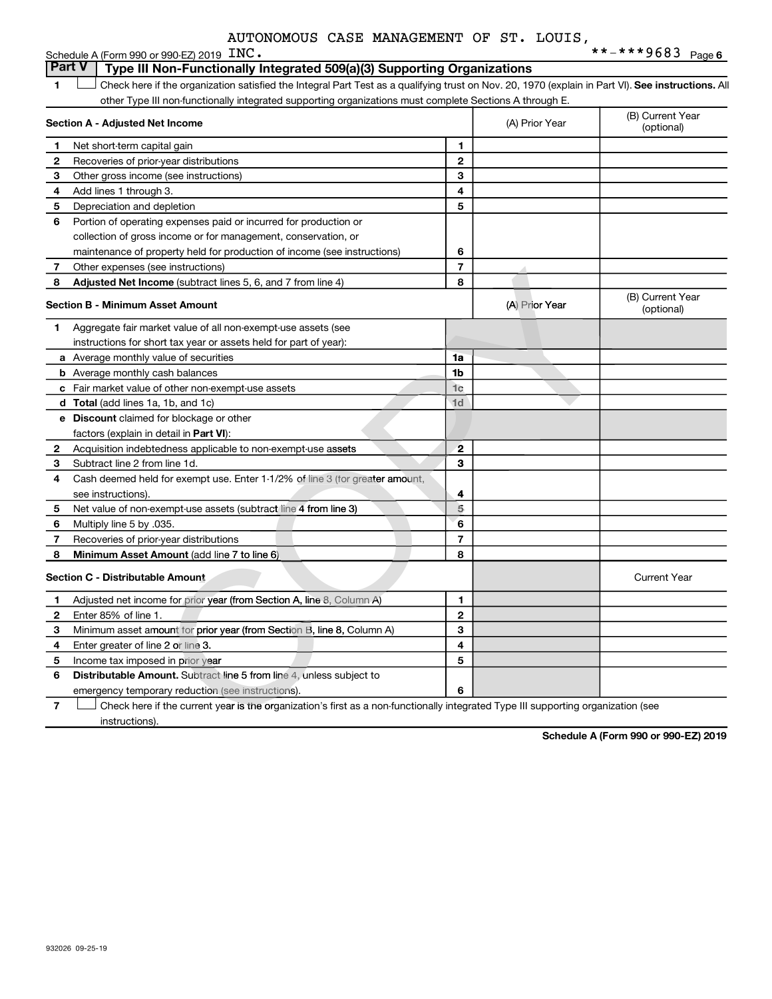|    | Schedule A (Form 990 or 990-EZ) 2019 INC.                                                                                                          |                |                | **-***9683 Page6               |
|----|----------------------------------------------------------------------------------------------------------------------------------------------------|----------------|----------------|--------------------------------|
|    | <b>Part V</b><br>Type III Non-Functionally Integrated 509(a)(3) Supporting Organizations                                                           |                |                |                                |
| 1  | Check here if the organization satisfied the Integral Part Test as a qualifying trust on Nov. 20, 1970 (explain in Part VI). See instructions. All |                |                |                                |
|    | other Type III non-functionally integrated supporting organizations must complete Sections A through E.                                            |                |                |                                |
|    | Section A - Adjusted Net Income                                                                                                                    |                | (A) Prior Year | (B) Current Year<br>(optional) |
| 1  | Net short-term capital gain                                                                                                                        | 1              |                |                                |
| 2  | Recoveries of prior-year distributions                                                                                                             | $\mathbf{2}$   |                |                                |
| З  | Other gross income (see instructions)                                                                                                              | 3              |                |                                |
| 4  | Add lines 1 through 3.                                                                                                                             | 4              |                |                                |
| 5  | Depreciation and depletion                                                                                                                         | 5              |                |                                |
| 6  | Portion of operating expenses paid or incurred for production or                                                                                   |                |                |                                |
|    | collection of gross income or for management, conservation, or                                                                                     |                |                |                                |
|    | maintenance of property held for production of income (see instructions)                                                                           | 6              |                |                                |
| 7  | Other expenses (see instructions)                                                                                                                  | $\overline{7}$ |                |                                |
| 8  | <b>Adjusted Net Income</b> (subtract lines 5, 6, and 7 from line 4)                                                                                | 8              |                |                                |
|    | <b>Section B - Minimum Asset Amount</b>                                                                                                            |                | (A) Prior Year | (B) Current Year<br>(optional) |
| 1. | Aggregate fair market value of all non-exempt-use assets (see                                                                                      |                |                |                                |
|    | instructions for short tax year or assets held for part of year):                                                                                  |                |                |                                |
|    | <b>a</b> Average monthly value of securities                                                                                                       | 1a             |                |                                |
|    | <b>b</b> Average monthly cash balances                                                                                                             | 1b             |                |                                |
|    | c Fair market value of other non-exempt-use assets                                                                                                 | 1 <sub>c</sub> |                |                                |
|    | <b>d</b> Total (add lines 1a, 1b, and 1c)                                                                                                          | 1 <sub>d</sub> |                |                                |
|    | <b>e</b> Discount claimed for blockage or other                                                                                                    |                |                |                                |
|    | factors (explain in detail in Part VI):                                                                                                            |                |                |                                |
| 2  | Acquisition indebtedness applicable to non-exempt-use assets                                                                                       | $\mathbf{2}$   |                |                                |
| 3  | Subtract line 2 from line 1d.                                                                                                                      | 3              |                |                                |
| 4  | Cash deemed held for exempt use. Enter 1-1/2% of line 3 (for greater amount,                                                                       |                |                |                                |
|    | see instructions).                                                                                                                                 | 4              |                |                                |
| 5  | Net value of non-exempt-use assets (subtract line 4 from line 3)                                                                                   | 5              |                |                                |
| 6  | Multiply line 5 by .035.                                                                                                                           | 6              |                |                                |
| 7  | Recoveries of prior-year distributions                                                                                                             | $\overline{7}$ |                |                                |
| 8  | Minimum Asset Amount (add line 7 to line 6)                                                                                                        | 8              |                |                                |
|    | Section C - Distributable Amount                                                                                                                   |                |                | <b>Current Year</b>            |
| 1. | Adjusted net income for prior year (from Section A, line 8, Column A)                                                                              | 1              |                |                                |
| 2  | Enter 85% of line 1.                                                                                                                               | 2              |                |                                |
| 3  | Minimum asset amount for prior year (from Section B, line 8, Column A)                                                                             | 3              |                |                                |
| 4  | Enter greater of line 2 or line 3.                                                                                                                 | 4              |                |                                |
| 5  | Income tax imposed in prior year                                                                                                                   | 5              |                |                                |
| 6  | Distributable Amount. Subtract line 5 from line 4, unless subject to                                                                               |                |                |                                |
|    | emergency temporary reduction (see instructions).                                                                                                  | 6              |                |                                |
| 7  | Check here if the current year is the organization's first as a non-functionally integrated Type III supporting organization (see                  |                |                |                                |
|    | instructions).                                                                                                                                     |                |                |                                |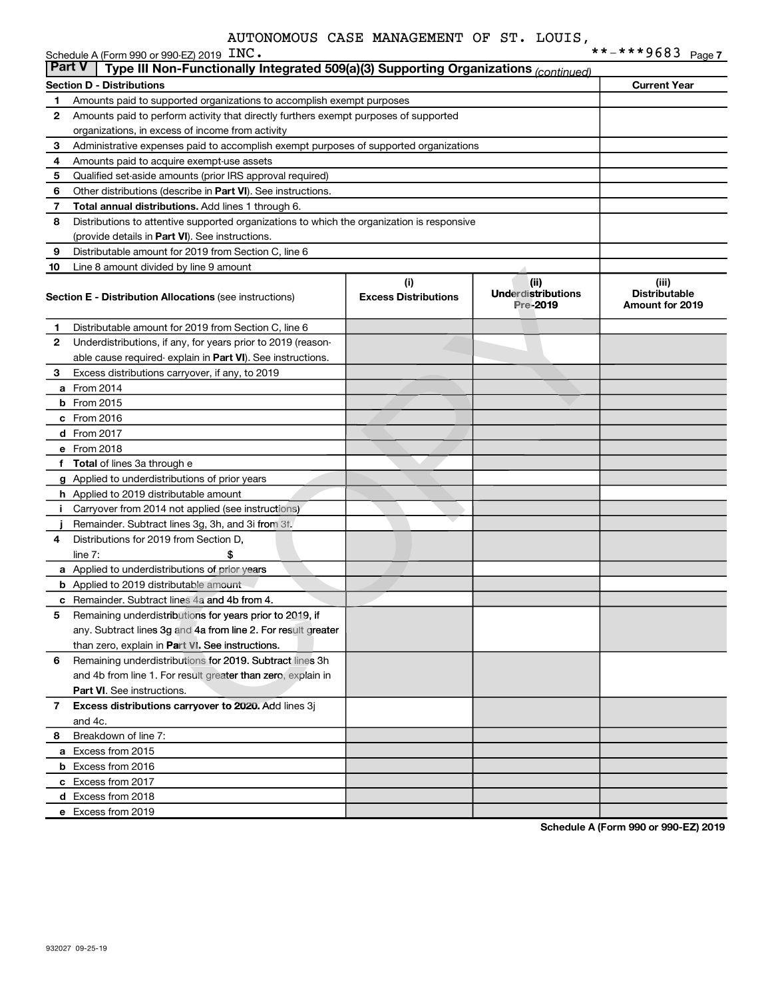|               | Schedule A (Form 990 or 990-EZ) 2019 INC.                                                                      |                                    |                                               |                                                         |
|---------------|----------------------------------------------------------------------------------------------------------------|------------------------------------|-----------------------------------------------|---------------------------------------------------------|
| <b>Part V</b> | Type III Non-Functionally Integrated 509(a)(3) Supporting Organizations (continued)                            |                                    |                                               |                                                         |
|               | <b>Section D - Distributions</b>                                                                               |                                    |                                               | <b>Current Year</b>                                     |
| 1             | Amounts paid to supported organizations to accomplish exempt purposes                                          |                                    |                                               |                                                         |
| 2             | Amounts paid to perform activity that directly furthers exempt purposes of supported                           |                                    |                                               |                                                         |
|               | organizations, in excess of income from activity                                                               |                                    |                                               |                                                         |
| 3             | Administrative expenses paid to accomplish exempt purposes of supported organizations                          |                                    |                                               |                                                         |
| 4             | Amounts paid to acquire exempt-use assets                                                                      |                                    |                                               |                                                         |
| 5             | Qualified set-aside amounts (prior IRS approval required)                                                      |                                    |                                               |                                                         |
| 6             | Other distributions (describe in <b>Part VI</b> ). See instructions.                                           |                                    |                                               |                                                         |
| 7             | Total annual distributions. Add lines 1 through 6.                                                             |                                    |                                               |                                                         |
| 8             | Distributions to attentive supported organizations to which the organization is responsive                     |                                    |                                               |                                                         |
|               | (provide details in Part VI). See instructions.                                                                |                                    |                                               |                                                         |
| 9             | Distributable amount for 2019 from Section C, line 6                                                           |                                    |                                               |                                                         |
| 10            | Line 8 amount divided by line 9 amount                                                                         |                                    |                                               |                                                         |
|               | <b>Section E - Distribution Allocations (see instructions)</b>                                                 | (i)<br><b>Excess Distributions</b> | (ii)<br><b>Underdistributions</b><br>Pre-2019 | (iii)<br><b>Distributable</b><br><b>Amount for 2019</b> |
| 1             | Distributable amount for 2019 from Section C, line 6                                                           |                                    |                                               |                                                         |
| 2             | Underdistributions, if any, for years prior to 2019 (reason-                                                   |                                    |                                               |                                                         |
|               |                                                                                                                |                                    |                                               |                                                         |
| 3             | able cause required- explain in Part VI). See instructions.<br>Excess distributions carryover, if any, to 2019 |                                    |                                               |                                                         |
|               | a From 2014                                                                                                    |                                    |                                               |                                                         |
|               | <b>b</b> From 2015                                                                                             |                                    |                                               |                                                         |
|               |                                                                                                                |                                    |                                               |                                                         |
|               | c From 2016                                                                                                    |                                    |                                               |                                                         |
|               | <b>d</b> From 2017                                                                                             |                                    |                                               |                                                         |
|               | e From 2018                                                                                                    |                                    |                                               |                                                         |
|               | f Total of lines 3a through e                                                                                  |                                    |                                               |                                                         |
|               | g Applied to underdistributions of prior years                                                                 |                                    |                                               |                                                         |
|               | <b>h</b> Applied to 2019 distributable amount                                                                  |                                    |                                               |                                                         |
| Ť.            | Carryover from 2014 not applied (see instructions)                                                             |                                    |                                               |                                                         |
|               | Remainder. Subtract lines 3g, 3h, and 3i from 3f.                                                              |                                    |                                               |                                                         |
| 4             | Distributions for 2019 from Section D,                                                                         |                                    |                                               |                                                         |
|               | line $7:$                                                                                                      |                                    |                                               |                                                         |
|               | a Applied to underdistributions of prior years                                                                 |                                    |                                               |                                                         |
|               | <b>b</b> Applied to 2019 distributable amount                                                                  |                                    |                                               |                                                         |
|               | <b>c</b> Remainder. Subtract lines 4a and 4b from 4.                                                           |                                    |                                               |                                                         |
|               | 5 Remaining underdistributions for years prior to 2019, if                                                     |                                    |                                               |                                                         |
|               | any. Subtract lines 3g and 4a from line 2. For result greater                                                  |                                    |                                               |                                                         |
|               | than zero, explain in Part VI. See instructions.                                                               |                                    |                                               |                                                         |
| 6             | Remaining underdistributions for 2019. Subtract lines 3h                                                       |                                    |                                               |                                                         |
|               | and 4b from line 1. For result greater than zero, explain in                                                   |                                    |                                               |                                                         |
|               | <b>Part VI.</b> See instructions.                                                                              |                                    |                                               |                                                         |
| 7             | Excess distributions carryover to 2020. Add lines 3j                                                           |                                    |                                               |                                                         |
|               | and 4c.                                                                                                        |                                    |                                               |                                                         |
| 8             | Breakdown of line 7:                                                                                           |                                    |                                               |                                                         |
|               | a Excess from 2015                                                                                             |                                    |                                               |                                                         |
|               | <b>b</b> Excess from 2016                                                                                      |                                    |                                               |                                                         |
|               | c Excess from 2017                                                                                             |                                    |                                               |                                                         |
|               | d Excess from 2018                                                                                             |                                    |                                               |                                                         |
|               | e Excess from 2019                                                                                             |                                    |                                               |                                                         |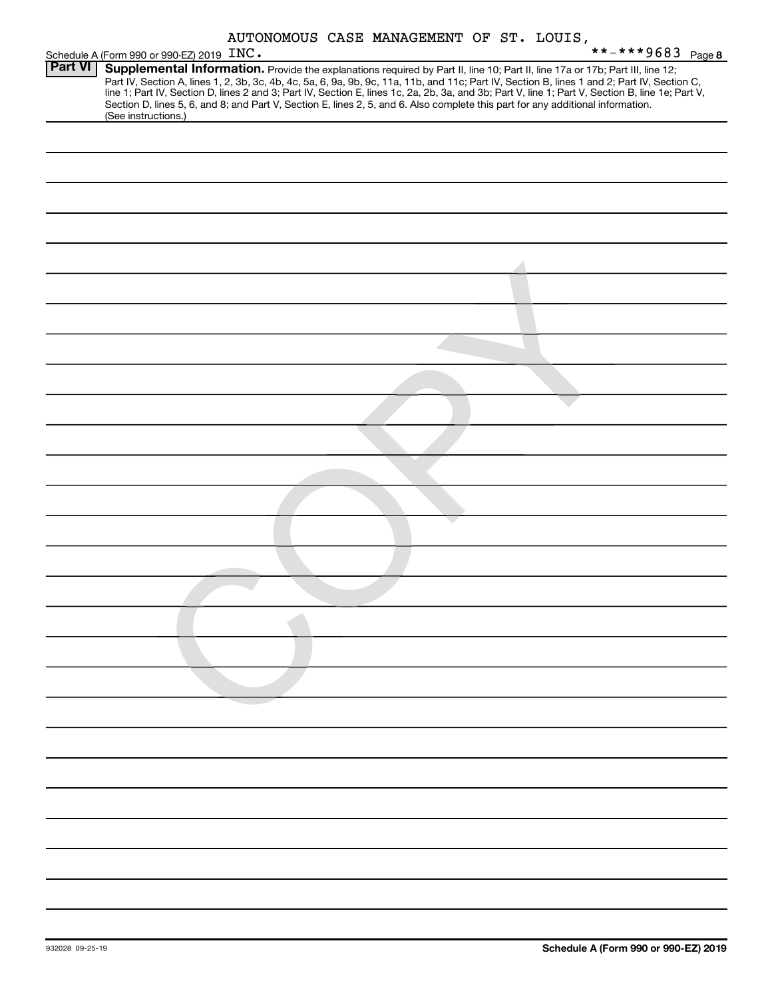| AUTONOMOUS CASE MANAGEMENT OF ST. LOUIS, |  |  |  |
|------------------------------------------|--|--|--|
|------------------------------------------|--|--|--|

|                | AUTONOMOUS CASE MANAGEMENT OF ST. LOUIS,                                                                                                                                                                                                                                                                                                                                                                                                                                                                                                                                                    |
|----------------|---------------------------------------------------------------------------------------------------------------------------------------------------------------------------------------------------------------------------------------------------------------------------------------------------------------------------------------------------------------------------------------------------------------------------------------------------------------------------------------------------------------------------------------------------------------------------------------------|
|                | **-***9683 Page 8<br>Schedule A (Form 990 or 990-EZ) 2019 INC.                                                                                                                                                                                                                                                                                                                                                                                                                                                                                                                              |
| <b>Part VI</b> | Supplemental Information. Provide the explanations required by Part II, line 10; Part II, line 17a or 17b; Part III, line 12;<br>Part IV, Section A, lines 1, 2, 3b, 3c, 4b, 4c, 5a, 6, 9a, 9b, 9c, 11a, 11b, and 11c; Part IV, Section B, lines 1 and 2; Part IV, Section C,<br>line 1; Part IV, Section D, lines 2 and 3; Part IV, Section E, lines 1c, 2a, 2b, 3a, and 3b; Part V, line 1; Part V, Section B, line 1e; Part V,<br>Section D, lines 5, 6, and 8; and Part V, Section E, lines 2, 5, and 6. Also complete this part for any additional information.<br>(See instructions.) |
|                |                                                                                                                                                                                                                                                                                                                                                                                                                                                                                                                                                                                             |
|                |                                                                                                                                                                                                                                                                                                                                                                                                                                                                                                                                                                                             |
|                |                                                                                                                                                                                                                                                                                                                                                                                                                                                                                                                                                                                             |
|                |                                                                                                                                                                                                                                                                                                                                                                                                                                                                                                                                                                                             |
|                |                                                                                                                                                                                                                                                                                                                                                                                                                                                                                                                                                                                             |
|                |                                                                                                                                                                                                                                                                                                                                                                                                                                                                                                                                                                                             |
|                |                                                                                                                                                                                                                                                                                                                                                                                                                                                                                                                                                                                             |
|                |                                                                                                                                                                                                                                                                                                                                                                                                                                                                                                                                                                                             |
|                |                                                                                                                                                                                                                                                                                                                                                                                                                                                                                                                                                                                             |
|                |                                                                                                                                                                                                                                                                                                                                                                                                                                                                                                                                                                                             |
|                |                                                                                                                                                                                                                                                                                                                                                                                                                                                                                                                                                                                             |
|                |                                                                                                                                                                                                                                                                                                                                                                                                                                                                                                                                                                                             |
|                |                                                                                                                                                                                                                                                                                                                                                                                                                                                                                                                                                                                             |
|                |                                                                                                                                                                                                                                                                                                                                                                                                                                                                                                                                                                                             |
|                |                                                                                                                                                                                                                                                                                                                                                                                                                                                                                                                                                                                             |
|                |                                                                                                                                                                                                                                                                                                                                                                                                                                                                                                                                                                                             |
|                |                                                                                                                                                                                                                                                                                                                                                                                                                                                                                                                                                                                             |
|                |                                                                                                                                                                                                                                                                                                                                                                                                                                                                                                                                                                                             |
|                |                                                                                                                                                                                                                                                                                                                                                                                                                                                                                                                                                                                             |
|                |                                                                                                                                                                                                                                                                                                                                                                                                                                                                                                                                                                                             |
|                |                                                                                                                                                                                                                                                                                                                                                                                                                                                                                                                                                                                             |
|                |                                                                                                                                                                                                                                                                                                                                                                                                                                                                                                                                                                                             |
|                |                                                                                                                                                                                                                                                                                                                                                                                                                                                                                                                                                                                             |
|                |                                                                                                                                                                                                                                                                                                                                                                                                                                                                                                                                                                                             |
|                |                                                                                                                                                                                                                                                                                                                                                                                                                                                                                                                                                                                             |
|                |                                                                                                                                                                                                                                                                                                                                                                                                                                                                                                                                                                                             |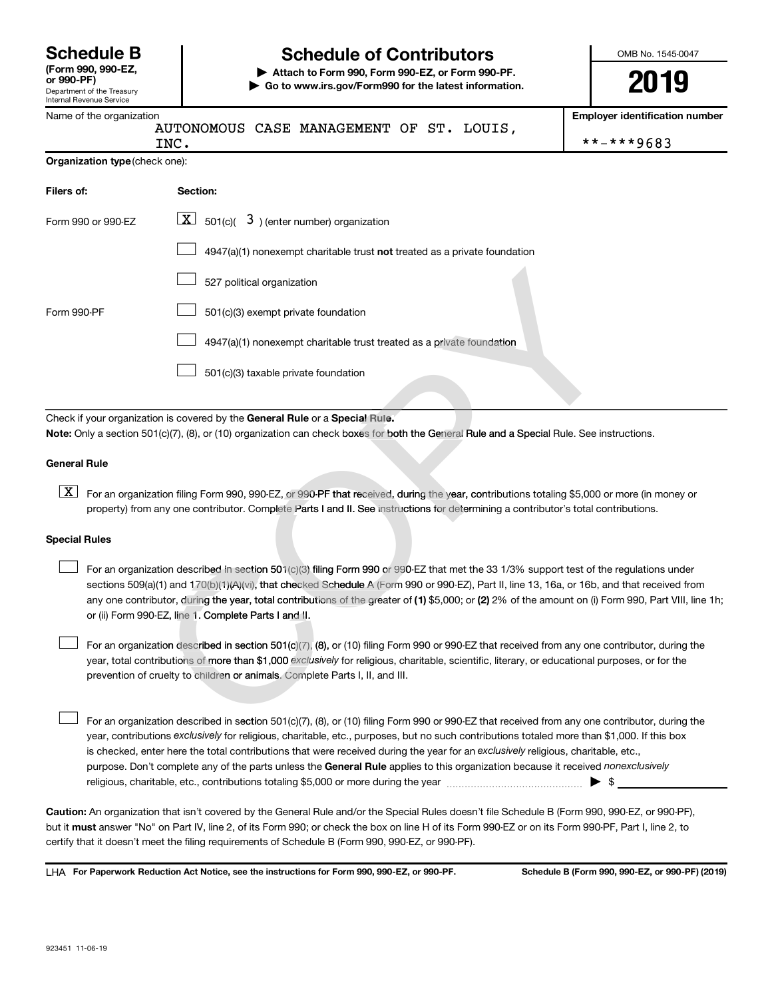Department of the Treasury

# **Schedule B Schedule of Contributors**

**or 990-PF) | Attach to Form 990, Form 990-EZ, or Form 990-PF. | Go to www.irs.gov/Form990 for the latest information.** OMB No. 1545-0047

**2019**

| Internal Revenue Service       |                                                                                                                                                                                                                                                                                                                                                                                                                                                                                                           |                                       |  |  |  |  |  |
|--------------------------------|-----------------------------------------------------------------------------------------------------------------------------------------------------------------------------------------------------------------------------------------------------------------------------------------------------------------------------------------------------------------------------------------------------------------------------------------------------------------------------------------------------------|---------------------------------------|--|--|--|--|--|
| Name of the organization       | AUTONOMOUS CASE MANAGEMENT OF ST. LOUIS,                                                                                                                                                                                                                                                                                                                                                                                                                                                                  | <b>Employer identification number</b> |  |  |  |  |  |
|                                | INC.                                                                                                                                                                                                                                                                                                                                                                                                                                                                                                      | **-***9683                            |  |  |  |  |  |
| Organization type (check one): |                                                                                                                                                                                                                                                                                                                                                                                                                                                                                                           |                                       |  |  |  |  |  |
| Filers of:                     | Section:                                                                                                                                                                                                                                                                                                                                                                                                                                                                                                  |                                       |  |  |  |  |  |
| Form 990 or 990-EZ             | $\overline{X}$ 501(c)( 3) (enter number) organization                                                                                                                                                                                                                                                                                                                                                                                                                                                     |                                       |  |  |  |  |  |
|                                | 4947(a)(1) nonexempt charitable trust not treated as a private foundation                                                                                                                                                                                                                                                                                                                                                                                                                                 |                                       |  |  |  |  |  |
|                                | 527 political organization                                                                                                                                                                                                                                                                                                                                                                                                                                                                                |                                       |  |  |  |  |  |
| Form 990-PF                    | 501(c)(3) exempt private foundation                                                                                                                                                                                                                                                                                                                                                                                                                                                                       |                                       |  |  |  |  |  |
|                                | 4947(a)(1) nonexempt charitable trust treated as a private foundation                                                                                                                                                                                                                                                                                                                                                                                                                                     |                                       |  |  |  |  |  |
|                                | 501(c)(3) taxable private foundation                                                                                                                                                                                                                                                                                                                                                                                                                                                                      |                                       |  |  |  |  |  |
|                                |                                                                                                                                                                                                                                                                                                                                                                                                                                                                                                           |                                       |  |  |  |  |  |
|                                | Check if your organization is covered by the General Rule or a Special Rule.                                                                                                                                                                                                                                                                                                                                                                                                                              |                                       |  |  |  |  |  |
|                                | Note: Only a section 501(c)(7), (8), or (10) organization can check boxes for both the General Rule and a Special Rule. See instructions.                                                                                                                                                                                                                                                                                                                                                                 |                                       |  |  |  |  |  |
| <b>General Rule</b>            |                                                                                                                                                                                                                                                                                                                                                                                                                                                                                                           |                                       |  |  |  |  |  |
| $\boxed{\text{X}}$             | For an organization filing Form 990, 990-EZ, or 990-PF that received, during the year, contributions totaling \$5,000 or more (in money or<br>property) from any one contributor. Complete Parts I and II. See instructions for determining a contributor's total contributions.                                                                                                                                                                                                                          |                                       |  |  |  |  |  |
| <b>Special Rules</b>           |                                                                                                                                                                                                                                                                                                                                                                                                                                                                                                           |                                       |  |  |  |  |  |
|                                | For an organization described in section 501(c)(3) filing Form 990 or 990-EZ that met the 33 1/3% support test of the regulations under<br>sections 509(a)(1) and 170(b)(1)(A)(vi), that checked Schedule A (Form 990 or 990-EZ), Part II, line 13, 16a, or 16b, and that received from<br>any one contributor, during the year, total contributions of the greater of (1) \$5,000; or (2) 2% of the amount on (i) Form 990, Part VIII, line 1h;<br>or (ii) Form 990-EZ, line 1. Complete Parts I and II. |                                       |  |  |  |  |  |
|                                | For an organization described in section 501(c)(7), (8), or (10) filing Form 990 or 990-EZ that received from any one contributor, during the<br>year, total contributions of more than \$1,000 exclusively for religious, charitable, scientific, literary, or educational purposes, or for the<br>prevention of cruelty to children or animals. Complete Parts I, II, and III.                                                                                                                          |                                       |  |  |  |  |  |
|                                | For an organization described in section 501(c)(7), (8), or (10) filing Form 990 or 990-EZ that received from any one contributor, during the                                                                                                                                                                                                                                                                                                                                                             |                                       |  |  |  |  |  |

#### **Special Rules**

purpose. Don't complete any of the parts unless the General Rule applies to this organization because it received nonexclusively year, contributions exclusively for religious, charitable, etc., purposes, but no such contributions totaled more than \$1,000. If this box is checked, enter here the total contributions that were received during the year for an exclusively religious, charitable, etc., For an organization described in section 501(c)(7), (8), or (10) filing Form 990 or 990-EZ that received from any one contributor, during the religious, charitable, etc., contributions totaling \$5,000 or more during the year  $\ldots$  $\ldots$  $\ldots$  $\ldots$  $\ldots$  $\ldots$  $\begin{array}{c} \hline \end{array}$ 

**Caution:**  An organization that isn't covered by the General Rule and/or the Special Rules doesn't file Schedule B (Form 990, 990-EZ, or 990-PF),  **must** but it answer "No" on Part IV, line 2, of its Form 990; or check the box on line H of its Form 990-EZ or on its Form 990-PF, Part I, line 2, to certify that it doesn't meet the filing requirements of Schedule B (Form 990, 990-EZ, or 990-PF).

LHA For Paperwork Reduction Act Notice, see the instructions for Form 990, 990-EZ, or 990-PF. Schedule B (Form 990, 990-EZ, or 990-PF) (2019)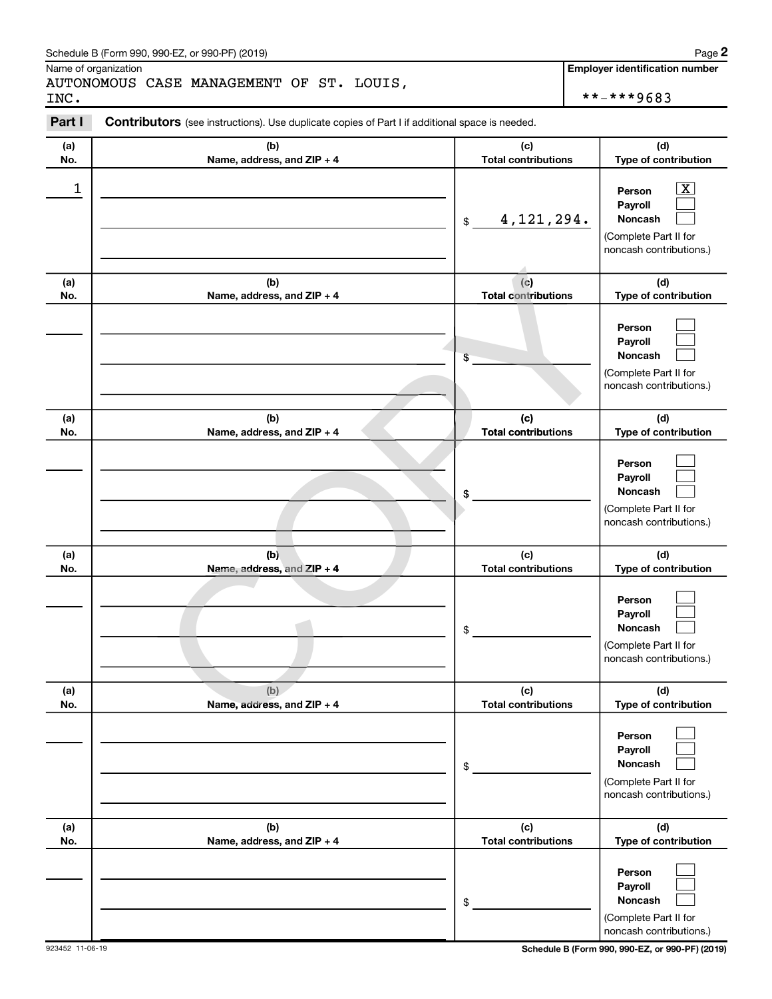| Schedule B (Form 990, 990-EZ, or 990-PF) (2019) | Page |  |
|-------------------------------------------------|------|--|
|-------------------------------------------------|------|--|

Name of organization

AUTONOMOUS CASE MANAGEMENT OF ST. LOUIS, INC. \*\*-\*\*\*9683

**Employer identification number**

| Part I     | <b>Contributors</b> (see instructions). Use duplicate copies of Part I if additional space is needed. |                                   |                                                                                                                    |
|------------|-------------------------------------------------------------------------------------------------------|-----------------------------------|--------------------------------------------------------------------------------------------------------------------|
| (a)        | (b)                                                                                                   | (c)                               | (d)                                                                                                                |
| No.        | Name, address, and ZIP + 4                                                                            | <b>Total contributions</b>        | Type of contribution                                                                                               |
| 1          |                                                                                                       | \$<br>4, 121, 294.                | $\overline{\mathbf{X}}$<br>Person<br>Payroll<br><b>Noncash</b><br>(Complete Part II for<br>noncash contributions.) |
| (a)<br>No. | (b)<br>Name, address, and ZIP + 4                                                                     | (c)<br><b>Total contributions</b> | (d)<br>Type of contribution                                                                                        |
|            |                                                                                                       | \$                                | Person<br>Payroll<br><b>Noncash</b><br>(Complete Part II for<br>noncash contributions.)                            |
| (a)<br>No. | (b)<br>Name, address, and ZIP + 4                                                                     | (c)<br><b>Total contributions</b> | (d)<br>Type of contribution                                                                                        |
|            |                                                                                                       | \$                                | Person<br>Payroll<br>Noncash<br>(Complete Part II for<br>noncash contributions.)                                   |
| (a)<br>No. | (b)<br>Name, address, and ZIP + 4                                                                     | (c)<br><b>Total contributions</b> | (d)<br>Type of contribution                                                                                        |
|            |                                                                                                       | \$                                | Person<br>Payroll<br>Noncash<br>(Complete Part II for<br>noncash contributions.)                                   |
| (a)        | (b)                                                                                                   | (c)                               | (d)                                                                                                                |
| No.        | Name, address, and ZIP + 4                                                                            | \$<br><b>Total contributions</b>  | Type of contribution<br>Person<br>Payroll<br>Noncash<br>(Complete Part II for<br>noncash contributions.)           |
| (a)        | (b)                                                                                                   | (c)<br><b>Total contributions</b> | (d)<br>Type of contribution                                                                                        |
| No.        | Name, address, and ZIP + 4                                                                            | \$                                | Person<br>Payroll<br>Noncash<br>(Complete Part II for<br>noncash contributions.)                                   |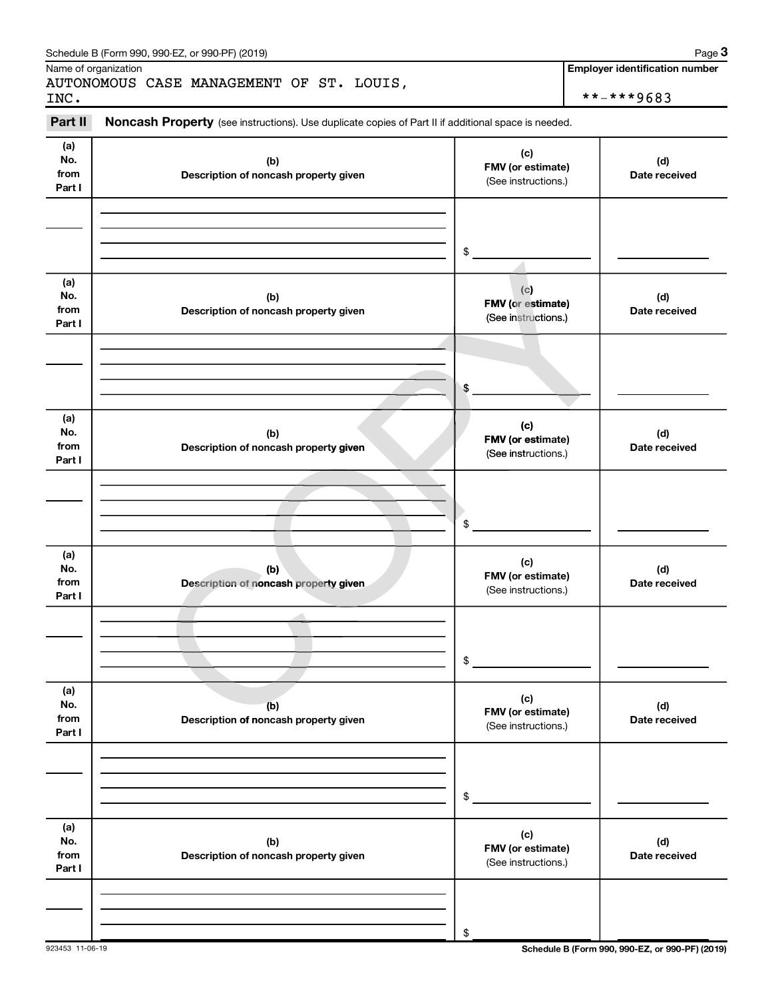|                              | Schedule B (Form 990, 990-EZ, or 990-PF) (2019)                                                     |                                                        | Page 3                                              |
|------------------------------|-----------------------------------------------------------------------------------------------------|--------------------------------------------------------|-----------------------------------------------------|
| INC.                         | Name of organization<br>AUTONOMOUS CASE MANAGEMENT OF ST. LOUIS,                                    |                                                        | <b>Employer identification number</b><br>**-***9683 |
| Part II                      | Noncash Property (see instructions). Use duplicate copies of Part II if additional space is needed. |                                                        |                                                     |
| (a)<br>No.<br>from<br>Part I | (b)<br>Description of noncash property given                                                        | (c)<br>FMV (or estimate)<br>(See instructions.)        | (d)<br>Date received                                |
|                              |                                                                                                     | \$                                                     |                                                     |
| (a)<br>No.<br>from<br>Part I | (b)<br>Description of noncash property given                                                        | (c)<br>FMV (or estimate)<br>(See instructions.)        | (d)<br>Date received                                |
|                              |                                                                                                     | \$                                                     |                                                     |
| (a)<br>No.<br>from<br>Part I | (b)<br>Description of noncash property given                                                        | (c)<br><b>FMV</b> (or estimate)<br>(See instructions.) | (d)<br>Date received                                |
|                              |                                                                                                     | \$                                                     |                                                     |
| (a)<br>No.<br>from<br>Part I | (b)<br>Description of noncash property given                                                        | (c)<br>FMV (or estimate)<br>(See instructions.)        | (d)<br>Date received                                |
|                              |                                                                                                     | \$                                                     |                                                     |
| (a)<br>No.<br>from<br>Part I | (b)<br>Description of noncash property given                                                        | (c)<br>FMV (or estimate)<br>(See instructions.)        | (d)<br>Date received                                |
|                              |                                                                                                     | \$                                                     |                                                     |
| (a)<br>No.<br>from<br>Part I | (b)<br>Description of noncash property given                                                        | (c)<br>FMV (or estimate)<br>(See instructions.)        | (d)<br>Date received                                |
|                              |                                                                                                     | \$                                                     |                                                     |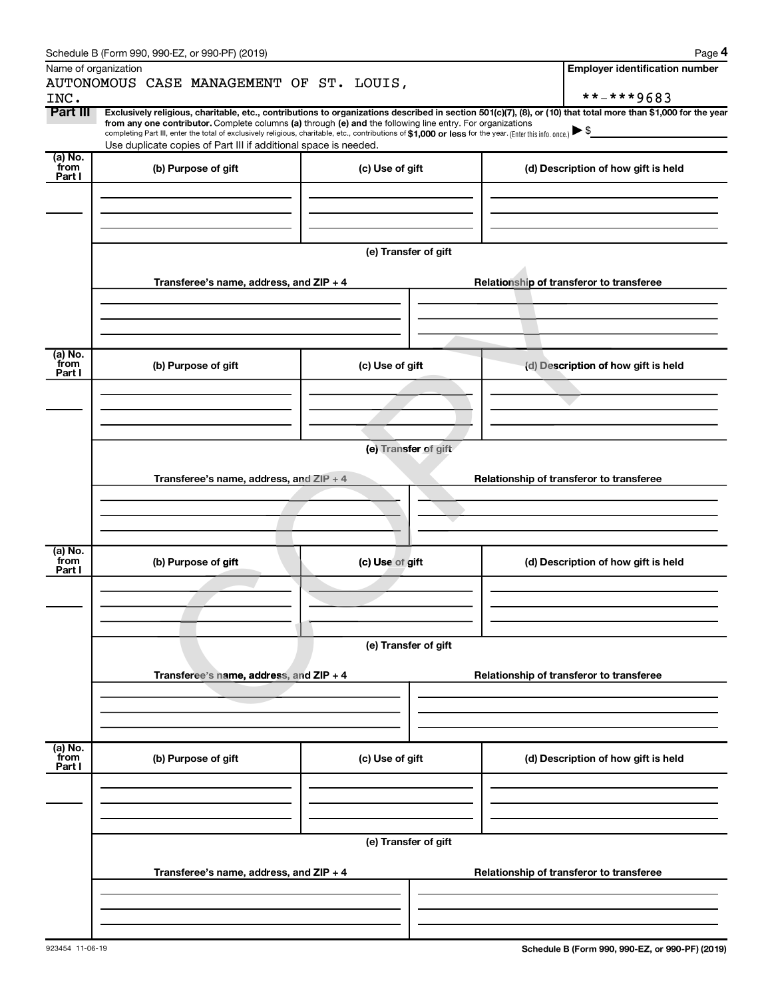|                           | Schedule B (Form 990, 990-EZ, or 990-PF) (2019)                                                                                                                                                                                                                                                                                                                                                                                                                                                             |                      |  | Page 4                                   |  |  |  |  |
|---------------------------|-------------------------------------------------------------------------------------------------------------------------------------------------------------------------------------------------------------------------------------------------------------------------------------------------------------------------------------------------------------------------------------------------------------------------------------------------------------------------------------------------------------|----------------------|--|------------------------------------------|--|--|--|--|
|                           | Name of organization                                                                                                                                                                                                                                                                                                                                                                                                                                                                                        |                      |  | <b>Employer identification number</b>    |  |  |  |  |
|                           | AUTONOMOUS CASE MANAGEMENT OF ST. LOUIS,                                                                                                                                                                                                                                                                                                                                                                                                                                                                    |                      |  |                                          |  |  |  |  |
| INC.                      |                                                                                                                                                                                                                                                                                                                                                                                                                                                                                                             |                      |  | **-***9683                               |  |  |  |  |
| Part III                  | Exclusively religious, charitable, etc., contributions to organizations described in section 501(c)(7), (8), or (10) that total more than \$1,000 for the year<br>from any one contributor. Complete columns (a) through (e) and the following line entry. For organizations<br>completing Part III, enter the total of exclusively religious, charitable, etc., contributions of \$1,000 or less for the year. [Enter this info. once.]<br>Use duplicate copies of Part III if additional space is needed. |                      |  |                                          |  |  |  |  |
| (a) No.<br>from           |                                                                                                                                                                                                                                                                                                                                                                                                                                                                                                             |                      |  |                                          |  |  |  |  |
| Part I                    | (b) Purpose of gift                                                                                                                                                                                                                                                                                                                                                                                                                                                                                         | (c) Use of gift      |  | (d) Description of how gift is held      |  |  |  |  |
|                           |                                                                                                                                                                                                                                                                                                                                                                                                                                                                                                             | (e) Transfer of gift |  |                                          |  |  |  |  |
|                           | Transferee's name, address, and ZIP + 4                                                                                                                                                                                                                                                                                                                                                                                                                                                                     |                      |  | Relationship of transferor to transferee |  |  |  |  |
|                           |                                                                                                                                                                                                                                                                                                                                                                                                                                                                                                             |                      |  |                                          |  |  |  |  |
|                           |                                                                                                                                                                                                                                                                                                                                                                                                                                                                                                             |                      |  |                                          |  |  |  |  |
| (a) No.<br>from<br>Part I | (b) Purpose of gift                                                                                                                                                                                                                                                                                                                                                                                                                                                                                         | (c) Use of gift      |  | (d) Description of how gift is held      |  |  |  |  |
|                           |                                                                                                                                                                                                                                                                                                                                                                                                                                                                                                             |                      |  |                                          |  |  |  |  |
|                           |                                                                                                                                                                                                                                                                                                                                                                                                                                                                                                             |                      |  |                                          |  |  |  |  |
|                           |                                                                                                                                                                                                                                                                                                                                                                                                                                                                                                             |                      |  |                                          |  |  |  |  |
|                           | (e) Transfer of gift                                                                                                                                                                                                                                                                                                                                                                                                                                                                                        |                      |  |                                          |  |  |  |  |
|                           |                                                                                                                                                                                                                                                                                                                                                                                                                                                                                                             |                      |  |                                          |  |  |  |  |
|                           | Transferee's name, address, and $ZIP + 4$                                                                                                                                                                                                                                                                                                                                                                                                                                                                   |                      |  | Relationship of transferor to transferee |  |  |  |  |
|                           |                                                                                                                                                                                                                                                                                                                                                                                                                                                                                                             |                      |  |                                          |  |  |  |  |
|                           |                                                                                                                                                                                                                                                                                                                                                                                                                                                                                                             |                      |  |                                          |  |  |  |  |
|                           |                                                                                                                                                                                                                                                                                                                                                                                                                                                                                                             |                      |  |                                          |  |  |  |  |
| (a) No.<br>from<br>Part I | (b) Purpose of gift                                                                                                                                                                                                                                                                                                                                                                                                                                                                                         | (c) Use of gift      |  | (d) Description of how gift is held      |  |  |  |  |
|                           |                                                                                                                                                                                                                                                                                                                                                                                                                                                                                                             |                      |  |                                          |  |  |  |  |
|                           |                                                                                                                                                                                                                                                                                                                                                                                                                                                                                                             |                      |  |                                          |  |  |  |  |
|                           |                                                                                                                                                                                                                                                                                                                                                                                                                                                                                                             |                      |  |                                          |  |  |  |  |
|                           |                                                                                                                                                                                                                                                                                                                                                                                                                                                                                                             |                      |  |                                          |  |  |  |  |
|                           |                                                                                                                                                                                                                                                                                                                                                                                                                                                                                                             | (e) Transfer of gift |  |                                          |  |  |  |  |
|                           | Transferee's name, address, and ZIP + 4                                                                                                                                                                                                                                                                                                                                                                                                                                                                     |                      |  | Relationship of transferor to transferee |  |  |  |  |
|                           |                                                                                                                                                                                                                                                                                                                                                                                                                                                                                                             |                      |  |                                          |  |  |  |  |
|                           |                                                                                                                                                                                                                                                                                                                                                                                                                                                                                                             |                      |  |                                          |  |  |  |  |
|                           |                                                                                                                                                                                                                                                                                                                                                                                                                                                                                                             |                      |  |                                          |  |  |  |  |
|                           |                                                                                                                                                                                                                                                                                                                                                                                                                                                                                                             |                      |  |                                          |  |  |  |  |
| (a) No.<br>from<br>Part I | (b) Purpose of gift                                                                                                                                                                                                                                                                                                                                                                                                                                                                                         | (c) Use of gift      |  | (d) Description of how gift is held      |  |  |  |  |
|                           |                                                                                                                                                                                                                                                                                                                                                                                                                                                                                                             |                      |  |                                          |  |  |  |  |
|                           |                                                                                                                                                                                                                                                                                                                                                                                                                                                                                                             |                      |  |                                          |  |  |  |  |
|                           |                                                                                                                                                                                                                                                                                                                                                                                                                                                                                                             | (e) Transfer of gift |  |                                          |  |  |  |  |
|                           | Transferee's name, address, and ZIP + 4                                                                                                                                                                                                                                                                                                                                                                                                                                                                     |                      |  | Relationship of transferor to transferee |  |  |  |  |
|                           |                                                                                                                                                                                                                                                                                                                                                                                                                                                                                                             |                      |  |                                          |  |  |  |  |
|                           |                                                                                                                                                                                                                                                                                                                                                                                                                                                                                                             |                      |  |                                          |  |  |  |  |
|                           |                                                                                                                                                                                                                                                                                                                                                                                                                                                                                                             |                      |  |                                          |  |  |  |  |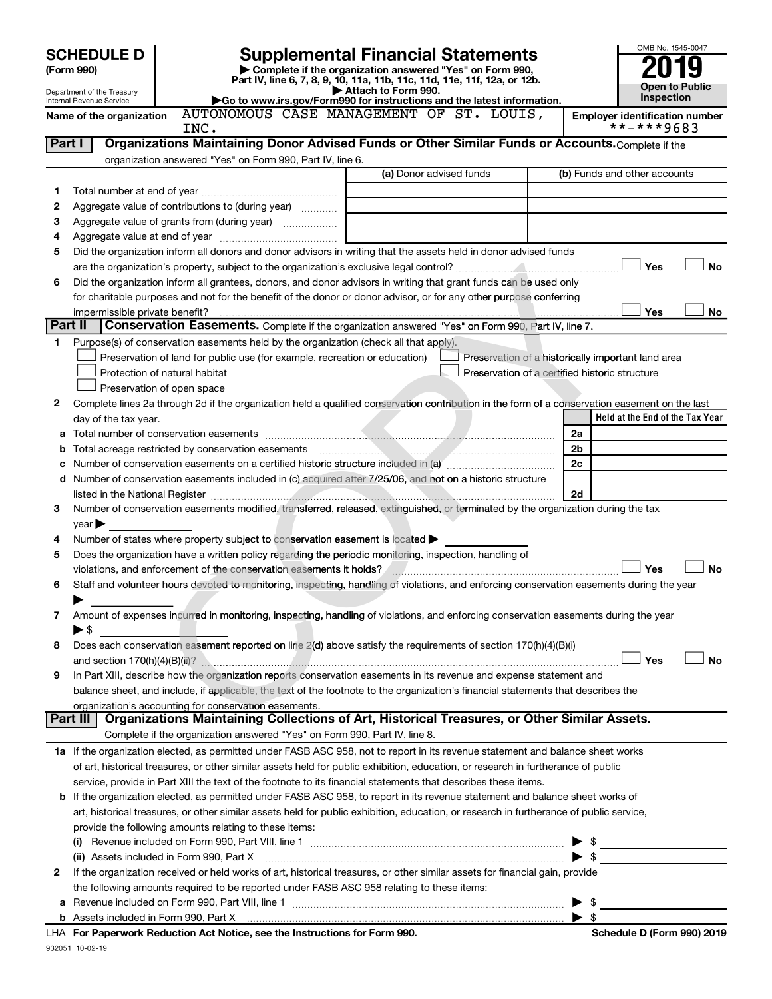|         |                                                                                                                                                                                                                                |                                                                                                   |                                                                                                      |  |                                                    |                         | OMB No. 1545-0047                                   |
|---------|--------------------------------------------------------------------------------------------------------------------------------------------------------------------------------------------------------------------------------|---------------------------------------------------------------------------------------------------|------------------------------------------------------------------------------------------------------|--|----------------------------------------------------|-------------------------|-----------------------------------------------------|
|         | <b>SCHEDULE D</b><br>(Form 990)                                                                                                                                                                                                |                                                                                                   | <b>Supplemental Financial Statements</b><br>Complete if the organization answered "Yes" on Form 990, |  |                                                    |                         |                                                     |
|         |                                                                                                                                                                                                                                |                                                                                                   | Part IV, line 6, 7, 8, 9, 10, 11a, 11b, 11c, 11d, 11e, 11f, 12a, or 12b.                             |  |                                                    |                         | Open to Public                                      |
|         | Department of the Treasury<br>Internal Revenue Service                                                                                                                                                                         |                                                                                                   | Attach to Form 990.<br>Go to www.irs.gov/Form990 for instructions and the latest information.        |  |                                                    |                         | Inspection                                          |
|         | Name of the organization                                                                                                                                                                                                       | AUTONOMOUS CASE MANAGEMENT OF ST. LOUIS,<br>INC.                                                  |                                                                                                      |  |                                                    |                         | <b>Employer identification number</b><br>**-***9683 |
| Part I  |                                                                                                                                                                                                                                | Organizations Maintaining Donor Advised Funds or Other Similar Funds or Accounts. Complete if the |                                                                                                      |  |                                                    |                         |                                                     |
|         |                                                                                                                                                                                                                                | organization answered "Yes" on Form 990, Part IV, line 6.                                         |                                                                                                      |  |                                                    |                         |                                                     |
|         |                                                                                                                                                                                                                                |                                                                                                   | (a) Donor advised funds                                                                              |  |                                                    |                         | (b) Funds and other accounts                        |
| 1       |                                                                                                                                                                                                                                |                                                                                                   |                                                                                                      |  |                                                    |                         |                                                     |
| 2<br>З  | Aggregate value of contributions to (during year)<br>Aggregate value of grants from (during year)                                                                                                                              |                                                                                                   |                                                                                                      |  |                                                    |                         |                                                     |
| 4       |                                                                                                                                                                                                                                |                                                                                                   |                                                                                                      |  |                                                    |                         |                                                     |
| 5       | Did the organization inform all donors and donor advisors in writing that the assets held in donor advised funds                                                                                                               |                                                                                                   |                                                                                                      |  |                                                    |                         |                                                     |
|         |                                                                                                                                                                                                                                |                                                                                                   |                                                                                                      |  |                                                    |                         | Yes<br>No                                           |
| 6       | Did the organization inform all grantees, donors, and donor advisors in writing that grant funds can be used only                                                                                                              |                                                                                                   |                                                                                                      |  |                                                    |                         |                                                     |
|         | for charitable purposes and not for the benefit of the donor or donor advisor, or for any other purpose conferring                                                                                                             |                                                                                                   |                                                                                                      |  |                                                    |                         |                                                     |
|         | impermissible private benefit?                                                                                                                                                                                                 |                                                                                                   |                                                                                                      |  |                                                    |                         | Yes<br>No                                           |
| Part II |                                                                                                                                                                                                                                | Conservation Easements. Complete if the organization answered "Yes" on Form 990, Part IV, line 7. |                                                                                                      |  |                                                    |                         |                                                     |
| 1       | Purpose(s) of conservation easements held by the organization (check all that apply).                                                                                                                                          |                                                                                                   |                                                                                                      |  |                                                    |                         |                                                     |
|         |                                                                                                                                                                                                                                | Preservation of land for public use (for example, recreation or education)                        |                                                                                                      |  | Preservation of a historically important land area |                         |                                                     |
|         | Protection of natural habitat                                                                                                                                                                                                  |                                                                                                   |                                                                                                      |  | Preservation of a certified historic structure     |                         |                                                     |
|         | Preservation of open space                                                                                                                                                                                                     |                                                                                                   |                                                                                                      |  |                                                    |                         |                                                     |
| 2       | Complete lines 2a through 2d if the organization held a qualified conservation contribution in the form of a conservation easement on the last                                                                                 |                                                                                                   |                                                                                                      |  |                                                    |                         |                                                     |
|         | day of the tax year.                                                                                                                                                                                                           |                                                                                                   |                                                                                                      |  |                                                    |                         | Held at the End of the Tax Year                     |
|         |                                                                                                                                                                                                                                |                                                                                                   |                                                                                                      |  |                                                    | 2a<br>2b                |                                                     |
|         |                                                                                                                                                                                                                                |                                                                                                   |                                                                                                      |  |                                                    | 2 <sub>c</sub>          |                                                     |
| d       | Number of conservation easements included in (c) acquired after 7/25/06, and not on a historic structure                                                                                                                       |                                                                                                   |                                                                                                      |  |                                                    |                         |                                                     |
|         | listed in the National Register [11] The Contract of the State of the National Register [11] The National Register [11] The Mational Register [11] The Mational Register [11] The Mational Register [11] The Mational Register |                                                                                                   |                                                                                                      |  |                                                    | 2d                      |                                                     |
| 3       | Number of conservation easements modified, transferred, released, extinguished, or terminated by the organization during the tax                                                                                               |                                                                                                   |                                                                                                      |  |                                                    |                         |                                                     |
|         | $\vee$ ear $\blacktriangleright$                                                                                                                                                                                               |                                                                                                   |                                                                                                      |  |                                                    |                         |                                                     |
| 4       | Number of states where property subject to conservation easement is located                                                                                                                                                    |                                                                                                   |                                                                                                      |  |                                                    |                         |                                                     |
| 5       | Does the organization have a written policy regarding the periodic monitoring, inspection, handling of                                                                                                                         |                                                                                                   |                                                                                                      |  |                                                    |                         |                                                     |
|         | violations, and enforcement of the conservation easements it holds?                                                                                                                                                            |                                                                                                   |                                                                                                      |  |                                                    |                         | <b>No</b><br>Yes                                    |
| 6       | Staff and volunteer hours devoted to monitoring, inspecting, handling of violations, and enforcing conservation easements during the year                                                                                      |                                                                                                   |                                                                                                      |  |                                                    |                         |                                                     |
|         |                                                                                                                                                                                                                                |                                                                                                   |                                                                                                      |  |                                                    |                         |                                                     |
| 7       | Amount of expenses incurred in monitoring, inspecting, handling of violations, and enforcing conservation easements during the year                                                                                            |                                                                                                   |                                                                                                      |  |                                                    |                         |                                                     |
|         | $\blacktriangleright$ \$                                                                                                                                                                                                       |                                                                                                   |                                                                                                      |  |                                                    |                         |                                                     |
| 8       | Does each conservation easement reported on line 2(d) above satisfy the requirements of section 170(h)(4)(B)(i)                                                                                                                |                                                                                                   |                                                                                                      |  |                                                    |                         |                                                     |
|         |                                                                                                                                                                                                                                |                                                                                                   |                                                                                                      |  |                                                    |                         | Yes<br>No                                           |
| 9       | In Part XIII, describe how the organization reports conservation easements in its revenue and expense statement and                                                                                                            |                                                                                                   |                                                                                                      |  |                                                    |                         |                                                     |
|         | balance sheet, and include, if applicable, the text of the footnote to the organization's financial statements that describes the<br>organization's accounting for conservation easements.                                     |                                                                                                   |                                                                                                      |  |                                                    |                         |                                                     |
|         | Part III                                                                                                                                                                                                                       | Organizations Maintaining Collections of Art, Historical Treasures, or Other Similar Assets.      |                                                                                                      |  |                                                    |                         |                                                     |
|         |                                                                                                                                                                                                                                | Complete if the organization answered "Yes" on Form 990, Part IV, line 8.                         |                                                                                                      |  |                                                    |                         |                                                     |
|         | 1a If the organization elected, as permitted under FASB ASC 958, not to report in its revenue statement and balance sheet works                                                                                                |                                                                                                   |                                                                                                      |  |                                                    |                         |                                                     |
|         | of art, historical treasures, or other similar assets held for public exhibition, education, or research in furtherance of public                                                                                              |                                                                                                   |                                                                                                      |  |                                                    |                         |                                                     |
|         | service, provide in Part XIII the text of the footnote to its financial statements that describes these items.                                                                                                                 |                                                                                                   |                                                                                                      |  |                                                    |                         |                                                     |
|         | <b>b</b> If the organization elected, as permitted under FASB ASC 958, to report in its revenue statement and balance sheet works of                                                                                           |                                                                                                   |                                                                                                      |  |                                                    |                         |                                                     |
|         | art, historical treasures, or other similar assets held for public exhibition, education, or research in furtherance of public service,                                                                                        |                                                                                                   |                                                                                                      |  |                                                    |                         |                                                     |
|         | provide the following amounts relating to these items:                                                                                                                                                                         |                                                                                                   |                                                                                                      |  |                                                    |                         |                                                     |
|         |                                                                                                                                                                                                                                |                                                                                                   |                                                                                                      |  |                                                    |                         |                                                     |
|         | (ii) Assets included in Form 990, Part X                                                                                                                                                                                       |                                                                                                   |                                                                                                      |  |                                                    | $\blacktriangleright$ s |                                                     |
| 2       | If the organization received or held works of art, historical treasures, or other similar assets for financial gain, provide                                                                                                   |                                                                                                   |                                                                                                      |  |                                                    |                         |                                                     |
|         | the following amounts required to be reported under FASB ASC 958 relating to these items:                                                                                                                                      |                                                                                                   |                                                                                                      |  |                                                    |                         |                                                     |
|         |                                                                                                                                                                                                                                |                                                                                                   |                                                                                                      |  |                                                    | \$                      |                                                     |
|         |                                                                                                                                                                                                                                |                                                                                                   |                                                                                                      |  |                                                    |                         |                                                     |

932051 10-02-19 LHA For Paperwork Reduction Act Notice, see the Instructions for Form 990. Shedule D (Form 990) 2019 L

| Schedule D (Form 990) 2019 |  |
|----------------------------|--|
|                            |  |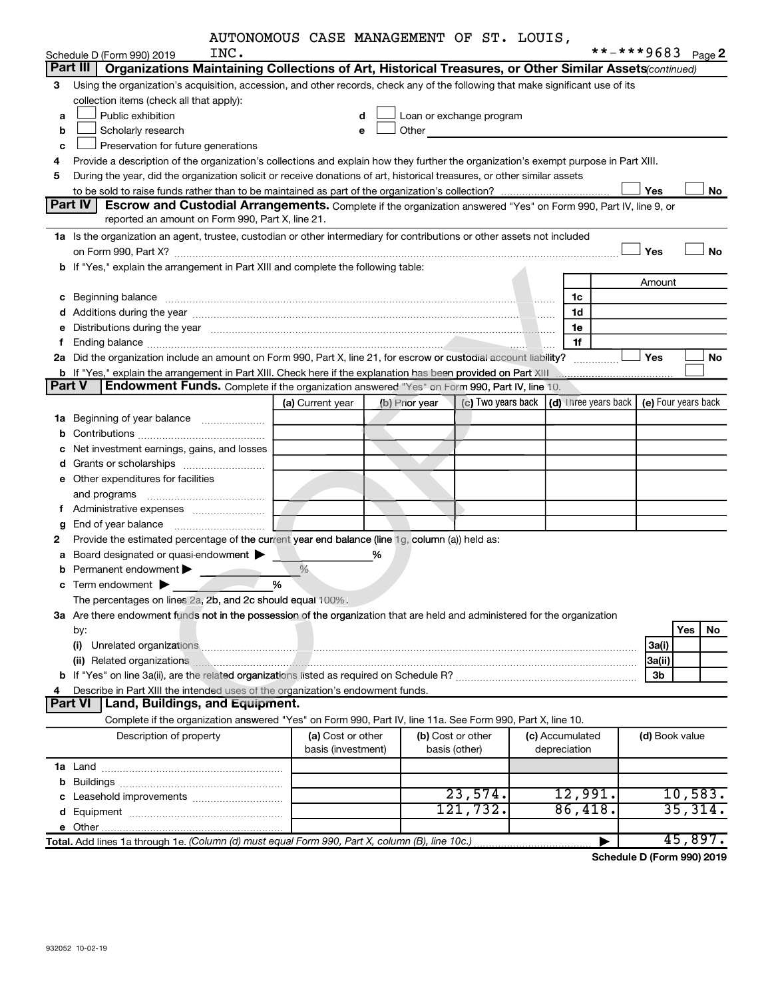|  |  | AUTONOMOUS CASE MANAGEMENT OF ST. LOUIS, |  |  |  |
|--|--|------------------------------------------|--|--|--|
|--|--|------------------------------------------|--|--|--|

|   | INC.<br>Schedule D (Form 990) 2019                                                                                                                                                                                                  |                    |                |                          |                                             | **-***9683     | Page 2              |
|---|-------------------------------------------------------------------------------------------------------------------------------------------------------------------------------------------------------------------------------------|--------------------|----------------|--------------------------|---------------------------------------------|----------------|---------------------|
|   | Part III<br>Organizations Maintaining Collections of Art, Historical Treasures, or Other Similar Assets (continued)                                                                                                                 |                    |                |                          |                                             |                |                     |
| 3 | Using the organization's acquisition, accession, and other records, check any of the following that make significant use of its                                                                                                     |                    |                |                          |                                             |                |                     |
|   | collection items (check all that apply):                                                                                                                                                                                            |                    |                |                          |                                             |                |                     |
| a | Public exhibition                                                                                                                                                                                                                   | d                  |                | Loan or exchange program |                                             |                |                     |
| b | Scholarly research                                                                                                                                                                                                                  | e                  | Other          |                          |                                             |                |                     |
| c | Preservation for future generations                                                                                                                                                                                                 |                    |                |                          |                                             |                |                     |
| 4 | Provide a description of the organization's collections and explain how they further the organization's exempt purpose in Part XIII.                                                                                                |                    |                |                          |                                             |                |                     |
| 5 | During the year, did the organization solicit or receive donations of art, historical treasures, or other similar assets                                                                                                            |                    |                |                          |                                             |                |                     |
|   |                                                                                                                                                                                                                                     |                    |                |                          |                                             | Yes            | No                  |
|   | Part IV<br>Escrow and Custodial Arrangements. Complete if the organization answered "Yes" on Form 990, Part IV, line 9, or                                                                                                          |                    |                |                          |                                             |                |                     |
|   | reported an amount on Form 990, Part X, line 21.                                                                                                                                                                                    |                    |                |                          |                                             |                |                     |
|   | 1a Is the organization an agent, trustee, custodian or other intermediary for contributions or other assets not included                                                                                                            |                    |                |                          |                                             |                |                     |
|   |                                                                                                                                                                                                                                     |                    |                |                          |                                             | Yes            | No                  |
|   | b If "Yes," explain the arrangement in Part XIII and complete the following table:                                                                                                                                                  |                    |                |                          |                                             |                |                     |
|   |                                                                                                                                                                                                                                     |                    |                |                          |                                             | Amount         |                     |
|   | c Beginning balance measurements and the contract of the contract of the contract of the contract of the contract of the contract of the contract of the contract of the contract of the contract of the contract of the contr      |                    |                |                          | 1c                                          |                |                     |
|   |                                                                                                                                                                                                                                     |                    |                |                          | 1d                                          |                |                     |
|   | e Distributions during the year manufactured and contain an account of the year manufactured and the year manufactured and the year manufactured and the year manufactured and the year manufactured and the year manufactured      |                    |                |                          | 1e                                          |                |                     |
| f |                                                                                                                                                                                                                                     |                    |                |                          | 1f                                          |                |                     |
|   | 2a Did the organization include an amount on Form 990, Part X, line 21, for escrow or custodial account liability?                                                                                                                  |                    |                |                          |                                             | Yes            | No                  |
|   | b If "Yes," explain the arrangement in Part XIII. Check here if the explanation has been provided on Part XIII                                                                                                                      |                    |                |                          |                                             |                |                     |
|   | <b>Part V</b><br>Endowment Funds. Complete if the organization answered "Yes" on Form 990, Part IV, line 10.                                                                                                                        |                    |                |                          |                                             |                |                     |
|   |                                                                                                                                                                                                                                     | (a) Current year   | (b) Prior year |                          | (c) Two years back $ $ (d) Three years back |                | (e) Four years back |
|   | 1a Beginning of year balance                                                                                                                                                                                                        |                    |                |                          |                                             |                |                     |
|   |                                                                                                                                                                                                                                     |                    |                |                          |                                             |                |                     |
|   | c Net investment earnings, gains, and losses                                                                                                                                                                                        |                    |                |                          |                                             |                |                     |
|   |                                                                                                                                                                                                                                     |                    |                |                          |                                             |                |                     |
|   | e Other expenditures for facilities                                                                                                                                                                                                 |                    |                |                          |                                             |                |                     |
|   | and programs                                                                                                                                                                                                                        |                    |                |                          |                                             |                |                     |
|   |                                                                                                                                                                                                                                     |                    |                |                          |                                             |                |                     |
| g |                                                                                                                                                                                                                                     |                    |                |                          |                                             |                |                     |
| 2 | Provide the estimated percentage of the current year end balance (line 1g, column (a)) held as:                                                                                                                                     |                    |                |                          |                                             |                |                     |
| a | Board designated or quasi-endowment                                                                                                                                                                                                 |                    | %              |                          |                                             |                |                     |
| b | Permanent endowment                                                                                                                                                                                                                 | %                  |                |                          |                                             |                |                     |
| c | Term endowment $\blacktriangleright$                                                                                                                                                                                                | %                  |                |                          |                                             |                |                     |
|   | The percentages on lines 2a, 2b, and 2c should equal 100%.                                                                                                                                                                          |                    |                |                          |                                             |                |                     |
|   | 3a Are there endowment funds not in the possession of the organization that are held and administered for the organization                                                                                                          |                    |                |                          |                                             |                |                     |
|   | by:                                                                                                                                                                                                                                 |                    |                |                          |                                             |                | <b>Yes</b><br>No    |
|   | (i)                                                                                                                                                                                                                                 |                    |                |                          |                                             | 3a(i)          |                     |
|   | (ii) Related organizations <b>contracts</b> and contracts and contracts and contracts are all the contracts and contracts are all the contracts and contracts are all the contracts and contracts are all the contracts and contrac |                    |                |                          |                                             | 3a(ii)         |                     |
|   |                                                                                                                                                                                                                                     |                    |                |                          |                                             | 3b             |                     |
|   | Describe in Part XIII the intended uses of the organization's endowment funds.                                                                                                                                                      |                    |                |                          |                                             |                |                     |
|   | Part VI   Land, Buildings, and Equipment.                                                                                                                                                                                           |                    |                |                          |                                             |                |                     |
|   | Complete if the organization answered "Yes" on Form 990, Part IV, line 11a. See Form 990, Part X, line 10.                                                                                                                          |                    |                |                          |                                             |                |                     |
|   | Description of property                                                                                                                                                                                                             | (a) Cost or other  |                | (b) Cost or other        | (c) Accumulated                             | (d) Book value |                     |
|   |                                                                                                                                                                                                                                     | basis (investment) |                | basis (other)            | depreciation                                |                |                     |
|   |                                                                                                                                                                                                                                     |                    |                |                          |                                             |                |                     |
|   |                                                                                                                                                                                                                                     |                    |                |                          |                                             |                |                     |
|   |                                                                                                                                                                                                                                     |                    |                | 23,574.                  | 12,991.                                     |                | 10,583.             |
|   |                                                                                                                                                                                                                                     |                    |                | 121,732.                 | 86,418.                                     |                | 35,314.             |
|   |                                                                                                                                                                                                                                     |                    |                |                          |                                             |                |                     |
|   | Total. Add lines 1a through 1e. (Column (d) must equal Form 990, Part X, column (B), line 10c.)                                                                                                                                     |                    |                |                          | ▶                                           |                | 45,897.             |

**Schedule D (Form 990) 2019**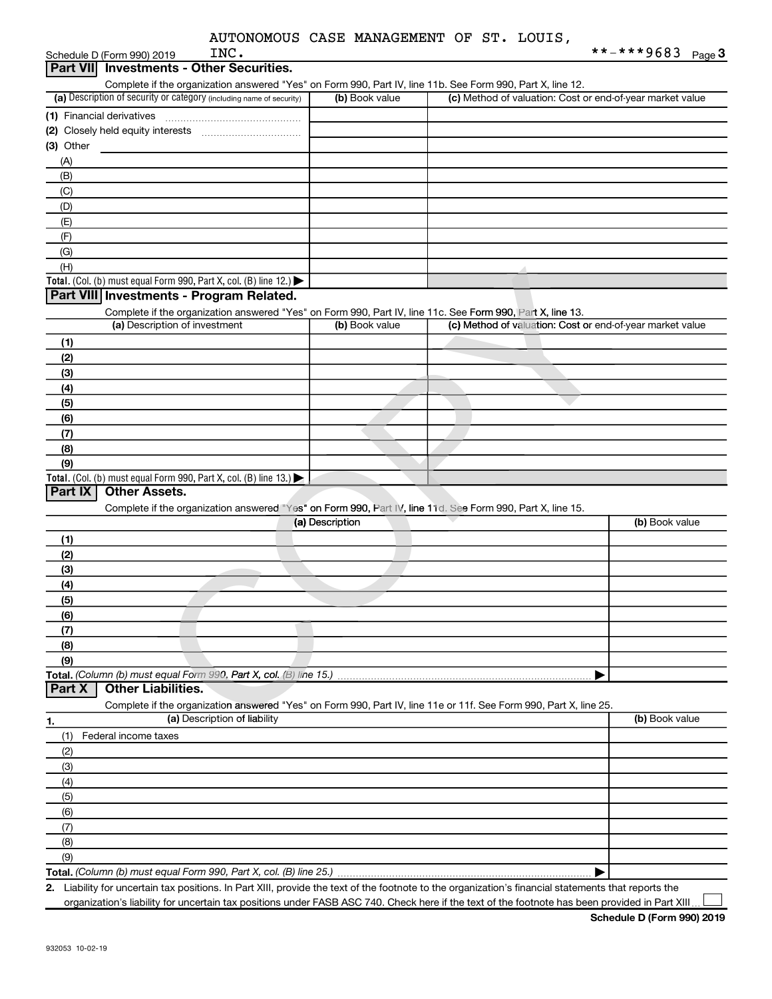|  |  | AUTONOMOUS CASE MANAGEMENT OF ST. LOUIS, |  |  |  |
|--|--|------------------------------------------|--|--|--|
|--|--|------------------------------------------|--|--|--|

| INC.<br>Schedule D (Form 990) 2019                                                                                |                 | **-***9683 $_{Page 3}$                                    |
|-------------------------------------------------------------------------------------------------------------------|-----------------|-----------------------------------------------------------|
| <b>Part VIII</b><br><b>Investments - Other Securities.</b>                                                        |                 |                                                           |
| Complete if the organization answered "Yes" on Form 990, Part IV, line 11b. See Form 990, Part X, line 12.        |                 |                                                           |
| (a) Description of security or category (including name of security)                                              | (b) Book value  | (c) Method of valuation: Cost or end-of-year market value |
| (1) Financial derivatives                                                                                         |                 |                                                           |
|                                                                                                                   |                 |                                                           |
| $(3)$ Other                                                                                                       |                 |                                                           |
| (A)                                                                                                               |                 |                                                           |
| (B)                                                                                                               |                 |                                                           |
| (C)                                                                                                               |                 |                                                           |
| (D)                                                                                                               |                 |                                                           |
| (E)                                                                                                               |                 |                                                           |
| (F)                                                                                                               |                 |                                                           |
| (G)                                                                                                               |                 |                                                           |
| (H)                                                                                                               |                 |                                                           |
| Total. (Col. (b) must equal Form 990, Part X, col. (B) line 12.)                                                  |                 |                                                           |
| Part VIII Investments - Program Related.                                                                          |                 |                                                           |
| Complete if the organization answered "Yes" on Form 990, Part IV, line 11c. See Form 990, Part X, line 13.        |                 |                                                           |
| (a) Description of investment                                                                                     | (b) Book value  | (c) Method of valuation: Cost or end-of-year market value |
| (1)                                                                                                               |                 |                                                           |
| (2)                                                                                                               |                 |                                                           |
| (3)                                                                                                               |                 |                                                           |
| (4)                                                                                                               |                 |                                                           |
| (5)                                                                                                               |                 |                                                           |
| (6)                                                                                                               |                 |                                                           |
| (7)                                                                                                               |                 |                                                           |
| (8)                                                                                                               |                 |                                                           |
| (9)                                                                                                               |                 |                                                           |
| Total. (Col. (b) must equal Form 990, Part X, col. (B) line $13.$ )                                               |                 |                                                           |
| Part IX<br><b>Other Assets.</b>                                                                                   |                 |                                                           |
| Complete if the organization answered "Yes" on Form 990, Part IV, line 11d. See Form 990, Part X, line 15.        |                 |                                                           |
|                                                                                                                   | (a) Description | (b) Book value                                            |
| (1)                                                                                                               |                 |                                                           |
| (2)                                                                                                               |                 |                                                           |
| (3)                                                                                                               |                 |                                                           |
| (4)                                                                                                               |                 |                                                           |
| (5)                                                                                                               |                 |                                                           |
| (6)                                                                                                               |                 |                                                           |
| (7)                                                                                                               |                 |                                                           |
| (8)                                                                                                               |                 |                                                           |
| (9)                                                                                                               |                 |                                                           |
| Total. (Column (b) must equal Form 990, Part X, col. (B) line 15.)                                                |                 |                                                           |
| <b>Other Liabilities.</b><br>Part X                                                                               |                 |                                                           |
| Complete if the organization answered "Yes" on Form 990, Part IV, line 11e or 11f. See Form 990, Part X, line 25. |                 |                                                           |
| (a) Description of liability<br>1.                                                                                |                 | (b) Book value                                            |

**1. (a)** Description of liability **Book value (b)** Book value **Total.**  *(Column (b) must equal Form 990, Part X, col. (B) line 25.)* Complete if the organization answered "Yes" on Form 990, Part IV, line 11e or 11f. See Form 990, Part X, line 25. (1) Federal income taxes (2) (3) (4) (5) (6) (7) (8) (9) | **Part X | Other Liabilities.** 

**2.** Liability for uncertain tax positions. In Part XIII, provide the text of the footnote to the organization's financial statements that reports the organization's liability for uncertain tax positions under FASB ASC 740. Check here if the text of the footnote has been provided in Part XIII  $\Box$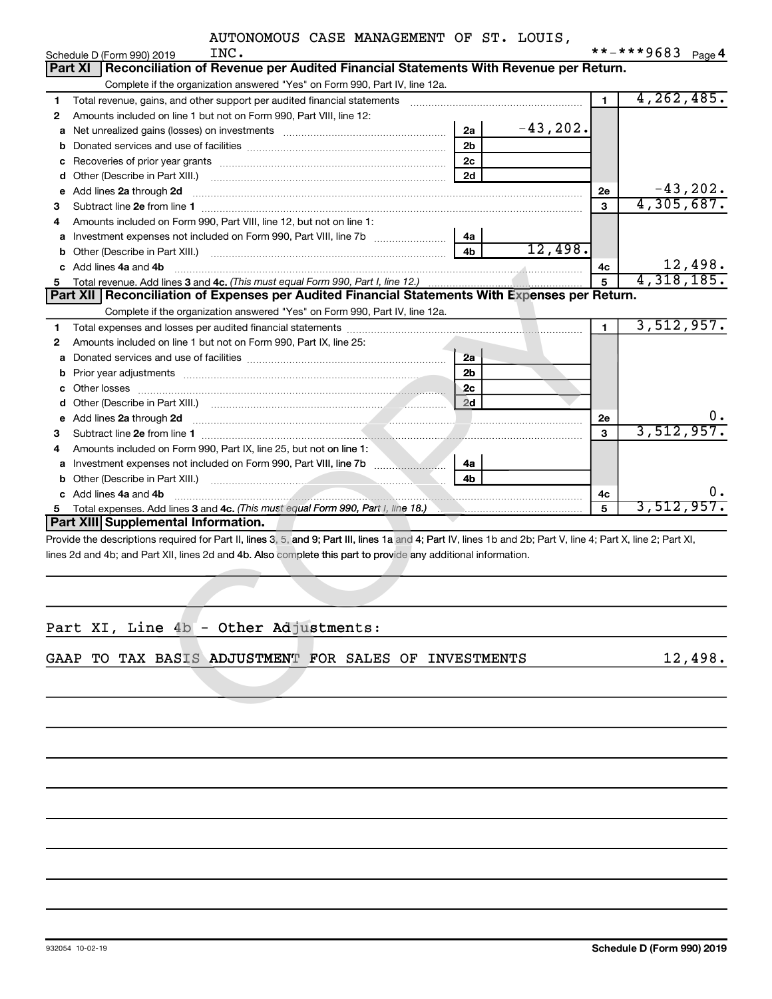|   | INC.<br>Schedule D (Form 990) 2019                                                                                                                             |             |                | **-***9683                   | Page 4  |
|---|----------------------------------------------------------------------------------------------------------------------------------------------------------------|-------------|----------------|------------------------------|---------|
|   | Reconciliation of Revenue per Audited Financial Statements With Revenue per Return.<br><b>Part XI</b>                                                          |             |                |                              |         |
|   | Complete if the organization answered "Yes" on Form 990, Part IV, line 12a.                                                                                    |             |                |                              |         |
| 1 | Total revenue, gains, and other support per audited financial statements [[[[[[[[[[[[[[[[[[[[[[[[]]]]]]]]]]]]                                                  |             | $\blacksquare$ | 4, 262, 485.                 |         |
| 2 | Amounts included on line 1 but not on Form 990, Part VIII, line 12:                                                                                            |             |                |                              |         |
| a | 2a<br>Net unrealized gains (losses) on investments [111] Net unrealized mains (losses) on investments [11] Mortellin                                           | $-43, 202.$ |                |                              |         |
| b | 2 <sub>b</sub>                                                                                                                                                 |             |                |                              |         |
| с | 2 <sub>c</sub>                                                                                                                                                 |             |                |                              |         |
| d | 2d                                                                                                                                                             |             |                |                              |         |
| е | Add lines 2a through 2d                                                                                                                                        |             | 2е             | $-43,202$ .<br>4,305,687.    |         |
| з |                                                                                                                                                                |             | 3              |                              |         |
| 4 | Amounts included on Form 990, Part VIII, line 12, but not on line 1:                                                                                           |             |                |                              |         |
| а | 4a                                                                                                                                                             |             |                |                              |         |
| b | 4b                                                                                                                                                             | 12,498.     |                |                              |         |
| c | Add lines 4a and 4b                                                                                                                                            |             | 4с             | $\frac{12,498}{4,318,185}$ . |         |
| 5 |                                                                                                                                                                |             | 5              |                              |         |
|   | Part XII   Reconciliation of Expenses per Audited Financial Statements With Expenses per Return.                                                               |             |                |                              |         |
|   | Complete if the organization answered "Yes" on Form 990, Part IV, line 12a.                                                                                    |             |                |                              |         |
| 1 |                                                                                                                                                                |             | 1              | 3,512,957.                   |         |
| 2 | Amounts included on line 1 but not on Form 990, Part IX, line 25:                                                                                              |             |                |                              |         |
| а | 2a                                                                                                                                                             |             |                |                              |         |
| b | 2 <sub>b</sub>                                                                                                                                                 |             |                |                              |         |
|   | 2c                                                                                                                                                             |             |                |                              |         |
|   | 2d                                                                                                                                                             |             |                |                              |         |
| е | Add lines 2a through 2d                                                                                                                                        |             | 2е             |                              |         |
| З |                                                                                                                                                                |             | 3              | 3,512,957.                   |         |
| 4 | Amounts included on Form 990, Part IX, line 25, but not on line 1:                                                                                             |             |                |                              |         |
|   | 4a                                                                                                                                                             |             |                |                              |         |
| b |                                                                                                                                                                |             |                |                              |         |
|   | c Add lines 4a and 4b                                                                                                                                          |             | 4c             |                              | υ.      |
| 5 |                                                                                                                                                                |             | 5              | 3,512,957.                   |         |
|   | Part XIII Supplemental Information.                                                                                                                            |             |                |                              |         |
|   | Provide the descriptions required for Part II, lines 3, 5, and 9; Part III, lines 1a and 4; Part IV, lines 1b and 2b; Part V, line 4; Part X, line 2; Part XI, |             |                |                              |         |
|   | lines 2d and 4b; and Part XII, lines 2d and 4b. Also complete this part to provide any additional information.                                                 |             |                |                              |         |
|   |                                                                                                                                                                |             |                |                              |         |
|   |                                                                                                                                                                |             |                |                              |         |
|   |                                                                                                                                                                |             |                |                              |         |
|   |                                                                                                                                                                |             |                |                              |         |
|   | Part XI, Line 4b - Other Adjustments:                                                                                                                          |             |                |                              |         |
|   | GAAP TO TAX BASIS ADJUSTMENT FOR SALES OF INVESTMENTS                                                                                                          |             |                |                              | 12,498. |
|   |                                                                                                                                                                |             |                |                              |         |
|   |                                                                                                                                                                |             |                |                              |         |
|   |                                                                                                                                                                |             |                |                              |         |

|--|

932054 10-02-19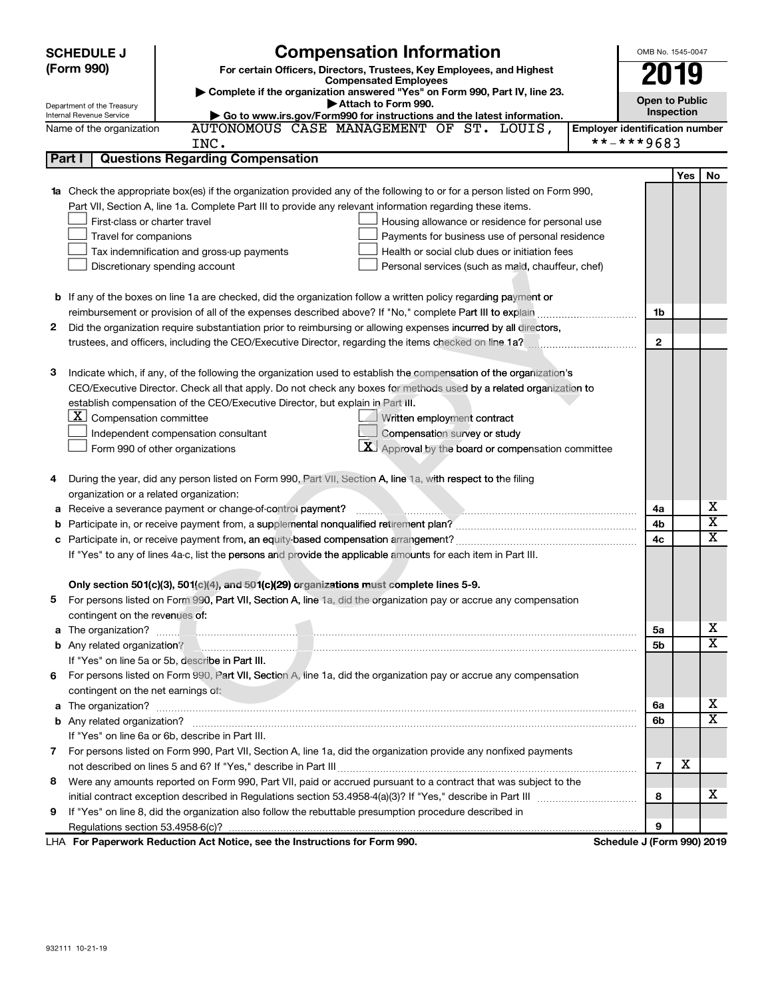|              | <b>Compensation Information</b><br><b>SCHEDULE J</b>                                                                                                                                                                             |                                       | OMB No. 1545-0047     |                              |
|--------------|----------------------------------------------------------------------------------------------------------------------------------------------------------------------------------------------------------------------------------|---------------------------------------|-----------------------|------------------------------|
|              | (Form 990)<br>For certain Officers, Directors, Trustees, Key Employees, and Highest                                                                                                                                              |                                       | 2019                  |                              |
|              | <b>Compensated Employees</b>                                                                                                                                                                                                     |                                       |                       |                              |
|              | Complete if the organization answered "Yes" on Form 990, Part IV, line 23.<br>Attach to Form 990.                                                                                                                                |                                       | <b>Open to Public</b> |                              |
|              | Department of the Treasury<br>Internal Revenue Service<br>Go to www.irs.gov/Form990 for instructions and the latest information.                                                                                                 |                                       | Inspection            |                              |
|              | AUTONOMOUS CASE MANAGEMENT OF ST. LOUIS,<br>Name of the organization                                                                                                                                                             | <b>Employer identification number</b> |                       |                              |
|              | INC.                                                                                                                                                                                                                             | **-***9683                            |                       |                              |
| Part I       | <b>Questions Regarding Compensation</b>                                                                                                                                                                                          |                                       |                       |                              |
|              |                                                                                                                                                                                                                                  |                                       | Yes                   | No                           |
|              | 1a Check the appropriate box(es) if the organization provided any of the following to or for a person listed on Form 990,                                                                                                        |                                       |                       |                              |
|              | Part VII, Section A, line 1a. Complete Part III to provide any relevant information regarding these items.                                                                                                                       |                                       |                       |                              |
|              | First-class or charter travel<br>Housing allowance or residence for personal use                                                                                                                                                 |                                       |                       |                              |
|              | Travel for companions<br>Payments for business use of personal residence                                                                                                                                                         |                                       |                       |                              |
|              | Tax indemnification and gross-up payments<br>Health or social club dues or initiation fees                                                                                                                                       |                                       |                       |                              |
|              | Discretionary spending account<br>Personal services (such as maid, chauffeur, chef)                                                                                                                                              |                                       |                       |                              |
|              | <b>b</b> If any of the boxes on line 1a are checked, did the organization follow a written policy regarding payment or                                                                                                           |                                       |                       |                              |
|              |                                                                                                                                                                                                                                  | 1b                                    |                       |                              |
| $\mathbf{2}$ | Did the organization require substantiation prior to reimbursing or allowing expenses incurred by all directors,                                                                                                                 |                                       |                       |                              |
|              | trustees, and officers, including the CEO/Executive Director, regarding the items checked on line 1a?                                                                                                                            | 2                                     |                       |                              |
|              |                                                                                                                                                                                                                                  |                                       |                       |                              |
| 3            | Indicate which, if any, of the following the organization used to establish the compensation of the organization's                                                                                                               |                                       |                       |                              |
|              | CEO/Executive Director. Check all that apply. Do not check any boxes for methods used by a related organization to                                                                                                               |                                       |                       |                              |
|              | establish compensation of the CEO/Executive Director, but explain in Part III.                                                                                                                                                   |                                       |                       |                              |
|              | $\underline{\mathbf{X}}$ Compensation committee<br>Written employment contract                                                                                                                                                   |                                       |                       |                              |
|              | Compensation survey or study<br>Independent compensation consultant                                                                                                                                                              |                                       |                       |                              |
|              | $\boxed{\textbf{X}}$ Approval by the board or compensation committee<br>Form 990 of other organizations                                                                                                                          |                                       |                       |                              |
|              |                                                                                                                                                                                                                                  |                                       |                       |                              |
| 4            | During the year, did any person listed on Form 990, Part VII, Section A, line 1a, with respect to the filing                                                                                                                     |                                       |                       |                              |
|              | organization or a related organization:                                                                                                                                                                                          |                                       |                       |                              |
|              | Receive a severance payment or change-of-control payment?                                                                                                                                                                        | 4a                                    |                       | х                            |
| b            |                                                                                                                                                                                                                                  | 4b                                    |                       | $\overline{\textbf{x}}$      |
| c            |                                                                                                                                                                                                                                  | 4с                                    |                       | $\overline{\texttt{x}}$      |
|              | If "Yes" to any of lines 4a-c, list the persons and provide the applicable amounts for each item in Part III.                                                                                                                    |                                       |                       |                              |
|              |                                                                                                                                                                                                                                  |                                       |                       |                              |
|              | Only section 501(c)(3), 501(c)(4), and 501(c)(29) organizations must complete lines 5-9.                                                                                                                                         |                                       |                       |                              |
|              | For persons listed on Form 990, Part VII, Section A, line 1a, did the organization pay or accrue any compensation                                                                                                                |                                       |                       |                              |
|              | contingent on the revenues of:                                                                                                                                                                                                   |                                       |                       |                              |
|              |                                                                                                                                                                                                                                  | 5a                                    |                       | x                            |
|              | b Any related organization?<br>under the material continuum continuum continuum contract of the contract of the material contract of the contract of the contract of the contract of the contract of the contract of the contrac | 5b                                    |                       | X                            |
|              | If "Yes" on line 5a or 5b, describe in Part III.                                                                                                                                                                                 |                                       |                       |                              |
| 6.           | For persons listed on Form 990, Part VII, Section A, line 1a, did the organization pay or accrue any compensation                                                                                                                |                                       |                       |                              |
|              | contingent on the net earnings of:                                                                                                                                                                                               |                                       |                       |                              |
|              |                                                                                                                                                                                                                                  | 6a                                    |                       | X<br>$\overline{\mathtt{x}}$ |
|              |                                                                                                                                                                                                                                  | 6b                                    |                       |                              |
|              | If "Yes" on line 6a or 6b, describe in Part III.                                                                                                                                                                                 |                                       |                       |                              |
|              | 7 For persons listed on Form 990, Part VII, Section A, line 1a, did the organization provide any nonfixed payments                                                                                                               |                                       |                       |                              |
|              |                                                                                                                                                                                                                                  | $\overline{7}$                        | x                     |                              |
| 8            | Were any amounts reported on Form 990, Part VII, paid or accrued pursuant to a contract that was subject to the                                                                                                                  |                                       |                       | x                            |
|              |                                                                                                                                                                                                                                  | 8                                     |                       |                              |
| 9            | If "Yes" on line 8, did the organization also follow the rebuttable presumption procedure described in                                                                                                                           |                                       |                       |                              |
|              |                                                                                                                                                                                                                                  | 9                                     |                       |                              |
|              | LHA For Paperwork Reduction Act Notice, see the Instructions for Form 990.                                                                                                                                                       | Schedule J (Form 990) 2019            |                       |                              |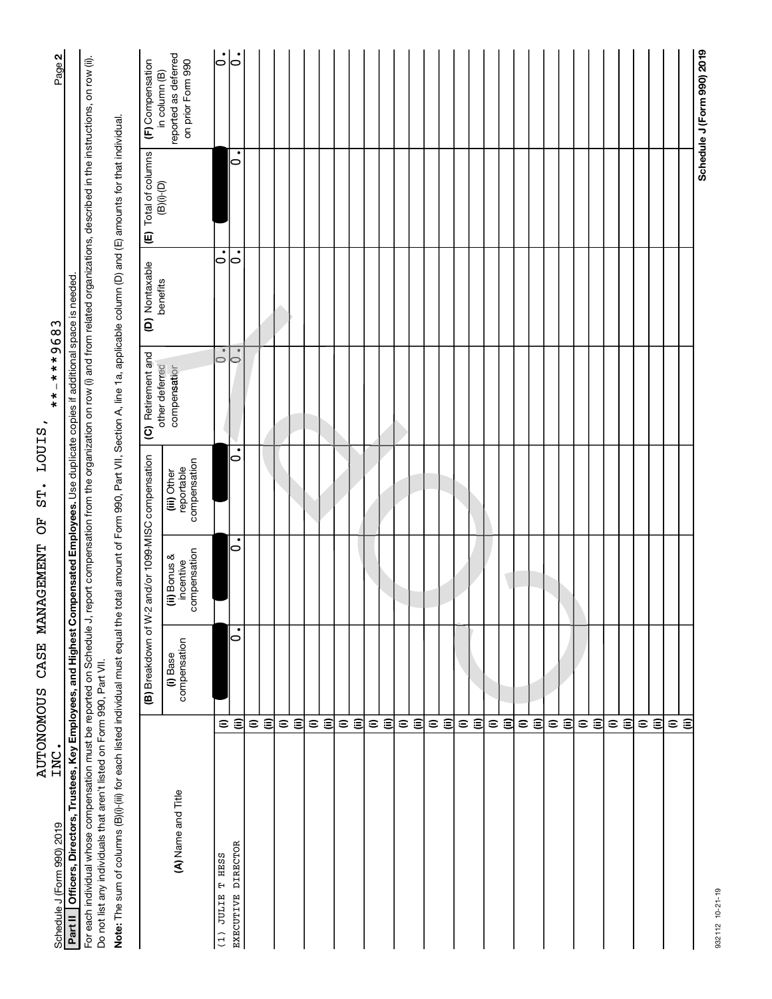| .<br>INC.<br>Schedule J (Form 990) 2019                                                                                                                                                                                                                                          |                                     |                          |                                           |                                           | $**+***$                       |                |                                    | Page 2                                                     |
|----------------------------------------------------------------------------------------------------------------------------------------------------------------------------------------------------------------------------------------------------------------------------------|-------------------------------------|--------------------------|-------------------------------------------|-------------------------------------------|--------------------------------|----------------|------------------------------------|------------------------------------------------------------|
| Part II   Officers, Directors, Trustees, Key Employees, and Highest Compensated Employees. Use duplicate copies if additional space is needed.                                                                                                                                   |                                     |                          |                                           |                                           |                                |                |                                    |                                                            |
| For each individual whose compensation must be reported on Schedule J, report compensation from the organization on row (i) and from related organizations, described in the instructions, on row (ii).<br>Do not list any individuals that aren't listed on Form 990, Part VII. |                                     |                          |                                           |                                           |                                |                |                                    |                                                            |
| Note: The sum of columns (B)(i)-(iii) for each listed individual must equal the total amount of Form 990, Part VII, Section A, line 1a, applicable column (D) and (E) amounts for that individual.                                                                               |                                     |                          |                                           |                                           |                                |                |                                    |                                                            |
|                                                                                                                                                                                                                                                                                  |                                     | (B) Breakdown of W-2     |                                           | and/or 1099-MISC compensation             | (C) Retirement and             | (D) Nontaxable | (E) Total of columns<br>(B)(i)-(D) | (F) Compensation                                           |
| (A) Name and Title                                                                                                                                                                                                                                                               |                                     | compensation<br>(i) Base | compensation<br>(ii) Bonus &<br>incentive | compensation<br>reportable<br>(iii) Other | other deferred<br>compensation | benefits       |                                    | reported as deferred<br>on prior Form 990<br>in column (B) |
| T HESS<br>$(1)$ JULIE                                                                                                                                                                                                                                                            | $\widehat{=}$                       |                          |                                           |                                           | $\circ$                        | $\dot{\circ}$  |                                    | $\dot{\circ}$                                              |
| EXECUTIVE DIRECTOR                                                                                                                                                                                                                                                               | ε                                   | $\bullet$<br>0           | ٠<br>0                                    | ٠<br>0                                    | $\bullet$<br>$\circ$           | 0              | $\bullet$<br>0                     | 0                                                          |
|                                                                                                                                                                                                                                                                                  | $\widehat{\equiv}$<br>$\widehat{=}$ |                          |                                           |                                           |                                |                |                                    |                                                            |
|                                                                                                                                                                                                                                                                                  | $\widehat{=}$                       |                          |                                           |                                           |                                |                |                                    |                                                            |
|                                                                                                                                                                                                                                                                                  | $\widehat{=}$                       |                          |                                           |                                           |                                |                |                                    |                                                            |
|                                                                                                                                                                                                                                                                                  | $\widehat{=}$                       |                          |                                           |                                           |                                |                |                                    |                                                            |
|                                                                                                                                                                                                                                                                                  | $\widehat{\equiv}$                  |                          |                                           |                                           |                                |                |                                    |                                                            |
|                                                                                                                                                                                                                                                                                  | $\widehat{\phantom{a}}$             |                          |                                           |                                           |                                |                |                                    |                                                            |
|                                                                                                                                                                                                                                                                                  | $\widehat{=}$                       |                          |                                           |                                           |                                |                |                                    |                                                            |
|                                                                                                                                                                                                                                                                                  | $\widehat{\cdot}$                   |                          |                                           |                                           |                                |                |                                    |                                                            |
|                                                                                                                                                                                                                                                                                  | $\widehat{\equiv}$                  |                          |                                           |                                           |                                |                |                                    |                                                            |
|                                                                                                                                                                                                                                                                                  | $\widehat{=}$                       |                          |                                           |                                           |                                |                |                                    |                                                            |
|                                                                                                                                                                                                                                                                                  | $\widehat{\equiv}$                  |                          |                                           |                                           |                                |                |                                    |                                                            |
|                                                                                                                                                                                                                                                                                  | $\widehat{=}$                       |                          |                                           |                                           |                                |                |                                    |                                                            |
|                                                                                                                                                                                                                                                                                  | Ξ                                   |                          |                                           |                                           |                                |                |                                    |                                                            |
|                                                                                                                                                                                                                                                                                  | $\widehat{=}$                       |                          |                                           |                                           |                                |                |                                    |                                                            |
|                                                                                                                                                                                                                                                                                  | $\widehat{\equiv}$                  |                          |                                           |                                           |                                |                |                                    |                                                            |
|                                                                                                                                                                                                                                                                                  | $\widehat{\mathbf{z}}$              |                          |                                           |                                           |                                |                |                                    |                                                            |
|                                                                                                                                                                                                                                                                                  | ε                                   |                          |                                           |                                           |                                |                |                                    |                                                            |
|                                                                                                                                                                                                                                                                                  | $\mathrel{\widehat{=}}$             |                          |                                           |                                           |                                |                |                                    |                                                            |
|                                                                                                                                                                                                                                                                                  | $\widehat{\equiv}$                  |                          |                                           |                                           |                                |                |                                    |                                                            |
|                                                                                                                                                                                                                                                                                  | $\widehat{=}$                       |                          |                                           |                                           |                                |                |                                    |                                                            |
|                                                                                                                                                                                                                                                                                  | $\widehat{\equiv}$                  |                          |                                           |                                           |                                |                |                                    |                                                            |
|                                                                                                                                                                                                                                                                                  | $\widehat{=}$                       |                          |                                           |                                           |                                |                |                                    |                                                            |
|                                                                                                                                                                                                                                                                                  | $\widehat{=}$                       |                          |                                           |                                           |                                |                |                                    |                                                            |
|                                                                                                                                                                                                                                                                                  | $\widehat{=}$                       |                          |                                           |                                           |                                |                |                                    |                                                            |
|                                                                                                                                                                                                                                                                                  | $\widehat{\equiv}$                  |                          |                                           |                                           |                                |                |                                    |                                                            |
|                                                                                                                                                                                                                                                                                  | $\widehat{=}$                       |                          |                                           |                                           |                                |                |                                    |                                                            |
|                                                                                                                                                                                                                                                                                  | $\widehat{\equiv}$                  |                          |                                           |                                           |                                |                |                                    |                                                            |
|                                                                                                                                                                                                                                                                                  | $\mathrel{\widehat{=}}$             |                          |                                           |                                           |                                |                |                                    |                                                            |
|                                                                                                                                                                                                                                                                                  | $\widehat{\equiv}$                  |                          |                                           |                                           |                                |                |                                    |                                                            |
|                                                                                                                                                                                                                                                                                  |                                     |                          |                                           |                                           |                                |                |                                    | Schedule J (Form 990) 2019                                 |

932112 10-21-19

932112 10-21-19

AUTONOMOUS CASE MANAGEMENT OF ST. LOUIS,  $***$ ,  $***$  9683 INC. AUTONOMOUS CASE MANAGEMENT OF ST. LOUIS,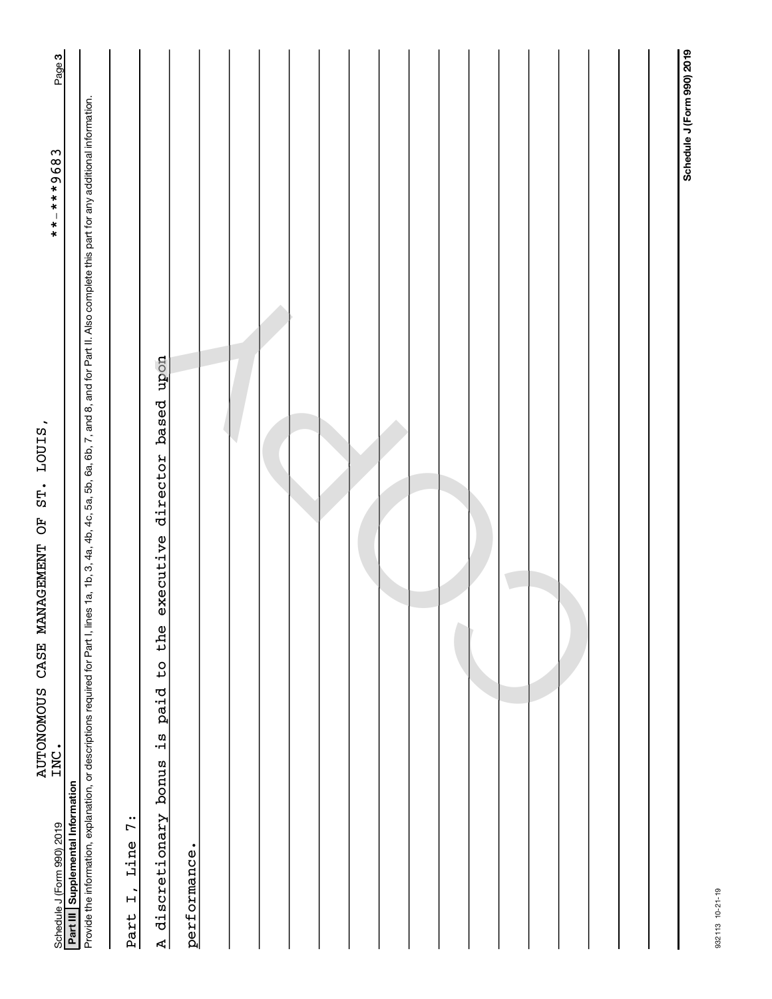| Page 3                                                              |                                                                                                                                                                                                                                                                                        |                                         |                                                                                                                            |              |  |  |  |  |  |  |  |  |                            |
|---------------------------------------------------------------------|----------------------------------------------------------------------------------------------------------------------------------------------------------------------------------------------------------------------------------------------------------------------------------------|-----------------------------------------|----------------------------------------------------------------------------------------------------------------------------|--------------|--|--|--|--|--|--|--|--|----------------------------|
| $******9683$                                                        |                                                                                                                                                                                                                                                                                        |                                         |                                                                                                                            |              |  |  |  |  |  |  |  |  | Schedule J (Form 990) 2019 |
| LOUIS,<br>ST.<br>5O<br>CASE MANAGEMENT<br><b>AUTONOMOUS</b><br>INC. | Provide the information, explanation, or descriptions required for Part I, lines 1a, 1b, 3, 4a, 4b, 4c, 5a, 5b, 6a, 6b, 7, and 8, and for Part II. Also complete this part for any additional information.<br>Schedule J (Form 990) 2019<br><b>Part III   Supplemental Information</b> | $\ddot{r}$<br>Line<br>$\vec{L}$<br>Part | modn<br>based<br>director<br>executive<br>the<br>$\overline{c}$<br>paid<br>ia<br>1-<br>discretionary bonus<br>$\mathbb{R}$ | performance. |  |  |  |  |  |  |  |  |                            |

932113 10-21-19

932113 10-21-19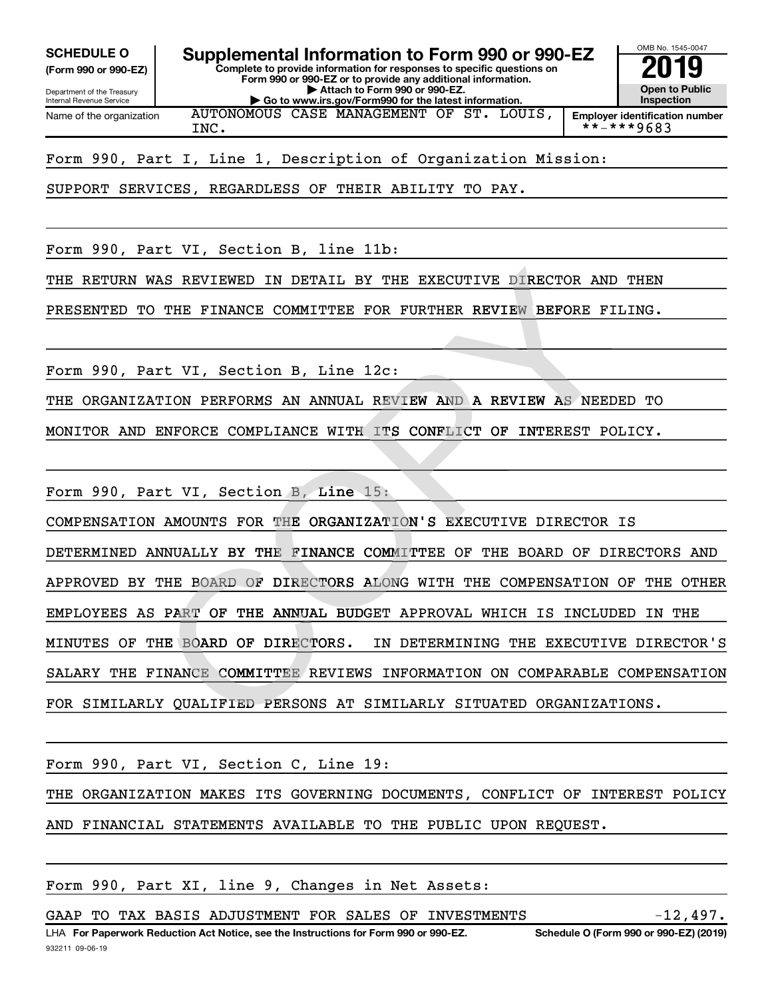Internal Revenue Service

Department of the Treasury **(Form 990 or 990-EZ)**

**Complete to provide information for responses to specific questions on Form 990 or 990-EZ or to provide any additional information. | Attach to Form 990 or 990-EZ.** SCHEDULE O **Supplemental Information to Form 990 or 990-EZ** 2019<br>(Form 990 or 990-EZ)



**| Go to www.irs.gov/Form990 for the latest information. Employer identification number** Name of the organization AUTONOMOUS CASE MANAGEMENT OF ST. LOUIS, INC.  $1 \times 10^{-10}$   $1 \times 10^{-10}$   $1 \times 10^{-10}$   $1 \times 10^{-10}$   $1 \times 10^{-10}$   $1 \times 10^{-10}$   $1 \times 10^{-10}$   $1 \times 10^{-10}$   $1 \times 10^{-10}$   $1 \times 10^{-10}$   $1 \times 10^{-10}$   $1 \times 10^{-10}$   $1 \times 10^{-10}$   $1 \times 10^{-10}$   $1 \times 10^{-10}$   $1 \times 10^{-10}$   $1 \times 10^{-1$ 

Form 990, Part I, Line 1, Description of Organization Mission:

SUPPORT SERVICES, REGARDLESS OF THEIR ABILITY TO PAY.

Form 990, Part VI, Section B, line 11b:

THE RETURN WAS REVIEWED IN DETAIL BY THE EXECUTIVE DIRECTOR AND THEN

PRESENTED TO THE FINANCE COMMITTEE FOR FURTHER REVIEW BEFORE FILING.

Form 990, Part VI, Section B, Line 12c:

THE ORGANIZATION PERFORMS AN ANNUAL REVIEW AND A REVIEW AS NEEDED TO N

MONITOR AND ENFORCE COMPLIANCE WITH ITS CONFLICT OF INTEREST POLICY.

Form 990, Part VI, Section B, Line 15:

COMPENSATION AMOUNTS FOR THE ORGANIZATION'S EXECUTIVE DIRECTOR IS

DETERMINED ANNUALLY BY THE FINANCE COMMITTEE OF THE BOARD OF DIRECTORS AND APPROVED BY THE BOARD OF DIRECTORS ALONG WITH THE COMPENSATION OF THE OTHER EMPLOYEES AS PART OF THE ANNUAL BUDGET APPROVAL WHICH IS INCLUDED IN THE IN DETERMINING THE EXECUTIVE DIRECTOR'S SALARY THE FINANCE COMMITTEE REVIEWS INFORMATION ON COMPARABLE COMPENSATION FOR SIMILARLY QUALIFIED PERSONS AT SIMILARLY SITUATED ORGANIZATIONS. WAS REVIEWED IN DETAIL BY THE EXECUTIVE DIRECTOR AND<br>
D THE FINANCE COMMITTEE FOR FURTHER REVIEW BEFORE FI<br>
ATION PERFORMS AN ANNUAL REVIEW AND A REVIEW AS NEED<br>
ENFORCE COMPLIANCE WITH ITS CONFLICT OF INTEREST PO<br>
ATION P MINUTES OF THE BOARD OF DIRECTORS.

Form 990, Part VI, Section C, Line 19:

THE ORGANIZATION MAKES ITS GOVERNING DOCUMENTS, CONFLICT OF INTEREST POLICY AND FINANCIAL STATEMENTS AVAILABLE TO THE PUBLIC UPON REQUEST.

Form 990, Part XI, line 9, Changes in Net Assets:

GAAP TO TAX BASIS ADJUSTMENT FOR SALES OF INVESTMENTS  $-12,497$ .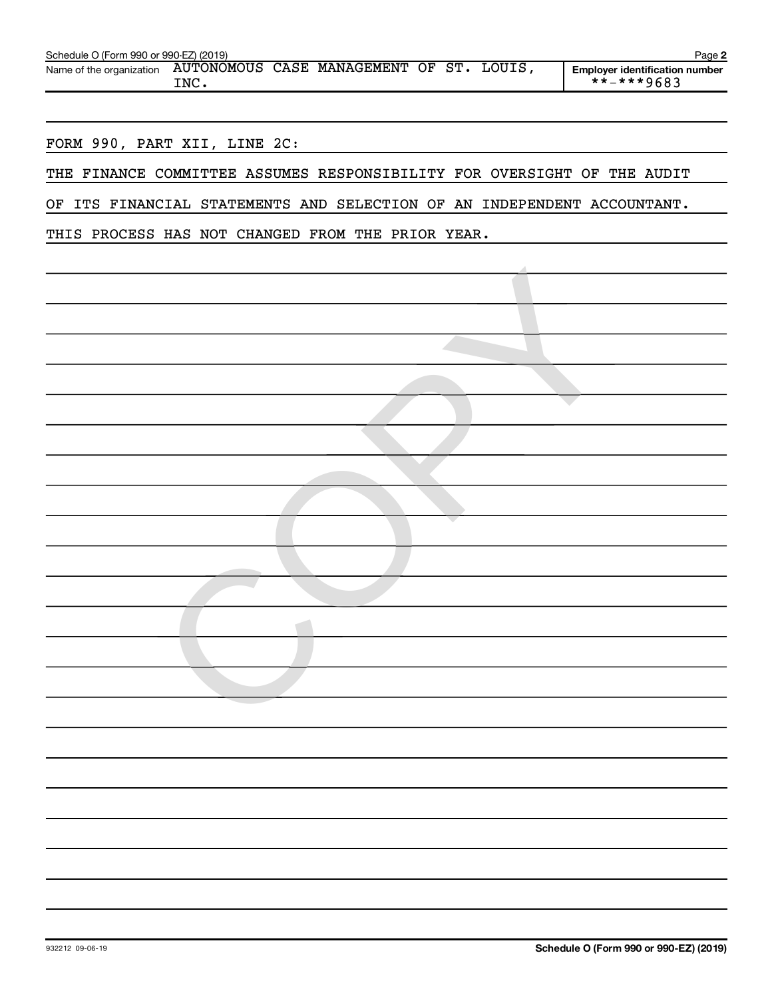| Schedule O (Form 990 or 990-EZ) (2019)                            |      |  |  | Page 2                                                                  |
|-------------------------------------------------------------------|------|--|--|-------------------------------------------------------------------------|
| Name of the organization AUTONOMOUS CASE MANAGEMENT OF ST. LOUIS, |      |  |  | <b>Employer identification number</b>                                   |
|                                                                   | INC. |  |  | **-***9683                                                              |
|                                                                   |      |  |  |                                                                         |
|                                                                   |      |  |  |                                                                         |
| FORM 990, PART XII, LINE 2C:                                      |      |  |  |                                                                         |
|                                                                   |      |  |  |                                                                         |
|                                                                   |      |  |  | THE FINANCE COMMITTEE ASSUMES RESPONSIBILITY FOR OVERSIGHT OF THE AUDIT |
|                                                                   |      |  |  | OF ITS FINANCIAL STATEMENTS AND SELECTION OF AN INDEPENDENT ACCOUNTANT. |
|                                                                   |      |  |  |                                                                         |
| THIS PROCESS HAS NOT CHANGED FROM THE PRIOR YEAR.                 |      |  |  |                                                                         |
|                                                                   |      |  |  |                                                                         |
|                                                                   |      |  |  |                                                                         |
|                                                                   |      |  |  |                                                                         |
|                                                                   |      |  |  |                                                                         |
|                                                                   |      |  |  |                                                                         |
|                                                                   |      |  |  |                                                                         |
|                                                                   |      |  |  |                                                                         |
|                                                                   |      |  |  |                                                                         |
|                                                                   |      |  |  |                                                                         |
|                                                                   |      |  |  |                                                                         |
|                                                                   |      |  |  |                                                                         |
|                                                                   |      |  |  |                                                                         |
|                                                                   |      |  |  |                                                                         |
|                                                                   |      |  |  |                                                                         |
|                                                                   |      |  |  |                                                                         |
|                                                                   |      |  |  |                                                                         |
|                                                                   |      |  |  |                                                                         |
|                                                                   |      |  |  |                                                                         |
|                                                                   |      |  |  |                                                                         |
|                                                                   |      |  |  |                                                                         |
|                                                                   |      |  |  |                                                                         |
|                                                                   |      |  |  |                                                                         |
|                                                                   |      |  |  |                                                                         |
|                                                                   |      |  |  |                                                                         |
|                                                                   |      |  |  |                                                                         |
|                                                                   |      |  |  |                                                                         |
|                                                                   |      |  |  |                                                                         |
|                                                                   |      |  |  |                                                                         |
|                                                                   |      |  |  |                                                                         |
|                                                                   |      |  |  |                                                                         |
|                                                                   |      |  |  |                                                                         |
|                                                                   |      |  |  |                                                                         |
|                                                                   |      |  |  |                                                                         |
|                                                                   |      |  |  |                                                                         |
|                                                                   |      |  |  |                                                                         |
|                                                                   |      |  |  |                                                                         |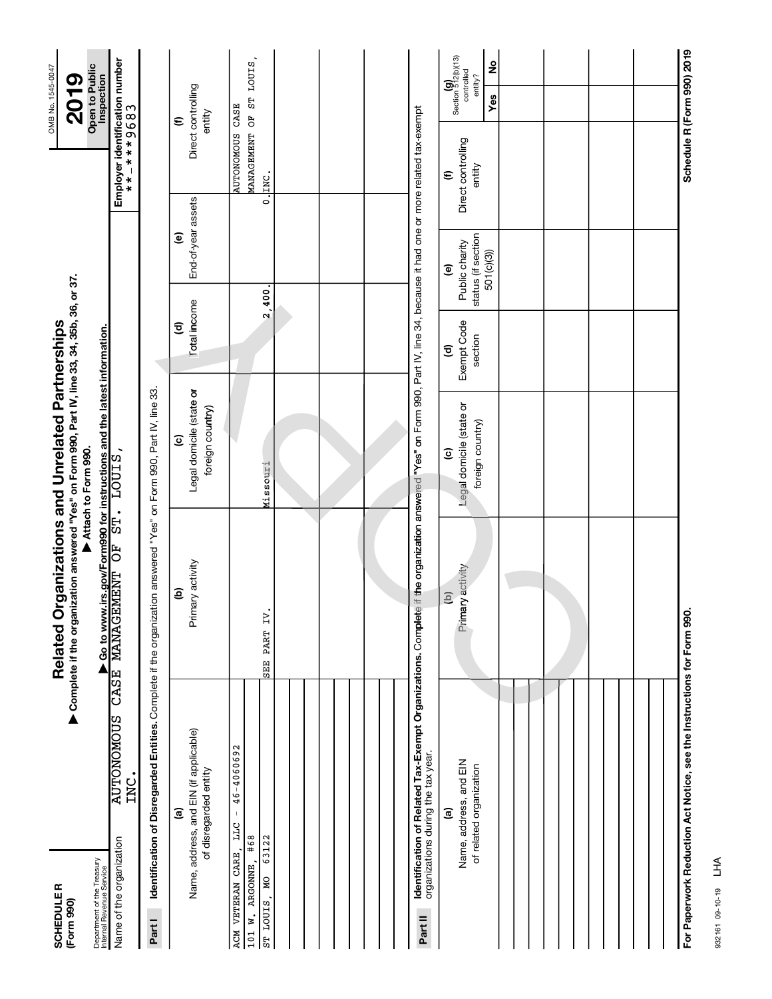| <b>SCHEDULER</b>                                                        |                                                                                                                    | Related O                                                                                            | rganizations and Unrelated Partnerships                                                                         |                                          |                                                                              |                                                         | OMB No. 1545-0047                                       |
|-------------------------------------------------------------------------|--------------------------------------------------------------------------------------------------------------------|------------------------------------------------------------------------------------------------------|-----------------------------------------------------------------------------------------------------------------|------------------------------------------|------------------------------------------------------------------------------|---------------------------------------------------------|---------------------------------------------------------|
| (Form 990)                                                              |                                                                                                                    | ▶ Complete if the organization answered "Yes" on Form 990, Part IV, line 33, 34, 35b, 36, or 37.     |                                                                                                                 |                                          |                                                                              |                                                         | 2019                                                    |
| Department of the Treasury<br>Internal Revenue Service                  |                                                                                                                    |                                                                                                      | Attach to Form 990.                                                                                             |                                          |                                                                              |                                                         | Open to Public<br>Inspection                            |
| Name of the organization                                                | CASE<br>SUONONOTUA<br>INC.                                                                                         | - Go to www.irs.gov/Form990 for instructions and the latest information.<br>MANAGEMENT OF ST. LOUIS, |                                                                                                                 |                                          |                                                                              | Employer identification number<br>* * + _ * * * 9 6 8 3 |                                                         |
| Part I                                                                  | Identification of Disregarded Entities. Complete if the organization answered "Yes" on Form 990, Part IV, line 33. |                                                                                                      |                                                                                                                 |                                          |                                                                              |                                                         |                                                         |
|                                                                         | Name, address, and EIN (if applicable)<br>of disregarded entity<br><u>ි</u>                                        | Primary activity<br>ම                                                                                | Legal domicile (state or<br>foreign country)<br>$\mathbf{c}$                                                    | Total income<br>$\widehat{\mathbf{c}}$   | End-of-year assets<br>$\mathbf{e}$                                           |                                                         | Direct controlling<br>entity<br>$\epsilon$              |
| #68<br>63122<br>ACM VETERAN CARE,<br>W. ARGONNE,<br>ST LOUIS, MO<br>101 | 46-4060692<br>$\,$ $\,$<br>LLC                                                                                     | <b>Z</b><br>SEE PART                                                                                 | Missouri                                                                                                        | $\mathbf{\tilde{c}}$                     | .900.                                                                        | AUTONOMOUS CASE<br>$0.1$ INC.                           | AANAGEMENT OF ST LOUIS,                                 |
|                                                                         |                                                                                                                    |                                                                                                      |                                                                                                                 |                                          |                                                                              |                                                         |                                                         |
|                                                                         |                                                                                                                    |                                                                                                      |                                                                                                                 |                                          |                                                                              |                                                         |                                                         |
|                                                                         |                                                                                                                    |                                                                                                      |                                                                                                                 |                                          |                                                                              |                                                         |                                                         |
| Part II                                                                 | Identification of Related Tax-Exempt Organizations. Complete<br>organizations during the tax year.                 |                                                                                                      | if the organization answered "Yes" on Form 990, Part IV, line 34, because it had one or more related tax-exempt |                                          |                                                                              |                                                         |                                                         |
|                                                                         | Name, address, and EIN<br>of related organization<br>$\widehat{\mathbf{e}}$                                        | Primary activity<br>$\widehat{e}$                                                                    | Legal domicile (state or<br>foreign country)<br>$\widehat{\mathbf{c}}$                                          | Exempt Code<br>section<br>$\overline{c}$ | status (if section<br>Public charity<br>501(c)(3))<br>$\widehat{\mathbf{e}}$ | Direct controlling<br>entity<br>$\boldsymbol{\epsilon}$ | Section 512(b)(13)<br>2<br>controlled<br>entity?<br>Yes |
|                                                                         |                                                                                                                    |                                                                                                      |                                                                                                                 |                                          |                                                                              |                                                         |                                                         |
|                                                                         |                                                                                                                    |                                                                                                      |                                                                                                                 |                                          |                                                                              |                                                         |                                                         |
|                                                                         |                                                                                                                    |                                                                                                      |                                                                                                                 |                                          |                                                                              |                                                         |                                                         |
|                                                                         |                                                                                                                    |                                                                                                      |                                                                                                                 |                                          |                                                                              |                                                         |                                                         |
|                                                                         | For Paperwork Reduction Act Notice, see the Instructions for Form 990.                                             |                                                                                                      |                                                                                                                 |                                          |                                                                              |                                                         | Schedule R (Form 990) 2019                              |

OMB No. 1545-0047

932161 09-10-19 LHA

932161 09-10-19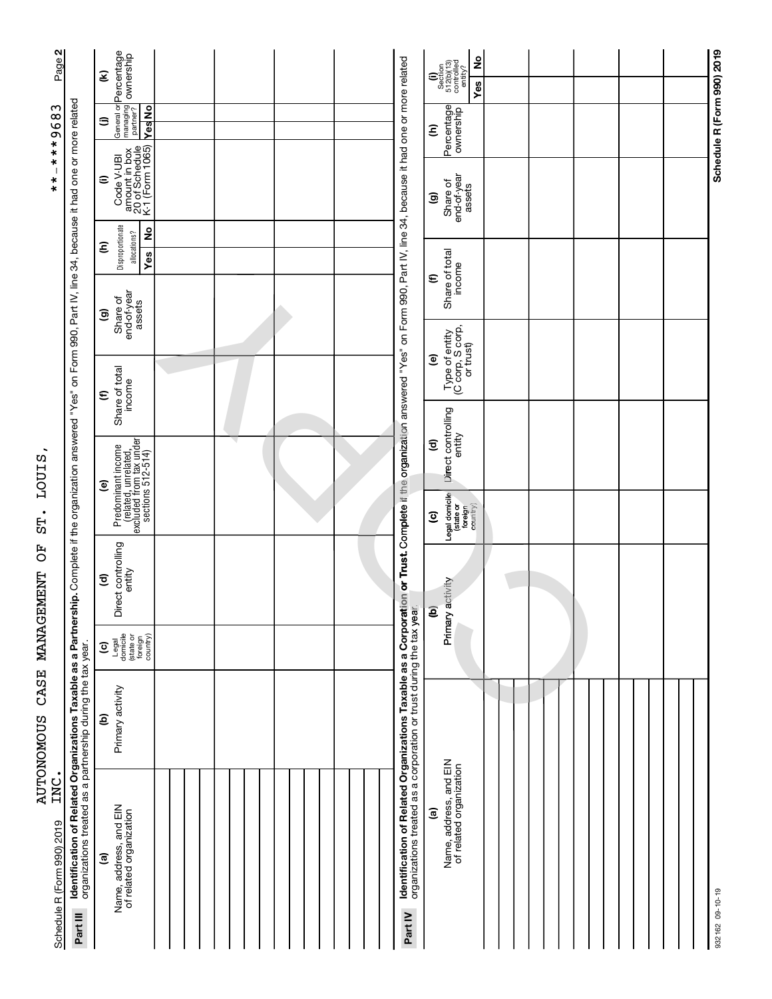| Page 2                     |                                                                                                                                                                                                                                                | Ξ                       | General or <b>Percentage</b><br>managing <b>ownership</b><br>partner?                      |            |  |  |  |  |  |  |  | <b>Identification of Related Organizations Taxable as a Corporation or Trust.</b> Complete if the organization answered "Yes" on Form 990, Part IV, line 34, because it had one or more related<br>organizations treated as a corporat |                        | $\begin{array}{c} \textbf{(i)}\\ \text{Section}\\ 512(\text{b})(13)\\ \text{controlled}\\ \text{entibled}\\ \text{entity?} \end{array}$ | ş                     |  |  |  |  |  |  | Schedule R (Form 990) 2019 |  |
|----------------------------|------------------------------------------------------------------------------------------------------------------------------------------------------------------------------------------------------------------------------------------------|-------------------------|--------------------------------------------------------------------------------------------|------------|--|--|--|--|--|--|--|----------------------------------------------------------------------------------------------------------------------------------------------------------------------------------------------------------------------------------------|------------------------|-----------------------------------------------------------------------------------------------------------------------------------------|-----------------------|--|--|--|--|--|--|----------------------------|--|
| ς                          |                                                                                                                                                                                                                                                |                         |                                                                                            |            |  |  |  |  |  |  |  |                                                                                                                                                                                                                                        |                        |                                                                                                                                         | Yes                   |  |  |  |  |  |  |                            |  |
| $-***968$                  |                                                                                                                                                                                                                                                | ⊜                       |                                                                                            | <b>Nes</b> |  |  |  |  |  |  |  |                                                                                                                                                                                                                                        | ε                      | Percentage                                                                                                                              |                       |  |  |  |  |  |  |                            |  |
|                            |                                                                                                                                                                                                                                                |                         | Code V-UBI<br>amount in box<br>20 of Schedule<br>K-1 (Form 1065)                           |            |  |  |  |  |  |  |  |                                                                                                                                                                                                                                        |                        |                                                                                                                                         |                       |  |  |  |  |  |  |                            |  |
| $*$                        |                                                                                                                                                                                                                                                | Ξ                       |                                                                                            |            |  |  |  |  |  |  |  |                                                                                                                                                                                                                                        |                        |                                                                                                                                         |                       |  |  |  |  |  |  |                            |  |
|                            |                                                                                                                                                                                                                                                |                         |                                                                                            |            |  |  |  |  |  |  |  |                                                                                                                                                                                                                                        | ම                      | Share of                                                                                                                                | end-of-year<br>assets |  |  |  |  |  |  |                            |  |
|                            |                                                                                                                                                                                                                                                | ε                       | Disproportionate<br>allocations?                                                           | 2          |  |  |  |  |  |  |  |                                                                                                                                                                                                                                        |                        |                                                                                                                                         |                       |  |  |  |  |  |  |                            |  |
|                            |                                                                                                                                                                                                                                                |                         |                                                                                            | <b>Yes</b> |  |  |  |  |  |  |  |                                                                                                                                                                                                                                        | $\epsilon$             | Share of total<br>income                                                                                                                |                       |  |  |  |  |  |  |                            |  |
|                            |                                                                                                                                                                                                                                                |                         |                                                                                            |            |  |  |  |  |  |  |  |                                                                                                                                                                                                                                        |                        |                                                                                                                                         |                       |  |  |  |  |  |  |                            |  |
|                            |                                                                                                                                                                                                                                                | ම                       | Share of<br>end-of-year<br>assets                                                          |            |  |  |  |  |  |  |  |                                                                                                                                                                                                                                        |                        |                                                                                                                                         |                       |  |  |  |  |  |  |                            |  |
|                            |                                                                                                                                                                                                                                                |                         |                                                                                            |            |  |  |  |  |  |  |  |                                                                                                                                                                                                                                        | ම                      |                                                                                                                                         |                       |  |  |  |  |  |  |                            |  |
|                            |                                                                                                                                                                                                                                                | $\boldsymbol{\epsilon}$ | Share of total<br>income                                                                   |            |  |  |  |  |  |  |  |                                                                                                                                                                                                                                        |                        | Type of entity<br>(C corp, S corp,<br>or trust)                                                                                         |                       |  |  |  |  |  |  |                            |  |
|                            |                                                                                                                                                                                                                                                |                         |                                                                                            |            |  |  |  |  |  |  |  |                                                                                                                                                                                                                                        |                        |                                                                                                                                         |                       |  |  |  |  |  |  |                            |  |
|                            |                                                                                                                                                                                                                                                |                         |                                                                                            |            |  |  |  |  |  |  |  |                                                                                                                                                                                                                                        | $\widehat{\mathbf{c}}$ | Direct controlling                                                                                                                      |                       |  |  |  |  |  |  |                            |  |
| LOUIS                      |                                                                                                                                                                                                                                                |                         | Predominant income<br>(related, unrelated,<br>excluded from tax under<br>sections 512-514) |            |  |  |  |  |  |  |  |                                                                                                                                                                                                                                        |                        |                                                                                                                                         |                       |  |  |  |  |  |  |                            |  |
|                            |                                                                                                                                                                                                                                                | ම                       |                                                                                            |            |  |  |  |  |  |  |  |                                                                                                                                                                                                                                        |                        |                                                                                                                                         |                       |  |  |  |  |  |  |                            |  |
| $\bullet$<br>5F            |                                                                                                                                                                                                                                                |                         |                                                                                            |            |  |  |  |  |  |  |  |                                                                                                                                                                                                                                        | $\overline{c}$         | Legal domicile<br>(state or<br>foreign<br>country)                                                                                      |                       |  |  |  |  |  |  |                            |  |
| 5O                         |                                                                                                                                                                                                                                                |                         |                                                                                            |            |  |  |  |  |  |  |  |                                                                                                                                                                                                                                        |                        |                                                                                                                                         |                       |  |  |  |  |  |  |                            |  |
|                            |                                                                                                                                                                                                                                                | $\widehat{\mathbf{c}}$  | irect controlling<br>entity                                                                |            |  |  |  |  |  |  |  |                                                                                                                                                                                                                                        |                        | activity                                                                                                                                |                       |  |  |  |  |  |  |                            |  |
| NANAGEMENT                 |                                                                                                                                                                                                                                                |                         | ه                                                                                          |            |  |  |  |  |  |  |  |                                                                                                                                                                                                                                        | ම                      |                                                                                                                                         |                       |  |  |  |  |  |  |                            |  |
|                            |                                                                                                                                                                                                                                                | $\overline{c}$          | Legal<br>domicile<br>(state or<br>foreign<br>country)                                      |            |  |  |  |  |  |  |  |                                                                                                                                                                                                                                        |                        | Primary                                                                                                                                 |                       |  |  |  |  |  |  |                            |  |
|                            |                                                                                                                                                                                                                                                |                         |                                                                                            |            |  |  |  |  |  |  |  |                                                                                                                                                                                                                                        |                        |                                                                                                                                         |                       |  |  |  |  |  |  |                            |  |
| CASE                       |                                                                                                                                                                                                                                                |                         |                                                                                            |            |  |  |  |  |  |  |  |                                                                                                                                                                                                                                        |                        |                                                                                                                                         |                       |  |  |  |  |  |  |                            |  |
|                            |                                                                                                                                                                                                                                                | $\widehat{\mathbf{e}}$  | Primary activity                                                                           |            |  |  |  |  |  |  |  |                                                                                                                                                                                                                                        |                        |                                                                                                                                         |                       |  |  |  |  |  |  |                            |  |
|                            |                                                                                                                                                                                                                                                |                         |                                                                                            |            |  |  |  |  |  |  |  |                                                                                                                                                                                                                                        |                        |                                                                                                                                         |                       |  |  |  |  |  |  |                            |  |
| <b>AUTONOMOUS</b><br>INC   |                                                                                                                                                                                                                                                |                         |                                                                                            |            |  |  |  |  |  |  |  |                                                                                                                                                                                                                                        |                        |                                                                                                                                         |                       |  |  |  |  |  |  |                            |  |
|                            |                                                                                                                                                                                                                                                |                         |                                                                                            |            |  |  |  |  |  |  |  |                                                                                                                                                                                                                                        | $\widehat{\mathbf{e}}$ | Name, address, and EIN<br>of related organization                                                                                       |                       |  |  |  |  |  |  |                            |  |
|                            |                                                                                                                                                                                                                                                |                         |                                                                                            |            |  |  |  |  |  |  |  |                                                                                                                                                                                                                                        |                        |                                                                                                                                         |                       |  |  |  |  |  |  |                            |  |
|                            | Identification of Related Organizations Taxable as a Partnership. Complete if the organization answered "Yes" on Form 990, Part IV, line 34, because it had one or more related<br>organizations treated as a partnership during the tax year. | $\widehat{\mathbf{e}}$  |                                                                                            |            |  |  |  |  |  |  |  |                                                                                                                                                                                                                                        |                        |                                                                                                                                         |                       |  |  |  |  |  |  |                            |  |
| Schedule R (Form 990) 2019 |                                                                                                                                                                                                                                                |                         | Name, address, and EIN<br>of related organization                                          |            |  |  |  |  |  |  |  |                                                                                                                                                                                                                                        |                        |                                                                                                                                         |                       |  |  |  |  |  |  |                            |  |
|                            | Part III                                                                                                                                                                                                                                       |                         |                                                                                            |            |  |  |  |  |  |  |  | Part IV                                                                                                                                                                                                                                |                        |                                                                                                                                         |                       |  |  |  |  |  |  | 932162 09-10-19            |  |
|                            |                                                                                                                                                                                                                                                |                         |                                                                                            |            |  |  |  |  |  |  |  |                                                                                                                                                                                                                                        |                        |                                                                                                                                         |                       |  |  |  |  |  |  |                            |  |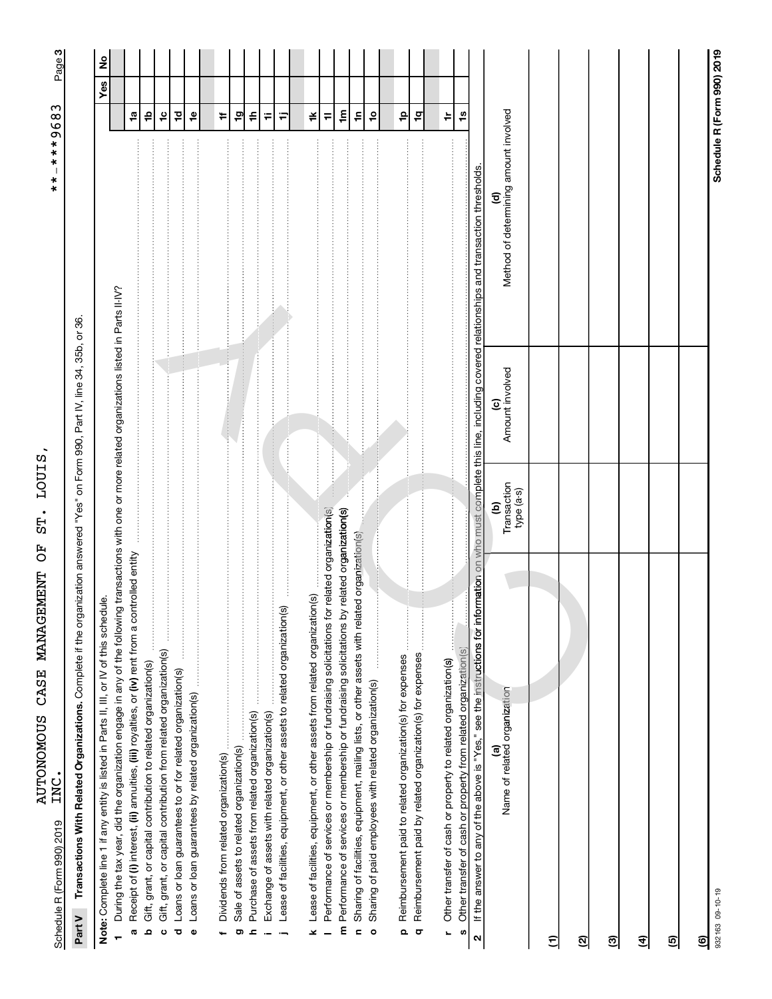| ミー・ミー・<br>)<br>                      | i<br>I |
|--------------------------------------|--------|
| E<br>C<br>ו<br>נ                     |        |
| F<br>C                               |        |
| ことにしょうしん イン・イン                       |        |
| <br> }<br>!                          |        |
| じと ドく こことこくことく EFL<br>- 100mDM7-10-1 | LOK.   |
|                                      | Σ      |

ကု|

Part V Transactions With Related Organizations. Complete if the organization answered "Yes" on Form 990, Part IV, line 34, 35b, or 36. Complete if the organization answered "Yes" on Form 990, Part IV, line 34, 35b, or 36. **Part V Transactions With Related Organizations.**  Schedule R (Form 990) 2019 INC.

|                                                                                                                                                                                                                                                        |                                |                 |                                       |                            | Yes |
|--------------------------------------------------------------------------------------------------------------------------------------------------------------------------------------------------------------------------------------------------------|--------------------------------|-----------------|---------------------------------------|----------------------------|-----|
| Note: Complete line 1 if any entity is listed in Parts II, III, or IV of this schedule.                                                                                                                                                                |                                |                 |                                       |                            | 2   |
| During the tax year, did the organization engage in any of the following transactions with one or more related organizations listed in Parts II-IV?                                                                                                    |                                |                 |                                       | $\frac{1}{2}$              |     |
| Receipt of (i) interest, (ii) annuities, (iii) royalties, or (iv) rent from a controlled entity<br>a                                                                                                                                                   |                                |                 |                                       |                            |     |
| Gift, grant, or capital contribution to related organization(s)<br>Ω                                                                                                                                                                                   |                                |                 |                                       | $\frac{a}{\tau}$           |     |
| Gift, grant, or capital contribution from related organization(s)<br>ပ                                                                                                                                                                                 |                                |                 |                                       | $\frac{1}{2}$              |     |
| Loans or loan guarantees to or for related organization(s)<br>ō                                                                                                                                                                                        |                                |                 |                                       | P                          |     |
| <b><i><u><u>Altresses in the second of the second of the second of the second of the second of the second of the second of the second of the second of the second of the second of the second of the second of the second of the secon</u></u></i></b> |                                |                 |                                       |                            |     |
| $\bullet$                                                                                                                                                                                                                                              |                                |                 |                                       | ٩                          |     |
|                                                                                                                                                                                                                                                        |                                |                 |                                       |                            |     |
| Dividends from related organization(s)                                                                                                                                                                                                                 |                                |                 |                                       | <b>÷</b>                   |     |
| Sale of assets to related organization(s)<br>o                                                                                                                                                                                                         |                                |                 |                                       | $\overline{9}$             |     |
| Purchase of assets from related organization(s)<br>ᅀ                                                                                                                                                                                                   |                                |                 |                                       | ≑                          |     |
| Exchange of assets with related organization(s)<br>$\overline{a}$                                                                                                                                                                                      |                                |                 |                                       | Ŧ                          |     |
| Lease of facilities, equipment, or other assets to related organization(s)                                                                                                                                                                             |                                |                 |                                       | ₩                          |     |
|                                                                                                                                                                                                                                                        |                                |                 |                                       |                            |     |
| Lease of facilities, equipment, or other assets from related organization(s)<br>×                                                                                                                                                                      |                                |                 |                                       | ¥                          |     |
| Performance of services or membership or fundraising solicitations for related organization(s)                                                                                                                                                         |                                |                 |                                       | $\equiv$                   |     |
| related organization(s)<br>Performance of services or membership or fundraising solicitations by<br>E                                                                                                                                                  |                                |                 |                                       | $\mathbf{m}$               |     |
| Sharing of facilities, equipment, mailing lists, or other assets with related organization(s)<br>$\mathbf{C}$                                                                                                                                          |                                |                 |                                       | $\tilde{=}$                |     |
| $\begin{array}{c} \vdots \\ \vdots \\ \vdots \\ \vdots \end{array}$<br>Sharing of paid employees with related organization(s)<br>$\circ$                                                                                                               |                                |                 |                                       | $\frac{1}{2}$              |     |
|                                                                                                                                                                                                                                                        |                                |                 |                                       |                            |     |
| Reimbursement paid to related organization(s) for expenses<br>$\mathbf{\Omega}$                                                                                                                                                                        |                                |                 |                                       | $\frac{1}{2}$              |     |
| Reimbursement paid by related organization(s) for expenses<br>$\sigma$                                                                                                                                                                                 |                                |                 |                                       | $\frac{1}{2}$              |     |
| Other transfer of cash or property to related organization(s)<br>L                                                                                                                                                                                     |                                |                 |                                       | ÷                          |     |
|                                                                                                                                                                                                                                                        |                                |                 |                                       | <u>19</u>                  |     |
| Other transfer of cash or property from related organization(s)<br><sub>c</sub>                                                                                                                                                                        |                                |                 |                                       |                            |     |
| If the answer to any of the above is "Yes," see the instructions for information on who must complete this line, including covered relationships and transaction thresholds.<br>$\sim$                                                                 |                                |                 |                                       |                            |     |
| Name of related organization                                                                                                                                                                                                                           | Transaction<br>type (a-s)<br>ê | Amount involved | Method of determining amount involved |                            |     |
| Ξ                                                                                                                                                                                                                                                      |                                |                 |                                       |                            |     |
| ତ୍ର                                                                                                                                                                                                                                                    |                                |                 |                                       |                            |     |
| ම                                                                                                                                                                                                                                                      |                                |                 |                                       |                            |     |
| E                                                                                                                                                                                                                                                      |                                |                 |                                       |                            |     |
| ම                                                                                                                                                                                                                                                      |                                |                 |                                       |                            |     |
| මු                                                                                                                                                                                                                                                     |                                |                 |                                       |                            |     |
| 932163 09-10-19                                                                                                                                                                                                                                        |                                |                 |                                       | Schedule R (Form 990) 2019 |     |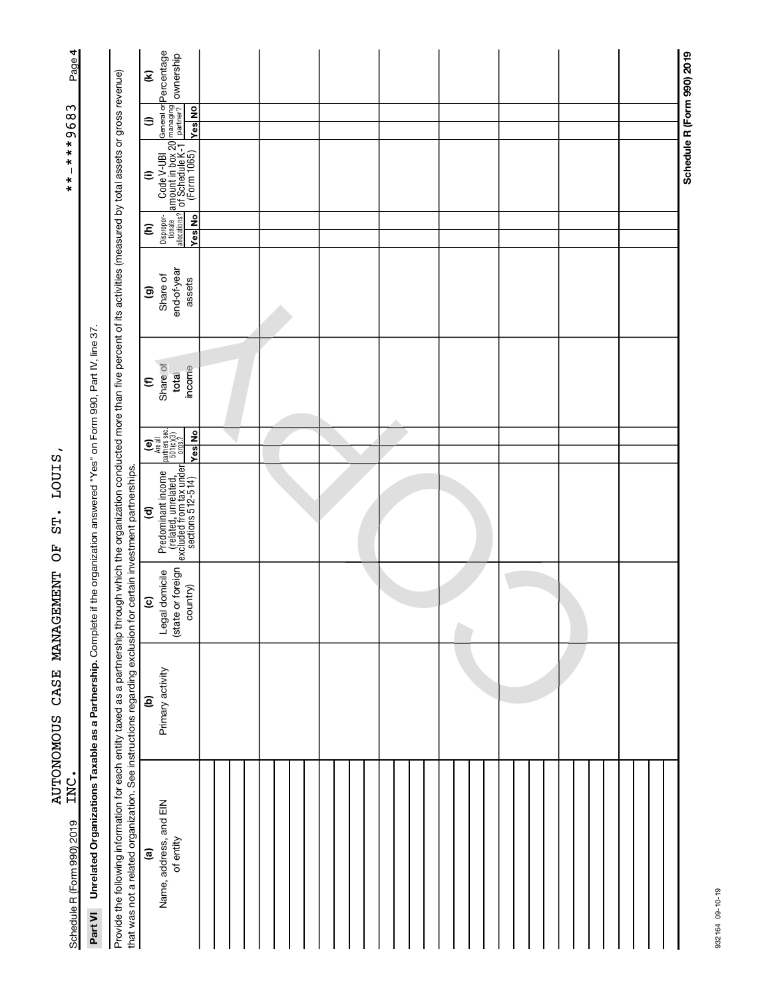| Page 4                                         |                                                                    |                                                                                                                                                                                                                                                                                                                                  | General or <b>Percentage</b><br>managing<br>partner? <b>OWNership</b><br>€                                                                                                                        |  |  |  |                            |
|------------------------------------------------|--------------------------------------------------------------------|----------------------------------------------------------------------------------------------------------------------------------------------------------------------------------------------------------------------------------------------------------------------------------------------------------------------------------|---------------------------------------------------------------------------------------------------------------------------------------------------------------------------------------------------|--|--|--|----------------------------|
|                                                |                                                                    |                                                                                                                                                                                                                                                                                                                                  | <b>Yes</b> No<br>⊜                                                                                                                                                                                |  |  |  |                            |
| ***9683<br>$\overline{\phantom{a}}$<br>$* * *$ |                                                                    |                                                                                                                                                                                                                                                                                                                                  | $\begin{array}{ l } \hline \text{Code V-UBI} & \text{G} \\ \hline \text{amount in box 20} \\ \hline \text{1 of Schedule K-1} & \text{F} \\ \hline \text{(Form 1065)} & \text{W} \end{array}$<br>⊜ |  |  |  | Schedule R (Form 990) 2019 |
|                                                |                                                                    |                                                                                                                                                                                                                                                                                                                                  | Dispropor-<br>tionate<br>allocations?<br>Yes No<br>ε                                                                                                                                              |  |  |  |                            |
|                                                |                                                                    |                                                                                                                                                                                                                                                                                                                                  | end-of-year<br>Share of<br>assets<br>ම                                                                                                                                                            |  |  |  |                            |
|                                                |                                                                    |                                                                                                                                                                                                                                                                                                                                  | Share of<br>income<br>total<br>$\epsilon$                                                                                                                                                         |  |  |  |                            |
|                                                |                                                                    |                                                                                                                                                                                                                                                                                                                                  | $\begin{bmatrix} \bullet \\ \bullet \\ \text{Area all} \\ \text{parameters} \\ 501(c)(3) \\ \text{orgs.2} \\ \text{long.3} \end{bmatrix}$<br><b>Yes</b> No                                        |  |  |  |                            |
| LOUIS,<br>ST.<br>FO                            | if the organization answered "Yes" on Form 990, Part IV, line 37.  |                                                                                                                                                                                                                                                                                                                                  | Predominant income<br>(related, unrelated,<br>excluded from tax under<br>sections 512-514)<br>$\widehat{\mathbf{c}}$                                                                              |  |  |  |                            |
|                                                |                                                                    |                                                                                                                                                                                                                                                                                                                                  | (state or foreign<br>Legal domicile<br>country)<br>$\widehat{c}$                                                                                                                                  |  |  |  |                            |
| AUTONOMOUS CASE MANAGEMENT                     |                                                                    |                                                                                                                                                                                                                                                                                                                                  | Primary activity<br>$\widehat{e}$                                                                                                                                                                 |  |  |  |                            |
| INC.<br>Schedule R (Form 990) 2019             | Part VI Unrelated Organizations Taxable as a Partnership. Complete | Provide the following information for each entity taxed as a partnership through through which the organization conducted more than five percent of its activities (measured by total assets or gross revenue)<br>that was not a related organization. See instructions regarding exclusion for certain investment partnerships. | Name, address, and EIN<br>of entity<br>$\widehat{\mathbf{e}}$                                                                                                                                     |  |  |  |                            |

932164 09-10-19

932164 09-10-19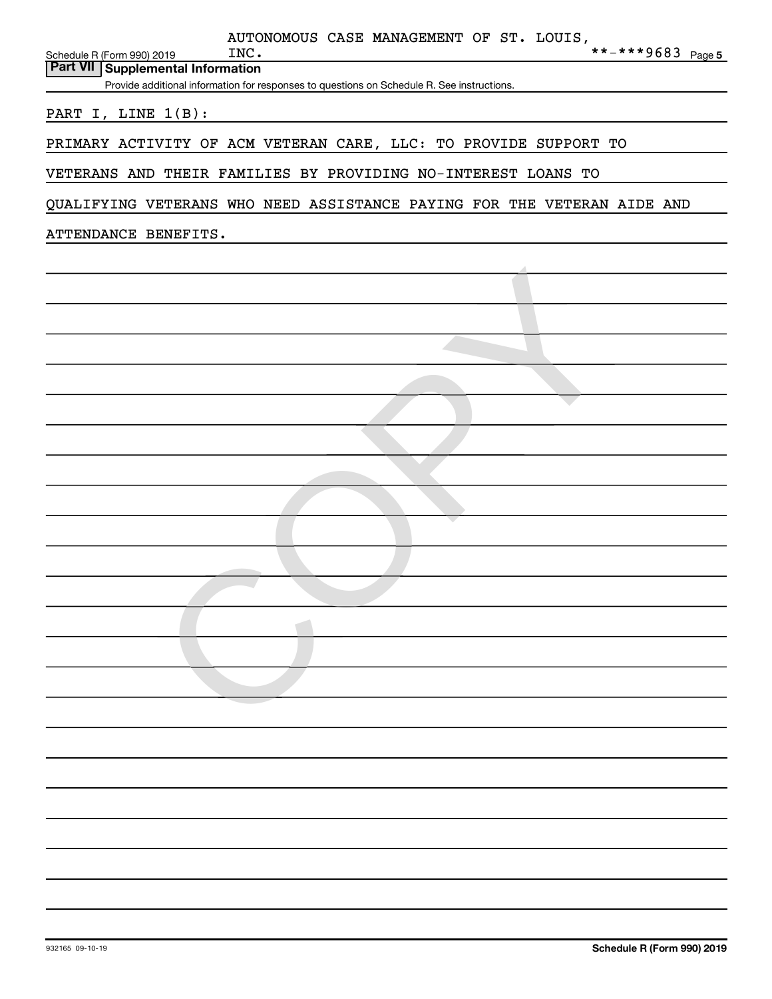|                                                                          | AUTONOMOUS CASE MANAGEMENT OF ST. LOUIS,                                                   |
|--------------------------------------------------------------------------|--------------------------------------------------------------------------------------------|
| Schedule R (Form 990) 2019<br><b>Part VII   Supplemental Information</b> | **-***9683 Page 5<br>INC.                                                                  |
|                                                                          | Provide additional information for responses to questions on Schedule R. See instructions. |
| PART I, LINE 1(B):                                                       |                                                                                            |
|                                                                          | PRIMARY ACTIVITY OF ACM VETERAN CARE, LLC: TO PROVIDE SUPPORT TO                           |
|                                                                          | VETERANS AND THEIR FAMILIES BY PROVIDING NO-INTEREST LOANS TO                              |
|                                                                          |                                                                                            |
|                                                                          | QUALIFYING VETERANS WHO NEED ASSISTANCE PAYING FOR THE VETERAN AIDE AND                    |
| ATTENDANCE BENEFITS.                                                     |                                                                                            |
|                                                                          |                                                                                            |
|                                                                          |                                                                                            |
|                                                                          |                                                                                            |
|                                                                          |                                                                                            |
|                                                                          |                                                                                            |
|                                                                          |                                                                                            |
|                                                                          |                                                                                            |
|                                                                          |                                                                                            |
|                                                                          |                                                                                            |
|                                                                          |                                                                                            |
|                                                                          |                                                                                            |
|                                                                          |                                                                                            |
|                                                                          |                                                                                            |
|                                                                          |                                                                                            |
|                                                                          |                                                                                            |
|                                                                          |                                                                                            |
|                                                                          |                                                                                            |
|                                                                          |                                                                                            |
|                                                                          |                                                                                            |
|                                                                          |                                                                                            |
|                                                                          |                                                                                            |
|                                                                          |                                                                                            |
|                                                                          |                                                                                            |
|                                                                          |                                                                                            |
|                                                                          |                                                                                            |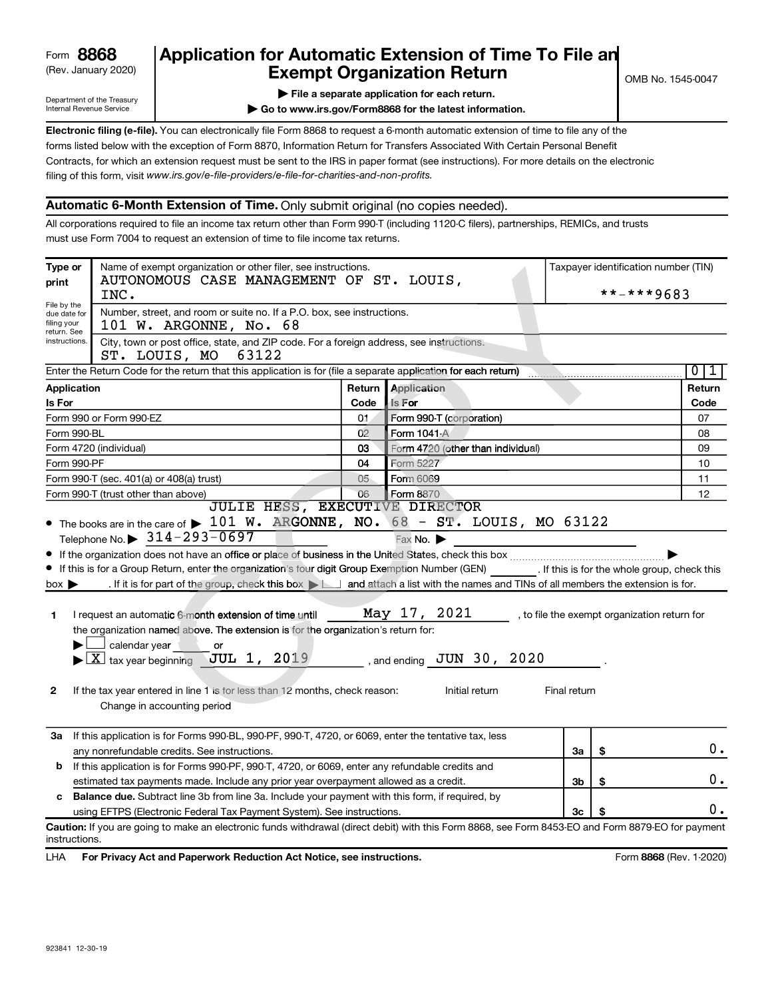# (Rev. January 2020) **Cxempt Organization Return** Manuary 2020) and the **Canadian Exempt Organization Return Form 8868 Application for Automatic Extension of Time To File an<br><b>Exempt Organization Return**<br>Fxempt Organization Return

Department of the Treasury Internal Revenue Service

**| File a separate application for each return.**

**| Go to www.irs.gov/Form8868 for the latest information.**

**Electronic filing (e-file).** You can electronically file Form 8868 to request a 6-month automatic extension of time to file any of the filing of this form, visit www.irs.gov/e-file-providers/e-file-for-charities-and-non-profits. forms listed below with the exception of Form 8870, Information Return for Transfers Associated With Certain Personal Benefit Contracts, for which an extension request must be sent to the IRS in paper format (see instructions). For more details on the electronic

#### **Automatic 6-Month Extension of Time.** Only submit original (no copies needed).

All corporations required to file an income tax return other than Form 990-T (including 1120-C filers), partnerships, REMICs, and trusts must use Form 7004 to request an extension of time to file income tax returns.

| Type or                                                                                  | Name of exempt organization or other filer, see instructions.<br>AUTONOMOUS CASE MANAGEMENT OF ST. LOUIS,                                                                                                                                                                                                                                                                                                                                                                                                                                                                                                                                                                                               |           |                                                                            |              | Taxpayer identification number (TIN) |                                              |  |  |
|------------------------------------------------------------------------------------------|---------------------------------------------------------------------------------------------------------------------------------------------------------------------------------------------------------------------------------------------------------------------------------------------------------------------------------------------------------------------------------------------------------------------------------------------------------------------------------------------------------------------------------------------------------------------------------------------------------------------------------------------------------------------------------------------------------|-----------|----------------------------------------------------------------------------|--------------|--------------------------------------|----------------------------------------------|--|--|
| print                                                                                    | INC.                                                                                                                                                                                                                                                                                                                                                                                                                                                                                                                                                                                                                                                                                                    |           |                                                                            |              |                                      | **-***9683                                   |  |  |
| File by the<br>due date for<br>filing your<br>return. See                                | Number, street, and room or suite no. If a P.O. box, see instructions.<br>101 W. ARGONNE, No. 68                                                                                                                                                                                                                                                                                                                                                                                                                                                                                                                                                                                                        |           |                                                                            |              |                                      |                                              |  |  |
| instructions.                                                                            | City, town or post office, state, and ZIP code. For a foreign address, see instructions.<br>63122<br>ST. LOUIS, MO                                                                                                                                                                                                                                                                                                                                                                                                                                                                                                                                                                                      |           |                                                                            |              |                                      |                                              |  |  |
|                                                                                          | Enter the Return Code for the return that this application is for (file a separate application for each return)                                                                                                                                                                                                                                                                                                                                                                                                                                                                                                                                                                                         |           |                                                                            |              |                                      | $\overline{0}$<br>1                          |  |  |
| Application                                                                              |                                                                                                                                                                                                                                                                                                                                                                                                                                                                                                                                                                                                                                                                                                         |           | <b>Return Application</b>                                                  |              |                                      | Return                                       |  |  |
| <b>Is For</b>                                                                            |                                                                                                                                                                                                                                                                                                                                                                                                                                                                                                                                                                                                                                                                                                         | Code      | Is For                                                                     |              |                                      | Code                                         |  |  |
|                                                                                          | Form 990 or Form 990-EZ                                                                                                                                                                                                                                                                                                                                                                                                                                                                                                                                                                                                                                                                                 | 01        | Form 990-T (corporation)                                                   |              |                                      | 07                                           |  |  |
| Form 990-BL                                                                              |                                                                                                                                                                                                                                                                                                                                                                                                                                                                                                                                                                                                                                                                                                         | 02        | Form 1041 A                                                                |              |                                      | 08                                           |  |  |
|                                                                                          | Form 4720 (individual)                                                                                                                                                                                                                                                                                                                                                                                                                                                                                                                                                                                                                                                                                  | 03        | Form 4720 (other than individual)                                          |              |                                      | 09                                           |  |  |
| Form 990-PF                                                                              |                                                                                                                                                                                                                                                                                                                                                                                                                                                                                                                                                                                                                                                                                                         | Form 5227 |                                                                            |              | 10                                   |                                              |  |  |
|                                                                                          | Form 990-T (sec. 401(a) or 408(a) trust)                                                                                                                                                                                                                                                                                                                                                                                                                                                                                                                                                                                                                                                                | Form 6069 |                                                                            |              | 11                                   |                                              |  |  |
| 06<br>Form 8870<br>Form 990-T (trust other than above)<br>JULIE HESS, EXECUTIVE DIRECTOR |                                                                                                                                                                                                                                                                                                                                                                                                                                                                                                                                                                                                                                                                                                         |           |                                                                            |              |                                      | 12                                           |  |  |
| $box \blacktriangleright$<br>1.<br>$\mathbf{2}$                                          | Telephone No. $\triangleright$ 314-293-0697<br>If this is for a Group Return, enter the organization's four digit Group Exemption Number (GEN) [16] If this is for the whole group, check this<br>. If it is for part of the group, check this box $\Box$ and attach a list with the names and TINs of all members the extension is for.<br>I request an automatic 6-month extension of time until<br>the organization named above. The extension is for the organization's return for:<br>calendar year<br>or<br>$\blacktriangleright$ $\boxed{\text{X}}$ tax year beginning JUL 1, 2019<br>If the tax year entered in line 1 is for less than 12 months, check reason:<br>Change in accounting period |           | Fax No.<br>May 17, 2021<br>, and ending $JUN$ 30, $2020$<br>Initial return | Final return |                                      | , to file the exempt organization return for |  |  |
| За                                                                                       | If this application is for Forms 990-BL, 990-PF, 990-T, 4720, or 6069, enter the tentative tax, less<br>any nonrefundable credits. See instructions.                                                                                                                                                                                                                                                                                                                                                                                                                                                                                                                                                    |           |                                                                            | За           | \$                                   | 0.                                           |  |  |
| b                                                                                        | If this application is for Forms 990-PF, 990-T, 4720, or 6069, enter any refundable credits and                                                                                                                                                                                                                                                                                                                                                                                                                                                                                                                                                                                                         |           |                                                                            |              |                                      |                                              |  |  |
|                                                                                          | estimated tax payments made. Include any prior year overpayment allowed as a credit.                                                                                                                                                                                                                                                                                                                                                                                                                                                                                                                                                                                                                    |           |                                                                            | 3b           | \$                                   | 0.                                           |  |  |
|                                                                                          | c Balance due. Subtract line 3b from line 3a. Include your payment with this form, if required, by                                                                                                                                                                                                                                                                                                                                                                                                                                                                                                                                                                                                      |           |                                                                            |              |                                      |                                              |  |  |
|                                                                                          | using EFTPS (Electronic Federal Tax Payment System). See instructions.                                                                                                                                                                                                                                                                                                                                                                                                                                                                                                                                                                                                                                  |           |                                                                            | 3c           |                                      | υ.                                           |  |  |
| instructions.                                                                            | Caution: If you are going to make an electronic funds withdrawal (direct debit) with this Form 8868, see Form 8453-EO and Form 8879-EO for payment                                                                                                                                                                                                                                                                                                                                                                                                                                                                                                                                                      |           |                                                                            |              |                                      |                                              |  |  |

LHA For Privacy Act and Paperwork Reduction Act Notice, see instructions. **8868** CREV. 1-2020)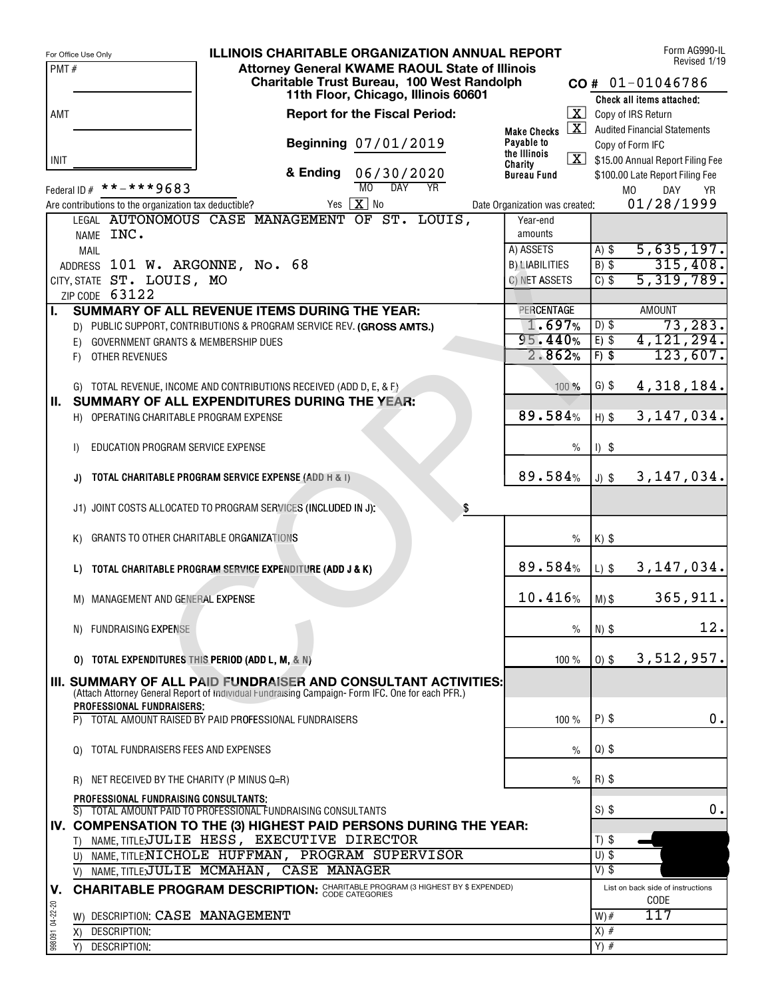|                 | For Office Use Only                                                                                                                                               |          | <b>ILLINOIS CHARITABLE ORGANIZATION ANNUAL REPORT</b> |                                |               |                  | Form AG990-IL<br>Revised 1/19           |
|-----------------|-------------------------------------------------------------------------------------------------------------------------------------------------------------------|----------|-------------------------------------------------------|--------------------------------|---------------|------------------|-----------------------------------------|
| PMT#            |                                                                                                                                                                   |          | <b>Attornev General KWAME RAOUL State of Illinois</b> |                                |               |                  |                                         |
|                 |                                                                                                                                                                   |          | Charitable Trust Bureau, 100 West Randolph            |                                |               |                  | $CO # 01-01046786$                      |
|                 |                                                                                                                                                                   |          | 11th Floor, Chicago, Illinois 60601                   |                                |               |                  | Check all items attached;               |
| AMT             |                                                                                                                                                                   |          | <b>Report for the Fiscal Period:</b>                  |                                |               |                  | $\boxed{\mathbf{X}}$ Copy of IRS Return |
|                 |                                                                                                                                                                   |          |                                                       | <b>Make Checks</b>             |               |                  | X Audited Financial Statements          |
|                 |                                                                                                                                                                   |          | Beginning 07/01/2019                                  | Payable to<br>the Illinois     |               |                  | Copy of Form IFC                        |
| <b>INIT</b>     |                                                                                                                                                                   |          |                                                       | Charity                        |               |                  | \$15.00 Annual Report Filing Fee        |
|                 |                                                                                                                                                                   | & Ending | 06/30/2020<br>MO<br>$\overline{DAY}$<br><b>YR</b>     | <b>Bureau Fund</b>             |               |                  | \$100.00 Late Report Filing Fee         |
|                 | Federal ID $#$ * * - * * * 9683                                                                                                                                   |          |                                                       |                                |               |                  | M <sub>0</sub><br>DAY<br><b>YR</b>      |
|                 | Are contributions to the organization tax deductible?                                                                                                             |          | Yes $\boxed{\mathbf{X}}$ No                           | Date Organization was created: |               |                  | 01/28/1999                              |
|                 | LEGAL AUTONOMOUS CASE MANAGEMENT OF ST.                                                                                                                           |          | LOUIS,                                                | Year-end<br>amounts            |               |                  |                                         |
|                 | NAME INC.                                                                                                                                                         |          |                                                       | A) ASSETS                      |               | $A)$ \$          | 5,635,197.                              |
|                 | <b>MAIL</b><br>ADDRESS 101 W. ARGONNE, No. 68                                                                                                                     |          |                                                       | <b>B) LIABILITIES</b>          |               | $B)$ \$          | 315,408.                                |
|                 | CITY, STATE ST. LOUIS, MO                                                                                                                                         |          |                                                       | C) NET ASSETS                  |               | $C)$ \$          | 5,319,789.                              |
|                 | ZIP CODE 63122                                                                                                                                                    |          |                                                       |                                |               |                  |                                         |
| Ι.              | <b>SUMMARY OF ALL REVENUE ITEMS DURING THE YEAR:</b>                                                                                                              |          |                                                       | PERCENTAGE                     |               |                  | <b>AMOUNT</b>                           |
|                 | D) PUBLIC SUPPORT, CONTRIBUTIONS & PROGRAM SERVICE REV. (GROSS AMTS.)                                                                                             |          |                                                       | 1.697%                         |               | $D)$ \$          | 73, 283.                                |
|                 | E) GOVERNMENT GRANTS & MEMBERSHIP DUES                                                                                                                            |          |                                                       | 95.440%                        |               | $E)$ \$          | 4, 121, 294.                            |
|                 | F) OTHER REVENUES                                                                                                                                                 |          |                                                       | 2.862%                         |               | $F)$ \$          | 123,607.                                |
|                 |                                                                                                                                                                   |          |                                                       |                                |               |                  |                                         |
|                 | G) TOTAL REVENUE, INCOME AND CONTRIBUTIONS RECEIVED (ADD D, E, & F)                                                                                               |          |                                                       |                                | 100 %         | $G)$ \$          | 4,318,184.                              |
| II. .           | SUMMARY OF ALL EXPENDITURES DURING THE YEAR:                                                                                                                      |          |                                                       |                                |               |                  |                                         |
|                 | H) OPERATING CHARITABLE PROGRAM EXPENSE                                                                                                                           |          |                                                       | 89.584%                        |               | $H)$ \$          | 3, 147, 034.                            |
|                 |                                                                                                                                                                   |          |                                                       |                                |               |                  |                                         |
|                 | EDUCATION PROGRAM SERVICE EXPENSE<br>$\mathbf{D}$                                                                                                                 |          |                                                       |                                | $\frac{0}{0}$ | $I)$ \$          |                                         |
|                 |                                                                                                                                                                   |          |                                                       |                                |               |                  |                                         |
|                 | TOTAL CHARITABLE PROGRAM SERVICE EXPENSE (ADD H & I)<br>J)                                                                                                        |          |                                                       | 89.584%                        |               | $J)$ \$          | 3, 147, 034.                            |
|                 |                                                                                                                                                                   |          |                                                       |                                |               |                  |                                         |
|                 | J1) JOINT COSTS ALLOCATED TO PROGRAM SERVICES (INCLUDED IN J):                                                                                                    |          | \$                                                    |                                |               |                  |                                         |
|                 |                                                                                                                                                                   |          |                                                       |                                |               |                  |                                         |
|                 | GRANTS TO OTHER CHARITABLE ORGANIZATIONS<br>K)                                                                                                                    |          |                                                       |                                | $\frac{0}{0}$ | $K)$ \$          |                                         |
|                 |                                                                                                                                                                   |          |                                                       |                                |               |                  |                                         |
|                 | TOTAL CHARITABLE PROGRAM SERVICE EXPENDITURE (ADD J & K)<br>L)                                                                                                    |          |                                                       | 89.584%                        |               | $L)$ \$          | 3, 147, 034.                            |
|                 |                                                                                                                                                                   |          |                                                       | 10.416%                        |               |                  | 365, 911.                               |
|                 | M) MANAGEMENT AND GENERAL EXPENSE                                                                                                                                 |          |                                                       |                                |               | $M)$ \$          |                                         |
|                 |                                                                                                                                                                   |          |                                                       |                                | $\%$          |                  | 12.                                     |
|                 | N) FUNDRAISING EXPENSE                                                                                                                                            |          |                                                       |                                |               | N) \$            |                                         |
|                 | O) TOTAL EXPENDITURES THIS PERIOD (ADD L, M, & N)                                                                                                                 |          |                                                       |                                | 100%          | $0)$ \$          | 3,512,957.                              |
|                 |                                                                                                                                                                   |          |                                                       |                                |               |                  |                                         |
|                 | III. SUMMARY OF ALL PAID FUNDRAISER AND CONSULTANT ACTIVITIES:<br>(Attach Attorney General Report of individual Fundraising Campaign-Form IFC. One for each PFR.) |          |                                                       |                                |               |                  |                                         |
|                 | <b>PROFESSIONAL FUNDRAISERS:</b>                                                                                                                                  |          |                                                       |                                |               |                  |                                         |
|                 | TOTAL AMOUNT RAISED BY PAID PROFESSIONAL FUNDRAISERS                                                                                                              |          |                                                       |                                | 100%          | $P)$ \$          | 0.                                      |
|                 |                                                                                                                                                                   |          |                                                       |                                |               |                  |                                         |
|                 | Q) TOTAL FUNDRAISERS FEES AND EXPENSES                                                                                                                            |          |                                                       |                                | $\%$          | $Q)$ \$          |                                         |
|                 |                                                                                                                                                                   |          |                                                       |                                |               |                  |                                         |
|                 | R) NET RECEIVED BY THE CHARITY (P MINUS Q=R)                                                                                                                      |          |                                                       |                                | $\%$          | $R)$ \$          |                                         |
|                 | PROFESSIONAL FUNDRAISING CONSULTANTS;                                                                                                                             |          |                                                       |                                |               |                  |                                         |
|                 | S) TOTAL AMOUNT PAID TO PROFESSIONAL FUNDRAISING CONSULTANTS                                                                                                      |          |                                                       |                                |               | $S)$ \$          | 0.                                      |
|                 | IV. COMPENSATION TO THE (3) HIGHEST PAID PERSONS DURING THE YEAR:                                                                                                 |          |                                                       |                                |               |                  |                                         |
|                 | NAME, TITLE JULIE HESS, EXECUTIVE DIRECTOR<br>T)                                                                                                                  |          |                                                       |                                |               | $T)$ \$          |                                         |
|                 | U) NAME, TITLENICHOLE HUFFMAN, PROGRAM SUPERVISOR                                                                                                                 |          |                                                       |                                |               | $U)$ \$          |                                         |
|                 | NAME, TITLE;JULIE MCMAHAN, CASE MANAGER<br>V)                                                                                                                     |          |                                                       |                                |               | $V)$ \$          |                                         |
| V.              | <b>CHARITABLE PROGRAM DESCRIPTION: CHARITABLE PROGRAM (3 HIGHEST BY \$ EXPENDED)</b>                                                                              |          |                                                       |                                |               |                  | List on back side of instructions       |
|                 |                                                                                                                                                                   |          |                                                       |                                |               |                  | CODE<br>117                             |
|                 | W) DESCRIPTION: CASE MANAGEMENT                                                                                                                                   |          |                                                       |                                |               | $W)$ #<br>$X)$ # |                                         |
| 998091 04-22-20 | DESCRIPTION:<br>X)<br>DESCRIPTION:                                                                                                                                |          |                                                       |                                |               | $Y)$ #           |                                         |
|                 | Y)                                                                                                                                                                |          |                                                       |                                |               |                  |                                         |